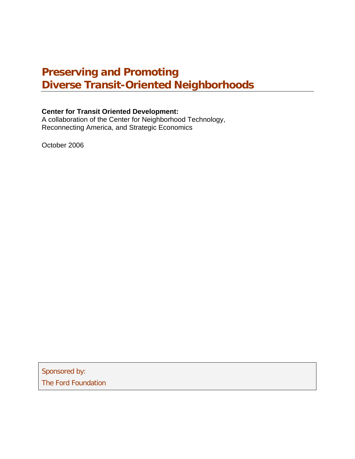# **Preserving and Promoting Diverse Transit-Oriented Neighborhoods**

### **Center for Transit Oriented Development:**

A collaboration of the Center for Neighborhood Technology, Reconnecting America, and Strategic Economics

October 2006

Sponsored by: The Ford Foundation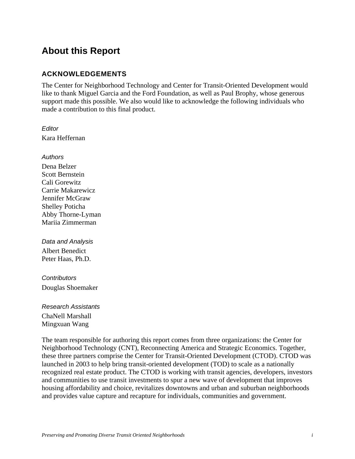## **About this Report**

### **ACKNOWLEDGEMENTS**

The Center for Neighborhood Technology and Center for Transit-Oriented Development would like to thank Miguel Garcia and the Ford Foundation, as well as Paul Brophy, whose generous support made this possible. We also would like to acknowledge the following individuals who made a contribution to this final product.

*Editor*  Kara Heffernan

*Authors* 

Dena Belzer Scott Bernstein Cali Gorewitz Carrie Makarewicz Jennifer McGraw Shelley Poticha Abby Thorne-Lyman Mariia Zimmerman

*Data and Analysis*  Albert Benedict Peter Haas, Ph.D.

*Contributors*  Douglas Shoemaker

*Research Assistants*  ChaNell Marshall Mingxuan Wang

The team responsible for authoring this report comes from three organizations: the Center for Neighborhood Technology (CNT), Reconnecting America and Strategic Economics. Together, these three partners comprise the Center for Transit-Oriented Development (CTOD). CTOD was launched in 2003 to help bring transit-oriented development (TOD) to scale as a nationally recognized real estate product. The CTOD is working with transit agencies, developers, investors and communities to use transit investments to spur a new wave of development that improves housing affordability and choice, revitalizes downtowns and urban and suburban neighborhoods and provides value capture and recapture for individuals, communities and government.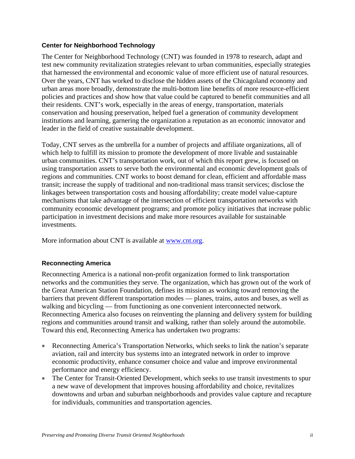#### **Center for Neighborhood Technology**

The Center for Neighborhood Technology (CNT) was founded in 1978 to research, adapt and test new community revitalization strategies relevant to urban communities, especially strategies that harnessed the environmental and economic value of more efficient use of natural resources. Over the years, CNT has worked to disclose the hidden assets of the Chicagoland economy and urban areas more broadly, demonstrate the multi-bottom line benefits of more resource-efficient policies and practices and show how that value could be captured to benefit communities and all their residents. CNT's work, especially in the areas of energy, transportation, materials conservation and housing preservation, helped fuel a generation of community development institutions and learning, garnering the organization a reputation as an economic innovator and leader in the field of creative sustainable development.

Today, CNT serves as the umbrella for a number of projects and affiliate organizations, all of which help to fulfill its mission to promote the development of more livable and sustainable urban communities. CNT's transportation work, out of which this report grew, is focused on using transportation assets to serve both the environmental and economic development goals of regions and communities. CNT works to boost demand for clean, efficient and affordable mass transit; increase the supply of traditional and non-traditional mass transit services; disclose the linkages between transportation costs and housing affordability; create model value-capture mechanisms that take advantage of the intersection of efficient transportation networks with community economic development programs; and promote policy initiatives that increase public participation in investment decisions and make more resources available for sustainable investments.

More information about CNT is available at www.cnt.org.

### **Reconnecting America**

Reconnecting America is a national non-profit organization formed to link transportation networks and the communities they serve. The organization, which has grown out of the work of the Great American Station Foundation, defines its mission as working toward removing the barriers that prevent different transportation modes — planes, trains, autos and buses, as well as walking and bicycling — from functioning as one convenient interconnected network. Reconnecting America also focuses on reinventing the planning and delivery system for building regions and communities around transit and walking, rather than solely around the automobile. Toward this end, Reconnecting America has undertaken two programs:

- Reconnecting America's Transportation Networks, which seeks to link the nation's separate aviation, rail and intercity bus systems into an integrated network in order to improve economic productivity, enhance consumer choice and value and improve environmental performance and energy efficiency.
- The Center for Transit-Oriented Development, which seeks to use transit investments to spur a new wave of development that improves housing affordability and choice, revitalizes downtowns and urban and suburban neighborhoods and provides value capture and recapture for individuals, communities and transportation agencies.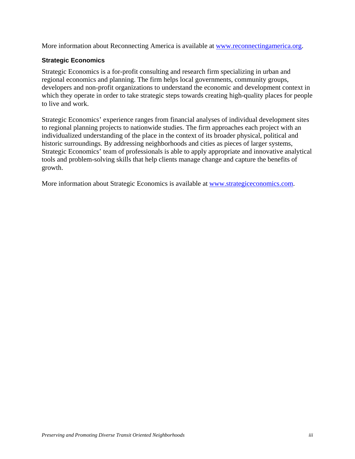More information about Reconnecting America is available at www.reconnectingamerica.org.

### **Strategic Economics**

Strategic Economics is a for-profit consulting and research firm specializing in urban and regional economics and planning. The firm helps local governments, community groups, developers and non-profit organizations to understand the economic and development context in which they operate in order to take strategic steps towards creating high-quality places for people to live and work.

Strategic Economics' experience ranges from financial analyses of individual development sites to regional planning projects to nationwide studies. The firm approaches each project with an individualized understanding of the place in the context of its broader physical, political and historic surroundings. By addressing neighborhoods and cities as pieces of larger systems, Strategic Economics' team of professionals is able to apply appropriate and innovative analytical tools and problem-solving skills that help clients manage change and capture the benefits of growth.

More information about Strategic Economics is available at www.strategiceconomics.com.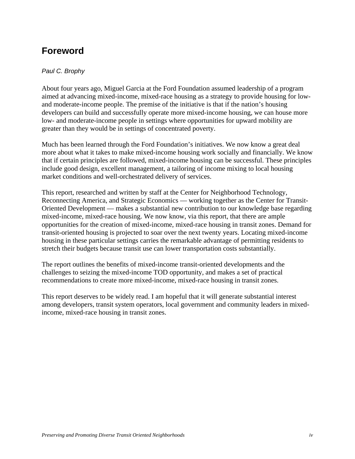# **Foreword**

#### *Paul C. Brophy*

About four years ago, Miguel Garcia at the Ford Foundation assumed leadership of a program aimed at advancing mixed-income, mixed-race housing as a strategy to provide housing for lowand moderate-income people. The premise of the initiative is that if the nation's housing developers can build and successfully operate more mixed-income housing, we can house more low- and moderate-income people in settings where opportunities for upward mobility are greater than they would be in settings of concentrated poverty.

Much has been learned through the Ford Foundation's initiatives. We now know a great deal more about what it takes to make mixed-income housing work socially and financially. We know that if certain principles are followed, mixed-income housing can be successful. These principles include good design, excellent management, a tailoring of income mixing to local housing market conditions and well-orchestrated delivery of services.

This report, researched and written by staff at the Center for Neighborhood Technology, Reconnecting America, and Strategic Economics — working together as the Center for Transit-Oriented Development — makes a substantial new contribution to our knowledge base regarding mixed-income, mixed-race housing. We now know, via this report, that there are ample opportunities for the creation of mixed-income, mixed-race housing in transit zones. Demand for transit-oriented housing is projected to soar over the next twenty years. Locating mixed-income housing in these particular settings carries the remarkable advantage of permitting residents to stretch their budgets because transit use can lower transportation costs substantially.

The report outlines the benefits of mixed-income transit-oriented developments and the challenges to seizing the mixed-income TOD opportunity, and makes a set of practical recommendations to create more mixed-income, mixed-race housing in transit zones.

This report deserves to be widely read. I am hopeful that it will generate substantial interest among developers, transit system operators, local government and community leaders in mixedincome, mixed-race housing in transit zones.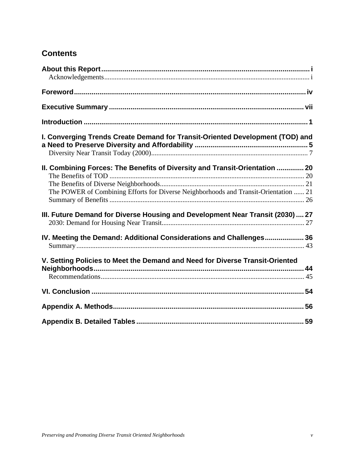## **Contents**

| I. Converging Trends Create Demand for Transit-Oriented Development (TOD) and                                                                                       |  |
|---------------------------------------------------------------------------------------------------------------------------------------------------------------------|--|
| II. Combining Forces: The Benefits of Diversity and Transit-Orientation  20<br>The POWER of Combining Efforts for Diverse Neighborhoods and Transit-Orientation  21 |  |
| III. Future Demand for Diverse Housing and Development Near Transit (2030)  27                                                                                      |  |
| IV. Meeting the Demand: Additional Considerations and Challenges 36                                                                                                 |  |
| V. Setting Policies to Meet the Demand and Need for Diverse Transit-Oriented                                                                                        |  |
|                                                                                                                                                                     |  |
|                                                                                                                                                                     |  |
|                                                                                                                                                                     |  |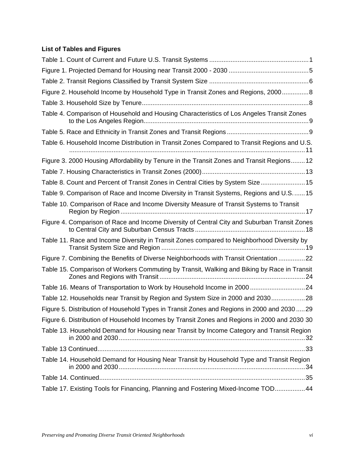## **List of Tables and Figures**

| Figure 2. Household Income by Household Type in Transit Zones and Regions, 20008             |
|----------------------------------------------------------------------------------------------|
|                                                                                              |
| Table 4. Comparison of Household and Housing Characteristics of Los Angeles Transit Zones    |
|                                                                                              |
| Table 6. Household Income Distribution in Transit Zones Compared to Transit Regions and U.S. |
| Figure 3. 2000 Housing Affordability by Tenure in the Transit Zones and Transit Regions 12   |
|                                                                                              |
| Table 8. Count and Percent of Transit Zones in Central Cities by System Size 15              |
| Table 9. Comparison of Race and Income Diversity in Transit Systems, Regions and U.S15       |
| Table 10. Comparison of Race and Income Diversity Measure of Transit Systems to Transit      |
| Figure 4. Comparison of Race and Income Diversity of Central City and Suburban Transit Zones |
| Table 11. Race and Income Diversity in Transit Zones compared to Neighborhood Diversity by   |
| Figure 7. Combining the Benefits of Diverse Neighborhoods with Transit Orientation 22        |
| Table 15. Comparison of Workers Commuting by Transit, Walking and Biking by Race in Transit  |
| Table 16. Means of Transportation to Work by Household Income in 2000  24                    |
| Table 12. Households near Transit by Region and System Size in 2000 and 203028               |
| Figure 5. Distribution of Household Types in Transit Zones and Regions in 2000 and 203029    |
| Figure 6. Distribution of Household Incomes by Transit Zones and Regions in 2000 and 2030 30 |
| Table 13. Household Demand for Housing near Transit by Income Category and Transit Region    |
|                                                                                              |
| Table 14. Household Demand for Housing Near Transit by Household Type and Transit Region     |
|                                                                                              |
| Table 17. Existing Tools for Financing, Planning and Fostering Mixed-Income TOD44            |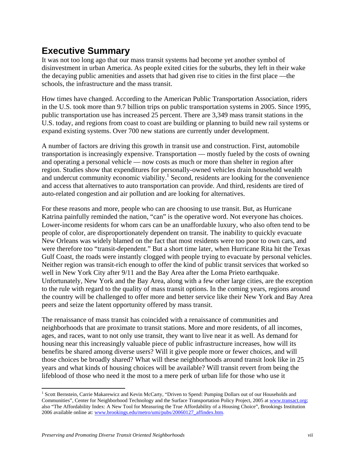# **Executive Summary**

It was not too long ago that our mass transit systems had become yet another symbol of disinvestment in urban America. As people exited cities for the suburbs, they left in their wake the decaying public amenities and assets that had given rise to cities in the first place —the schools, the infrastructure and the mass transit.

How times have changed. According to the American Public Transportation Association, riders in the U.S. took more than 9.7 billion trips on public transportation systems in 2005. Since 1995, public transportation use has increased 25 percent. There are 3,349 mass transit stations in the U.S. today, and regions from coast to coast are building or planning to build new rail systems or expand existing systems. Over 700 new stations are currently under development.

A number of factors are driving this growth in transit use and construction. First, automobile transportation is increasingly expensive. Transportation — mostly fueled by the costs of owning and operating a personal vehicle — now costs as much or more than shelter in region after region. Studies show that expenditures for personally-owned vehicles drain household wealth and undercut community economic viability.<sup>1</sup> Second, residents are looking for the convenience and access that alternatives to auto transportation can provide. And third, residents are tired of auto-related congestion and air pollution and are looking for alternatives.

For these reasons and more, people who can are choosing to use transit. But, as Hurricane Katrina painfully reminded the nation, "can" is the operative word. Not everyone has choices. Lower-income residents for whom cars can be an unaffordable luxury, who also often tend to be people of color, are disproportionately dependent on transit. The inability to quickly evacuate New Orleans was widely blamed on the fact that most residents were too poor to own cars, and were therefore too "transit-dependent." But a short time later, when Hurricane Rita hit the Texas Gulf Coast, the roads were instantly clogged with people trying to evacuate by personal vehicles. Neither region was transit-rich enough to offer the kind of public transit services that worked so well in New York City after 9/11 and the Bay Area after the Loma Prieto earthquake. Unfortunately, New York and the Bay Area, along with a few other large cities, are the exception to the rule with regard to the quality of mass transit options. In the coming years, regions around the country will be challenged to offer more and better service like their New York and Bay Area peers and seize the latent opportunity offered by mass transit.

The renaissance of mass transit has coincided with a renaissance of communities and neighborhoods that are proximate to transit stations. More and more residents, of all incomes, ages, and races, want to not only use transit, they want to live near it as well. As demand for housing near this increasingly valuable piece of public infrastructure increases, how will its benefits be shared among diverse users? Will it give people more or fewer choices, and will those choices be broadly shared? What will these neighborhoods around transit look like in 25 years and what kinds of housing choices will be available? Will transit revert from being the lifeblood of those who need it the most to a mere perk of urban life for those who use it

<sup>&</sup>lt;sup>1</sup> Scott Bernstein, Carrie Makarewicz and Kevin McCarty, "Driven to Spend: Pumping Dollars out of our Households and Communities", Center for Neighborhood Technology and the Surface Transportation Policy Project, 2005 at www.transact.org; also "The Affordability Index: A New Tool for Measuring the True Affordability of a Housing Choice", Brookings Institution 2006 available online at: www.brookings.edu/metro/umi/pubs/20060127\_affindex.htm.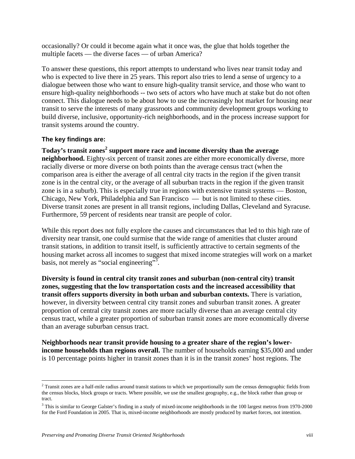occasionally? Or could it become again what it once was, the glue that holds together the multiple facets — the diverse faces — of urban America?

To answer these questions, this report attempts to understand who lives near transit today and who is expected to live there in 25 years. This report also tries to lend a sense of urgency to a dialogue between those who want to ensure high-quality transit service, and those who want to ensure high-quality neighborhoods -- two sets of actors who have much at stake but do not often connect. This dialogue needs to be about how to use the increasingly hot market for housing near transit to serve the interests of many grassroots and community development groups working to build diverse, inclusive, opportunity-rich neighborhoods, and in the process increase support for transit systems around the country.

#### **The key findings are:**

 $\overline{a}$ 

### **Today's transit zones<sup>2</sup> support more race and income diversity than the average neighborhood.** Eighty-six percent of transit zones are either more economically diverse, more racially diverse or more diverse on both points than the average census tract (when the comparison area is either the average of all central city tracts in the region if the given transit zone is in the central city, or the average of all suburban tracts in the region if the given transit zone is in a suburb). This is especially true in regions with extensive transit systems — Boston, Chicago, New York, Philadelphia and San Francisco — but is not limited to these cities. Diverse transit zones are present in all transit regions, including Dallas, Cleveland and Syracuse. Furthermore, 59 percent of residents near transit are people of color.

While this report does not fully explore the causes and circumstances that led to this high rate of diversity near transit, one could surmise that the wide range of amenities that cluster around transit stations, in addition to transit itself, is sufficiently attractive to certain segments of the housing market across all incomes to suggest that mixed income strategies will work on a market basis, not merely as "social engineering"<sup>3</sup>.

**Diversity is found in central city transit zones and suburban (non-central city) transit zones, suggesting that the low transportation costs and the increased accessibility that transit offers supports diversity in both urban and suburban contexts.** There is variation, however, in diversity between central city transit zones and suburban transit zones. A greater proportion of central city transit zones are more racially diverse than an average central city census tract, while a greater proportion of suburban transit zones are more economically diverse than an average suburban census tract.

**Neighborhoods near transit provide housing to a greater share of the region's lowerincome households than regions overall.** The number of households earning \$35,000 and under is 10 percentage points higher in transit zones than it is in the transit zones' host regions. The

<sup>&</sup>lt;sup>2</sup> Transit zones are a half-mile radius around transit stations to which we proportionally sum the census demographic fields from the census blocks, block groups or tracts. Where possible, we use the smallest geography, e.g., the block rather than group or tract.

<sup>&</sup>lt;sup>3</sup> This is similar to George Galster's finding in a study of mixed-income neighborhoods in the 100 largest metros from 1970-2000 for the Ford Foundation in 2005. That is, mixed-income neighborhoods are mostly produced by market forces, not intention.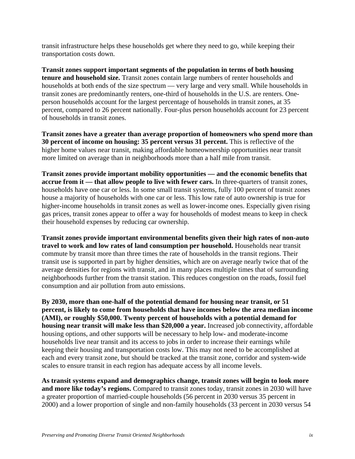transit infrastructure helps these households get where they need to go, while keeping their transportation costs down.

**Transit zones support important segments of the population in terms of both housing tenure and household size.** Transit zones contain large numbers of renter households and households at both ends of the size spectrum — very large and very small. While households in transit zones are predominantly renters, one-third of households in the U.S. are renters. Oneperson households account for the largest percentage of households in transit zones, at 35 percent, compared to 26 percent nationally. Four-plus person households account for 23 percent of households in transit zones.

**Transit zones have a greater than average proportion of homeowners who spend more than 30 percent of income on housing: 35 percent versus 31 percent.** This is reflective of the higher home values near transit, making affordable homeownership opportunities near transit more limited on average than in neighborhoods more than a half mile from transit.

**Transit zones provide important mobility opportunities — and the economic benefits that accrue from it — that allow people to live with fewer cars.** In three-quarters of transit zones, households have one car or less. In some small transit systems, fully 100 percent of transit zones house a majority of households with one car or less. This low rate of auto ownership is true for higher-income households in transit zones as well as lower-income ones. Especially given rising gas prices, transit zones appear to offer a way for households of modest means to keep in check their household expenses by reducing car ownership.

**Transit zones provide important environmental benefits given their high rates of non-auto travel to work and low rates of land consumption per household.** Households near transit commute by transit more than three times the rate of households in the transit regions. Their transit use is supported in part by higher densities, which are on average nearly twice that of the average densities for regions with transit, and in many places multiple times that of surrounding neighborhoods further from the transit station. This reduces congestion on the roads, fossil fuel consumption and air pollution from auto emissions.

**By 2030, more than one-half of the potential demand for housing near transit, or 51 percent, is likely to come from households that have incomes below the area median income (AMI), or roughly \$50,000. Twenty percent of households with a potential demand for housing near transit will make less than \$20,000 a year.** Increased job connectivity, affordable housing options, and other supports will be necessary to help low- and moderate-income households live near transit and its access to jobs in order to increase their earnings while keeping their housing and transportation costs low. This may not need to be accomplished at each and every transit zone, but should be tracked at the transit zone, corridor and system-wide scales to ensure transit in each region has adequate access by all income levels.

**As transit systems expand and demographics change, transit zones will begin to look more and more like today's regions.** Compared to transit zones today, transit zones in 2030 will have a greater proportion of married-couple households (56 percent in 2030 versus 35 percent in 2000) and a lower proportion of single and non-family households (33 percent in 2030 versus 54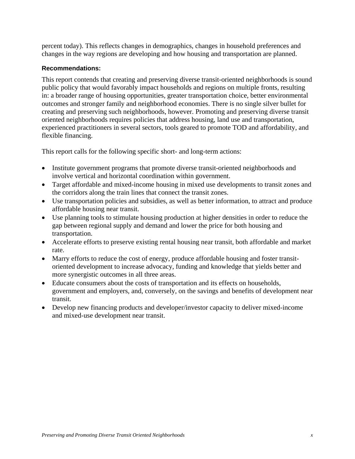percent today). This reflects changes in demographics, changes in household preferences and changes in the way regions are developing and how housing and transportation are planned.

#### **Recommendations:**

This report contends that creating and preserving diverse transit-oriented neighborhoods is sound public policy that would favorably impact households and regions on multiple fronts, resulting in: a broader range of housing opportunities, greater transportation choice, better environmental outcomes and stronger family and neighborhood economies. There is no single silver bullet for creating and preserving such neighborhoods, however. Promoting and preserving diverse transit oriented neighborhoods requires policies that address housing, land use and transportation, experienced practitioners in several sectors, tools geared to promote TOD and affordability, and flexible financing.

This report calls for the following specific short- and long-term actions:

- Institute government programs that promote diverse transit-oriented neighborhoods and involve vertical and horizontal coordination within government.
- Target affordable and mixed-income housing in mixed use developments to transit zones and the corridors along the train lines that connect the transit zones.
- Use transportation policies and subsidies, as well as better information, to attract and produce affordable housing near transit.
- Use planning tools to stimulate housing production at higher densities in order to reduce the gap between regional supply and demand and lower the price for both housing and transportation.
- Accelerate efforts to preserve existing rental housing near transit, both affordable and market rate.
- Marry efforts to reduce the cost of energy, produce affordable housing and foster transitoriented development to increase advocacy, funding and knowledge that yields better and more synergistic outcomes in all three areas.
- Educate consumers about the costs of transportation and its effects on households, government and employers, and, conversely, on the savings and benefits of development near transit.
- Develop new financing products and developer/investor capacity to deliver mixed-income and mixed-use development near transit.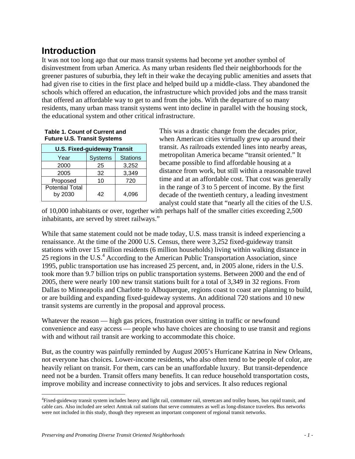# **Introduction**

It was not too long ago that our mass transit systems had become yet another symbol of disinvestment from urban America. As many urban residents fled their neighborhoods for the greener pastures of suburbia, they left in their wake the decaying public amenities and assets that had given rise to cities in the first place and helped build up a middle-class. They abandoned the schools which offered an education, the infrastructure which provided jobs and the mass transit that offered an affordable way to get to and from the jobs. With the departure of so many residents, many urban mass transit systems went into decline in parallel with the housing stock, the educational system and other critical infrastructure.

|  |  | Table 1. Count of Current and      |  |
|--|--|------------------------------------|--|
|  |  | <b>Future U.S. Transit Systems</b> |  |

| <b>U.S. Fixed-guideway Transit</b> |                |                 |  |  |
|------------------------------------|----------------|-----------------|--|--|
| Year                               | <b>Systems</b> | <b>Stations</b> |  |  |
| 2000                               | 25             | 3,252           |  |  |
| 2005                               | 32             | 3,349           |  |  |
| Proposed                           | 10             | 720             |  |  |
| <b>Potential Total</b><br>by 2030  | 42             | 4,096           |  |  |

This was a drastic change from the decades prior, when American cities virtually grew up around their transit. As railroads extended lines into nearby areas, metropolitan America became "transit oriented." It became possible to find affordable housing at a distance from work, but still within a reasonable travel time and at an affordable cost. That cost was generally in the range of 3 to 5 percent of income. By the first decade of the twentieth century, a leading investment analyst could state that "nearly all the cities of the U.S.

of 10,000 inhabitants or over, together with perhaps half of the smaller cities exceeding 2,500 inhabitants, are served by street railways."

While that same statement could not be made today, U.S. mass transit is indeed experiencing a renaissance. At the time of the 2000 U.S. Census, there were 3,252 fixed-guideway transit stations with over 15 million residents (6 million households) living within walking distance in 25 regions in the U.S.<sup>4</sup> According to the American Public Transportation Association, since 1995, public transportation use has increased 25 percent, and, in 2005 alone, riders in the U.S. took more than 9.7 billion trips on public transportation systems. Between 2000 and the end of 2005, there were nearly 100 new transit stations built for a total of 3,349 in 32 regions. From Dallas to Minneapolis and Charlotte to Albuquerque, regions coast to coast are planning to build, or are building and expanding fixed-guideway systems. An additional 720 stations and 10 new transit systems are currently in the proposal and approval process.

Whatever the reason — high gas prices, frustration over sitting in traffic or newfound convenience and easy access — people who have choices are choosing to use transit and regions with and without rail transit are working to accommodate this choice.

But, as the country was painfully reminded by August 2005's Hurricane Katrina in New Orleans, not everyone has choices. Lower-income residents, who also often tend to be people of color, are heavily reliant on transit. For them, cars can be an unaffordable luxury. But transit-dependence need not be a burden. Transit offers many benefits. It can reduce household transportation costs, improve mobility and increase connectivity to jobs and services. It also reduces regional

<sup>4</sup> Fixed-guideway transit system includes heavy and light rail, commuter rail, streetcars and trolley buses, bus rapid transit, and cable cars. Also included are select Amtrak rail stations that serve commuters as well as long-distance travelers. Bus networks were not included in this study, though they represent an important component of regional transit networks.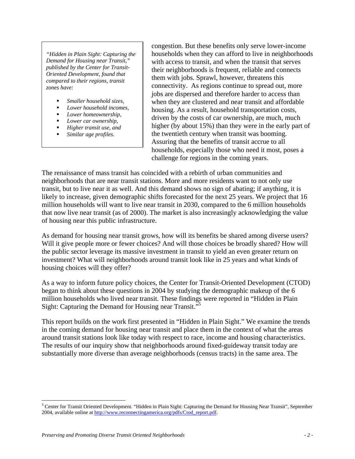*"Hidden in Plain Sight: Capturing the Demand for Housing near Transit," published by the Center for Transit-Oriented Development, found that compared to their regions, transit zones have:* 

- *Smaller household sizes,*
- *Lower household incomes,*
- *Lower homeownership,*
- *Lower car ownership,*
- *Higher transit use, and*
- *Similar age profiles.*

congestion. But these benefits only serve lower-income households when they can afford to live in neighborhoods with access to transit, and when the transit that serves their neighborhoods is frequent, reliable and connects them with jobs. Sprawl, however, threatens this connectivity. As regions continue to spread out, more jobs are dispersed and therefore harder to access than when they are clustered and near transit and affordable housing. As a result, household transportation costs, driven by the costs of car ownership, are much, much higher (by about 15%) than they were in the early part of the twentieth century when transit was booming. Assuring that the benefits of transit accrue to all households, especially those who need it most, poses a challenge for regions in the coming years.

The renaissance of mass transit has coincided with a rebirth of urban communities and neighborhoods that are near transit stations. More and more residents want to not only use transit, but to live near it as well. And this demand shows no sign of abating; if anything, it is likely to increase, given demographic shifts forecasted for the next 25 years. We project that 16 million households will want to live near transit in 2030, compared to the 6 million households that now live near transit (as of 2000). The market is also increasingly acknowledging the value of housing near this public infrastructure.

As demand for housing near transit grows, how will its benefits be shared among diverse users? Will it give people more or fewer choices? And will those choices be broadly shared? How will the public sector leverage its massive investment in transit to yield an even greater return on investment? What will neighborhoods around transit look like in 25 years and what kinds of housing choices will they offer?

As a way to inform future policy choices, the Center for Transit-Oriented Development (CTOD) began to think about these questions in 2004 by studying the demographic makeup of the 6 million households who lived near transit. These findings were reported in "Hidden in Plain Sight: Capturing the Demand for Housing near Transit."5

This report builds on the work first presented in "Hidden in Plain Sight." We examine the trends in the coming demand for housing near transit and place them in the context of what the areas around transit stations look like today with respect to race, income and housing characteristics. The results of our inquiry show that neighborhoods around fixed-guideway transit today are substantially more diverse than average neighborhoods (census tracts) in the same area. The

<sup>&</sup>lt;sup>5</sup> Center for Transit Oriented Development. "Hidden in Plain Sight: Capturing the Demand for Housing Near Transit", September 2004, available online at http://www.reconnectingamerica.org/pdfs/Ctod\_report.pdf.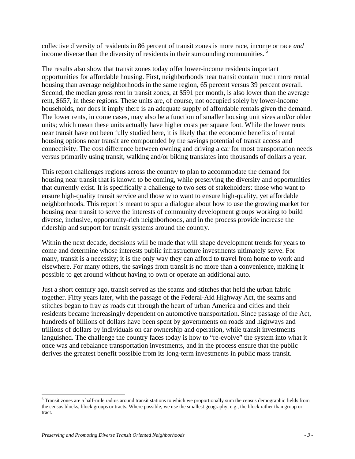collective diversity of residents in 86 percent of transit zones is more race, income or race *and* income diverse than the diversity of residents in their surrounding communities.<sup>6</sup>

The results also show that transit zones today offer lower-income residents important opportunities for affordable housing. First, neighborhoods near transit contain much more rental housing than average neighborhoods in the same region, 65 percent versus 39 percent overall. Second, the median gross rent in transit zones, at \$591 per month, is also lower than the average rent, \$657, in these regions. These units are, of course, not occupied solely by lower-income households, nor does it imply there is an adequate supply of affordable rentals given the demand. The lower rents, in come cases, may also be a function of smaller housing unit sizes and/or older units; which mean these units actually have higher costs per square foot. While the lower rents near transit have not been fully studied here, it is likely that the economic benefits of rental housing options near transit are compounded by the savings potential of transit access and connectivity. The cost difference between owning and driving a car for most transportation needs versus primarily using transit, walking and/or biking translates into thousands of dollars a year.

This report challenges regions across the country to plan to accommodate the demand for housing near transit that is known to be coming, while preserving the diversity and opportunities that currently exist. It is specifically a challenge to two sets of stakeholders: those who want to ensure high-quality transit service and those who want to ensure high-quality, yet affordable neighborhoods. This report is meant to spur a dialogue about how to use the growing market for housing near transit to serve the interests of community development groups working to build diverse, inclusive, opportunity-rich neighborhoods, and in the process provide increase the ridership and support for transit systems around the country.

Within the next decade, decisions will be made that will shape development trends for years to come and determine whose interests public infrastructure investments ultimately serve. For many, transit is a necessity; it is the only way they can afford to travel from home to work and elsewhere. For many others, the savings from transit is no more than a convenience, making it possible to get around without having to own or operate an additional auto.

Just a short century ago, transit served as the seams and stitches that held the urban fabric together. Fifty years later, with the passage of the Federal-Aid Highway Act, the seams and stitches began to fray as roads cut through the heart of urban America and cities and their residents became increasingly dependent on automotive transportation. Since passage of the Act, hundreds of billions of dollars have been spent by governments on roads and highways and trillions of dollars by individuals on car ownership and operation, while transit investments languished. The challenge the country faces today is how to "re-evolve" the system into what it once was and rebalance transportation investments, and in the process ensure that the public derives the greatest benefit possible from its long-term investments in public mass transit.

<u>.</u>

<sup>&</sup>lt;sup>6</sup> Transit zones are a half-mile radius around transit stations to which we proportionally sum the census demographic fields from the census blocks, block groups or tracts. Where possible, we use the smallest geography, e.g., the block rather than group or tract.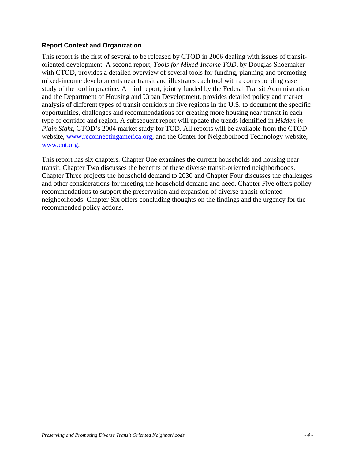#### **Report Context and Organization**

This report is the first of several to be released by CTOD in 2006 dealing with issues of transitoriented development. A second report, *Tools for Mixed-Income TOD,* by Douglas Shoemaker with CTOD, provides a detailed overview of several tools for funding, planning and promoting mixed-income developments near transit and illustrates each tool with a corresponding case study of the tool in practice. A third report, jointly funded by the Federal Transit Administration and the Department of Housing and Urban Development, provides detailed policy and market analysis of different types of transit corridors in five regions in the U.S. to document the specific opportunities, challenges and recommendations for creating more housing near transit in each type of corridor and region. A subsequent report will update the trends identified in *Hidden in Plain Sight*, CTOD's 2004 market study for TOD. All reports will be available from the CTOD website, www.reconnectingamerica.org, and the Center for Neighborhood Technology website, www.cnt.org.

This report has six chapters. Chapter One examines the current households and housing near transit. Chapter Two discusses the benefits of these diverse transit-oriented neighborhoods. Chapter Three projects the household demand to 2030 and Chapter Four discusses the challenges and other considerations for meeting the household demand and need. Chapter Five offers policy recommendations to support the preservation and expansion of diverse transit-oriented neighborhoods. Chapter Six offers concluding thoughts on the findings and the urgency for the recommended policy actions.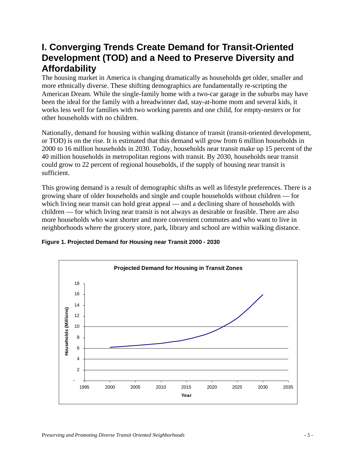# **I. Converging Trends Create Demand for Transit-Oriented Development (TOD) and a Need to Preserve Diversity and Affordability**

The housing market in America is changing dramatically as households get older, smaller and more ethnically diverse. These shifting demographics are fundamentally re-scripting the American Dream. While the single-family home with a two-car garage in the suburbs may have been the ideal for the family with a breadwinner dad, stay-at-home mom and several kids, it works less well for families with two working parents and one child, for empty-nesters or for other households with no children.

Nationally, demand for housing within walking distance of transit (transit-oriented development, or TOD) is on the rise. It is estimated that this demand will grow from 6 million households in 2000 to 16 million households in 2030. Today, households near transit make up 15 percent of the 40 million households in metropolitan regions with transit. By 2030, households near transit could grow to 22 percent of regional households, if the supply of housing near transit is sufficient.

This growing demand is a result of demographic shifts as well as lifestyle preferences. There is a growing share of older households and single and couple households without children — for which living near transit can hold great appeal — and a declining share of households with children — for which living near transit is not always as desirable or feasible. There are also more households who want shorter and more convenient commutes and who want to live in neighborhoods where the grocery store, park, library and school are within walking distance.



#### **Figure 1. Projected Demand for Housing near Transit 2000 - 2030**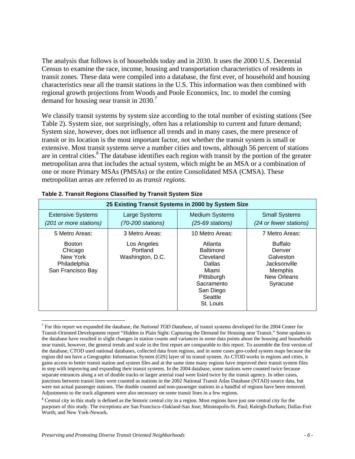The analysis that follows is of households today and in 2030. It uses the 2000 U.S. Decennial Census to examine the race, income, housing and transportation characteristics of residents in transit zones. These data were compiled into a database, the first ever, of household and housing characteristics near all the transit stations in the U.S. This information was then combined with regional growth projections from Woods and Poole Economics, Inc. to model the coming demand for housing near transit in 2030.<sup>7</sup>

We classify transit systems by system size according to the total number of existing stations (See Table 2). System size, not surprisingly, often has a relationship to current and future demand; System size, however, does not influence all trends and in many cases, the mere presence of transit or its location is the most important factor, not whether the transit system is small or extensive. Most transit systems serve a number cities and towns, although 56 percent of stations are in central cities.<sup>8</sup> The database identifies each region with transit by the portion of the greater metropolitan area that includes the actual system, which might be an MSA or a combination of one or more Primary MSAs (PMSAs) or the entire Consolidated MSA (CMSA). These metropolitan areas are referred to as *transit regions.* 

| 25 Existing Transit Systems in 2000 by System Size                        |                                             |                                                                                                                                     |                                                                                                    |  |  |
|---------------------------------------------------------------------------|---------------------------------------------|-------------------------------------------------------------------------------------------------------------------------------------|----------------------------------------------------------------------------------------------------|--|--|
| <b>Extensive Systems</b><br>(201 or more stations)                        | Large Systems<br>(70-200 stations)          | <b>Medium Systems</b><br>$(25-69$ stations)                                                                                         | <b>Small Systems</b><br>(24 or fewer stations)                                                     |  |  |
| 5 Metro Areas:                                                            | 3 Metro Areas:                              | 10 Metro Areas:                                                                                                                     | 7 Metro Areas:                                                                                     |  |  |
| <b>Boston</b><br>Chicago<br>New York<br>Philadelphia<br>San Francisco Bay | Los Angeles<br>Portland<br>Washington, D.C. | Atlanta<br><b>Baltimore</b><br>Cleveland<br><b>Dallas</b><br>Miami<br>Pittsburgh<br>Sacramento<br>San Diego<br>Seattle<br>St. Louis | <b>Buffalo</b><br>Denver<br>Galveston<br>Jacksonville<br><b>Memphis</b><br>New Orleans<br>Syracuse |  |  |

#### **Table 2. Transit Regions Classified by Transit System Size**

<sup>7</sup> For this report we expanded the database, the *National TOD Database*, of transit systems developed for the 2004 Center for Transit-Oriented Development report "Hidden in Plain Sight: Capturing the Demand for Housing near Transit." Some updates to the database have resulted in slight changes in station counts and variances in some data points about the housing and households near transit, however, the general trends and scale in the first report are comparable to this report. To assemble the first version of the database, CTOD used national databases, collected data from regions, and in some cases geo-coded system maps because the region did not have a Geographic Information System (GIS) layer of its transit system. As CTOD works in regions and cities, it gains access to better transit station and system files and at the same time many regions have improved their transit system files in step with improving and expanding their transit systems. In the 2004 database, some stations were counted twice because separate entrances along a set of double tracks or larger arterial road were listed twice by the transit agency. In other cases, junctions between transit lines were counted as stations in the 2002 National Transit Atlas Database (NTAD) source data, but were not actual passenger stations. The double counted and non-passenger stations in a handful of regions have been removed. Adjustments to the track alignment were also necessary on some transit lines in a few regions.

 $8$  Central city in this study is defined as the historic central city in a region. Most regions have just one central city for the purposes of this study. The exceptions are San Francisco–Oakland-San Jose; Minneapolis-St. Paul; Raleigh-Durham; Dallas-Fort Worth; and New York-Newark.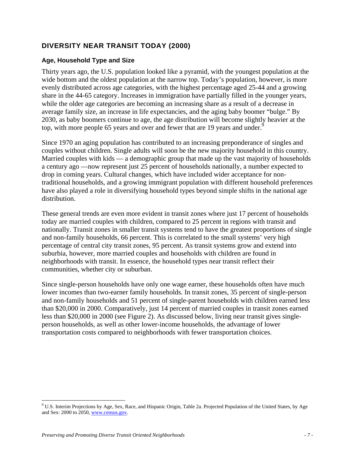## **DIVERSITY NEAR TRANSIT TODAY (2000)**

#### **Age, Household Type and Size**

Thirty years ago, the U.S. population looked like a pyramid, with the youngest population at the wide bottom and the oldest population at the narrow top. Today's population, however, is more evenly distributed across age categories, with the highest percentage aged 25-44 and a growing share in the 44-65 category. Increases in immigration have partially filled in the younger years, while the older age categories are becoming an increasing share as a result of a decrease in average family size, an increase in life expectancies, and the aging baby boomer "bulge." By 2030, as baby boomers continue to age, the age distribution will become slightly heavier at the top, with more people 65 years and over and fewer that are 19 years and under.<sup>9</sup>

Since 1970 an aging population has contributed to an increasing preponderance of singles and couples without children. Single adults will soon be the new majority household in this country. Married couples with kids — a demographic group that made up the vast majority of households a century ago —now represent just 25 percent of households nationally, a number expected to drop in coming years. Cultural changes, which have included wider acceptance for nontraditional households, and a growing immigrant population with different household preferences have also played a role in diversifying household types beyond simple shifts in the national age distribution.

These general trends are even more evident in transit zones where just 17 percent of households today are married couples with children, compared to 25 percent in regions with transit and nationally. Transit zones in smaller transit systems tend to have the greatest proportions of single and non-family households, 66 percent. This is correlated to the small systems' very high percentage of central city transit zones, 95 percent. As transit systems grow and extend into suburbia, however, more married couples and households with children are found in neighborhoods with transit. In essence, the household types near transit reflect their communities, whether city or suburban.

Since single-person households have only one wage earner, these households often have much lower incomes than two-earner family households. In transit zones, 35 percent of single-person and non-family households and 51 percent of single-parent households with children earned less than \$20,000 in 2000. Comparatively, just 14 percent of married couples in transit zones earned less than \$20,000 in 2000 (see Figure 2). As discussed below, living near transit gives singleperson households, as well as other lower-income households, the advantage of lower transportation costs compared to neighborhoods with fewer transportation choices.

<sup>&</sup>lt;sup>9</sup> U.S. Interim Projections by Age, Sex, Race, and Hispanic Origin, Table 2a. Projected Population of the United States, by Age and Sex: 2000 to 2050, www.census.gov.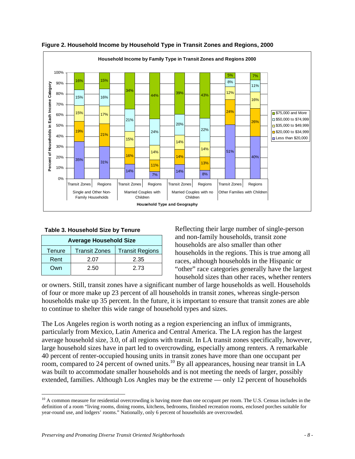

**Figure 2. Household Income by Household Type in Transit Zones and Regions, 2000** 

| <b>Table 3. Household Size by Tenure</b>                        |      |      |  |  |
|-----------------------------------------------------------------|------|------|--|--|
| <b>Average Household Size</b>                                   |      |      |  |  |
| <b>Transit Zones</b><br><b>Transit Regions</b><br><b>Tenure</b> |      |      |  |  |
| Rent                                                            | 2.07 | 2.35 |  |  |

Own 2.50 2.73

Reflecting their large number of single-person and non-family households, transit zone households are also smaller than other households in the regions. This is true among all races, although households in the Hispanic or "other" race categories generally have the largest household sizes than other races, whether renters

or owners. Still, transit zones have a significant number of large households as well. Households of four or more make up 23 percent of all households in transit zones, whereas single-person households make up 35 percent. In the future, it is important to ensure that transit zones are able to continue to shelter this wide range of household types and sizes.

The Los Angeles region is worth noting as a region experiencing an influx of immigrants, particularly from Mexico, Latin America and Central America. The LA region has the largest average household size, 3.0, of all regions with transit. In LA transit zones specifically, however, large household sizes have in part led to overcrowding, especially among renters. A remarkable 40 percent of renter-occupied housing units in transit zones have more than one occupant per room, compared to 24 percent of owned units.<sup>10</sup> By all appearances, housing near transit in LA was built to accommodate smaller households and is not meeting the needs of larger, possibly extended, families. Although Los Angles may be the extreme — only 12 percent of households

 $10$  A common measure for residential overcrowding is having more than one occupant per room. The U.S. Census includes in the definition of a room "living rooms, dining rooms, kitchens, bedrooms, finished recreation rooms, enclosed porches suitable for year-round use, and lodgers' rooms." Nationally, only 6 percent of households are overcrowded.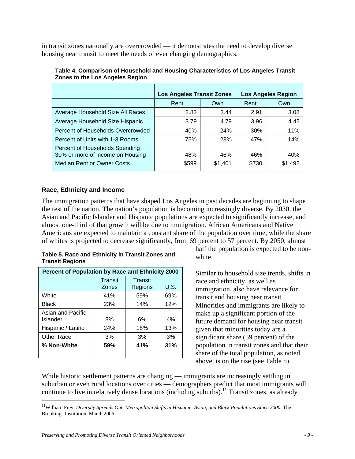in transit zones nationally are overcrowded — it demonstrates the need to develop diverse housing near transit to meet the needs of ever changing demographics.

|                                                                    | <b>Los Angeles Transit Zones</b> |         |       | <b>Los Angeles Region</b> |
|--------------------------------------------------------------------|----------------------------------|---------|-------|---------------------------|
|                                                                    | Rent                             | Own     | Rent  | Own                       |
| Average Household Size All Races                                   | 2.83                             | 3.44    | 2.91  | 3.08                      |
| Average Household Size Hispanic                                    | 3.79                             | 4.79    | 3.96  | 4.42                      |
| Percent of Households Overcrowded                                  | 40%                              | 24%     | 30%   | 11%                       |
| Percent of Units with 1-3 Rooms                                    | 75%                              | 28%     | 47%   | 14%                       |
| Percent of Households Spending<br>30% or more of income on Housing | 48%                              | 46%     | 46%   | 40%                       |
| Median Rent or Owner Costs                                         | \$599                            | \$1,401 | \$730 | \$1,492                   |

**Table 4. Comparison of Household and Housing Characteristics of Los Angeles Transit Zones to the Los Angeles Region** 

#### **Race, Ethnicity and Income**

The immigration patterns that have shaped Los Angeles in past decades are beginning to shape the rest of the nation. The nation's population is becoming increasingly diverse. By 2030, the Asian and Pacific Islander and Hispanic populations are expected to significantly increase, and almost one-third of that growth will be due to immigration. African Americans and Native Americans are expected to maintain a constant share of the population over time, while the share of whites is projected to decrease significantly, from 69 percent to 57 percent. By 2050, almost

#### **Table 5. Race and Ethnicity in Transit Zones and Transit Regions**

| Percent of Population by Race and Ethnicity 2000 |                  |                    |             |  |
|--------------------------------------------------|------------------|--------------------|-------------|--|
|                                                  | Transit<br>Zones | Transit<br>Regions | <b>U.S.</b> |  |
| White                                            | 41%              | 59%                | 69%         |  |
| <b>Black</b>                                     | 23%              | 14%                | 12%         |  |
| Asian and Pacific<br>Islander                    | 8%               | 6%                 | 4%          |  |
| Hispanic / Latino                                | 24%              | 18%                | 13%         |  |
| Other Race                                       | 3%               | 3%                 | 3%          |  |
| % Non-White                                      | 59%              | 41%                | 31%         |  |

half the population is expected to be nonwhite.

Similar to household size trends, shifts in race and ethnicity, as well as immigration, also have relevance for transit and housing near transit. Minorities and immigrants are likely to make up a significant portion of the future demand for housing near transit given that minorities today are a significant share (59 percent) of the population in transit zones and that their share of the total population, as noted above, is on the rise (see Table 5).

While historic settlement patterns are changing — immigrants are increasingly settling in suburban or even rural locations over cities — demographers predict that most immigrants will continue to live in relatively dense locations (including suburbs).<sup>11</sup> Transit zones, as already

<sup>&</sup>lt;sup>11</sup>William Frey, *Diversity Spreads Out: Metropolitan Shifts in Hispanic, Asian, and Black Populations Since 2000. The* Brookings Institution, March 2006.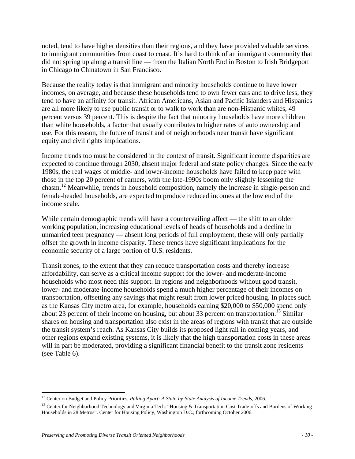noted, tend to have higher densities than their regions, and they have provided valuable services to immigrant communities from coast to coast. It's hard to think of an immigrant community that did not spring up along a transit line — from the Italian North End in Boston to Irish Bridgeport in Chicago to Chinatown in San Francisco.

Because the reality today is that immigrant and minority households continue to have lower incomes, on average, and because these households tend to own fewer cars and to drive less, they tend to have an affinity for transit. African Americans, Asian and Pacific Islanders and Hispanics are all more likely to use public transit or to walk to work than are non-Hispanic whites, 49 percent versus 39 percent. This is despite the fact that minority households have more children than white households, a factor that usually contributes to higher rates of auto ownership and use. For this reason, the future of transit and of neighborhoods near transit have significant equity and civil rights implications.

Income trends too must be considered in the context of transit. Significant income disparities are expected to continue through 2030, absent major federal and state policy changes. Since the early 1980s, the real wages of middle- and lower-income households have failed to keep pace with those in the top 20 percent of earners, with the late-1990s boom only slightly lessening the chasm.12 Meanwhile, trends in household composition, namely the increase in single-person and female-headed households, are expected to produce reduced incomes at the low end of the income scale.

While certain demographic trends will have a countervailing affect — the shift to an older working population, increasing educational levels of heads of households and a decline in unmarried teen pregnancy — absent long periods of full employment, these will only partially offset the growth in income disparity. These trends have significant implications for the economic security of a large portion of U.S. residents.

Transit zones, to the extent that they can reduce transportation costs and thereby increase affordability, can serve as a critical income support for the lower- and moderate-income households who most need this support. In regions and neighborhoods without good transit, lower- and moderate-income households spend a much higher percentage of their incomes on transportation, offsetting any savings that might result from lower priced housing. In places such as the Kansas City metro area, for example, households earning \$20,000 to \$50,000 spend only about 23 percent of their income on housing, but about 33 percent on transportation.<sup>13</sup> Similar shares on housing and transportation also exist in the areas of regions with transit that are outside the transit system's reach. As Kansas City builds its proposed light rail in coming years, and other regions expand existing systems, it is likely that the high transportation costs in these areas will in part be moderated, providing a significant financial benefit to the transit zone residents (see Table 6).

<u>.</u>

<sup>12</sup> Center on Budget and Policy Priorities, *Pulling Apart: A State-by-State Analysis of Income Trends*, 2006.

<sup>&</sup>lt;sup>13</sup> Center for Neighborhood Technology and Virginia Tech. "Housing & Transportation Cost Trade-offs and Burdens of Working Households in 28 Metros". Center for Housing Policy, Washington D.C., forthcoming October 2006.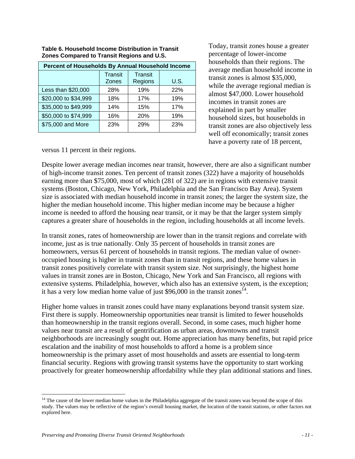| Percent of Households By Annual Household Income |                         |                           |      |  |
|--------------------------------------------------|-------------------------|---------------------------|------|--|
|                                                  | <b>Transit</b><br>Zones | <b>Transit</b><br>Regions | U.S. |  |
| Less than \$20,000                               | 28%                     | 19%                       | 22%  |  |
| \$20,000 to \$34,999                             | 18%                     | 17%                       | 19%  |  |
| \$35,000 to \$49,999                             | 14%                     | 15%                       | 17%  |  |
| \$50,000 to \$74,999                             | 16%                     | 20%                       | 19%  |  |
| \$75,000 and More                                | 23%                     | 29%                       | 23%  |  |

#### **Table 6. Household Income Distribution in Transit Zones Compared to Transit Regions and U.S.**

Today, transit zones house a greater percentage of lower-income households than their regions. The average median household income in transit zones is almost \$35,000, while the average regional median is almost \$47,000. Lower household incomes in transit zones are explained in part by smaller household sizes, but households in transit zones are also objectively less well off economically; transit zones have a poverty rate of 18 percent,

versus 11 percent in their regions.

Despite lower average median incomes near transit, however, there are also a significant number of high-income transit zones. Ten percent of transit zones (322) have a majority of households earning more than \$75,000, most of which (281 of 322) are in regions with extensive transit systems (Boston, Chicago, New York, Philadelphia and the San Francisco Bay Area). System size is associated with median household income in transit zones; the larger the system size, the higher the median household income. This higher median income may be because a higher income is needed to afford the housing near transit, or it may be that the larger system simply captures a greater share of households in the region, including households at all income levels.

In transit zones, rates of homeownership are lower than in the transit regions and correlate with income, just as is true nationally. Only 35 percent of households in transit zones are homeowners, versus 61 percent of households in transit regions. The median value of owneroccupied housing is higher in transit zones than in transit regions, and these home values in transit zones positively correlate with transit system size. Not surprisingly, the highest home values in transit zones are in Boston, Chicago, New York and San Francisco, all regions with extensive systems. Philadelphia, however, which also has an extensive system, is the exception; it has a very low median home value of just \$96,000 in the transit zones<sup>14</sup>.

Higher home values in transit zones could have many explanations beyond transit system size. First there is supply. Homeownership opportunities near transit is limited to fewer households than homeownership in the transit regions overall. Second, in some cases, much higher home values near transit are a result of gentrification as urban areas, downtowns and transit neighborhoods are increasingly sought out. Home appreciation has many benefits, but rapid price escalation and the inability of most households to afford a home is a problem since homeownership is the primary asset of most households and assets are essential to long-term financial security. Regions with growing transit systems have the opportunity to start working proactively for greater homeownership affordability while they plan additional stations and lines.

 $<sup>14</sup>$  The cause of the lower median home values in the Philadelphia aggregate of the transit zones was beyond the scope of this</sup> study. The values may be reflective of the region's overall housing market, the location of the transit stations, or other factors not explored here.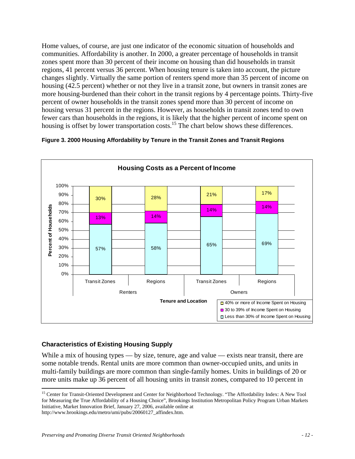Home values, of course, are just one indicator of the economic situation of households and communities. Affordability is another. In 2000, a greater percentage of households in transit zones spent more than 30 percent of their income on housing than did households in transit regions, 41 percent versus 36 percent. When housing tenure is taken into account, the picture changes slightly. Virtually the same portion of renters spend more than 35 percent of income on housing (42.5 percent) whether or not they live in a transit zone, but owners in transit zones are more housing-burdened than their cohort in the transit regions by 4 percentage points. Thirty-five percent of owner households in the transit zones spend more than 30 percent of income on housing versus 31 percent in the regions. However, as households in transit zones tend to own fewer cars than households in the regions, it is likely that the higher percent of income spent on housing is offset by lower transportation costs.<sup>15</sup> The chart below shows these differences.



#### **Figure 3. 2000 Housing Affordability by Tenure in the Transit Zones and Transit Regions**

### **Characteristics of Existing Housing Supply**

 $\overline{a}$ 

While a mix of housing types — by size, tenure, age and value — exists near transit, there are some notable trends. Rental units are more common than owner-occupied units, and units in multi-family buildings are more common than single-family homes. Units in buildings of 20 or more units make up 36 percent of all housing units in transit zones, compared to 10 percent in

<sup>&</sup>lt;sup>15</sup> Center for Transit-Oriented Development and Center for Neighborhood Technology. "The Affordability Index: A New Tool for Measuring the True Affordability of a Housing Choice", Brookings Institution Metropolitan Policy Program Urban Markets Initiative, Market Innovation Brief, January 27, 2006, available online at http://www.brookings.edu/metro/umi/pubs/20060127\_affindex.htm.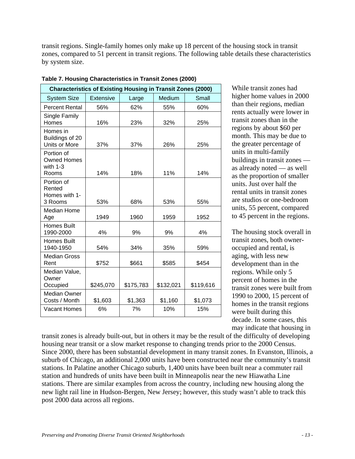transit regions. Single-family homes only make up 18 percent of the housing stock in transit zones, compared to 51 percent in transit regions. The following table details these characteristics by system size.

| <b>Characteristics of Existing Housing in Transit Zones (2000)</b> |                  |           |           |           |  |
|--------------------------------------------------------------------|------------------|-----------|-----------|-----------|--|
| <b>System Size</b>                                                 | <b>Extensive</b> | Large     | Medium    | Small     |  |
| <b>Percent Rental</b>                                              | 56%              | 62%       | 55%       | 60%       |  |
| Single Family<br>Homes                                             | 16%              | 23%       | 32%       | 25%       |  |
| Homes in<br>Buildings of 20<br><b>Units or More</b>                | 37%              | 37%       | 26%       | 25%       |  |
| Portion of<br><b>Owned Homes</b><br>with $1-3$<br>Rooms            | 14%              | 18%       | 11%       | 14%       |  |
| Portion of<br>Rented<br>Homes with 1-<br>3 Rooms                   | 53%              | 68%       | 53%       | 55%       |  |
| <b>Median Home</b><br>Age                                          | 1949             | 1960      | 1959      | 1952      |  |
| <b>Homes Built</b><br>1990-2000                                    | 4%               | 9%        | 9%        | 4%        |  |
| <b>Homes Built</b><br>1940-1950                                    | 54%              | 34%       | 35%       | 59%       |  |
| <b>Median Gross</b><br>Rent                                        | \$752            | \$661     | \$585     | \$454     |  |
| Median Value,<br>Owner<br>Occupied                                 | \$245,070        | \$175,783 | \$132,021 | \$119,616 |  |
| <b>Median Owner</b><br>Costs / Month                               | \$1,603          | \$1,363   | \$1,160   | \$1,073   |  |
| <b>Vacant Homes</b>                                                | 6%               | 7%        | 10%       | 15%       |  |

**Table 7. Housing Characteristics in Transit Zones (2000)** 

While transit zones had higher home values in 2000 than their regions, median rents actually were lower in transit zones than in the regions by about \$60 per month. This may be due to the greater percentage of units in multi-family buildings in transit zones as already noted — as well as the proportion of smaller units. Just over half the rental units in transit zones are studios or one-bedroom units, 55 percent, compared to 45 percent in the regions.

The housing stock overall in transit zones, both owneroccupied and rental, is aging, with less new development than in the regions. While only 5 percent of homes in the transit zones were built from 1990 to 2000, 15 percent of homes in the transit regions were built during this decade. In some cases, this may indicate that housing in

transit zones is already built-out, but in others it may be the result of the difficulty of developing housing near transit or a slow market response to changing trends prior to the 2000 Census. Since 2000, there has been substantial development in many transit zones. In Evanston, Illinois, a suburb of Chicago, an additional 2,000 units have been constructed near the community's transit stations. In Palatine another Chicago suburb, 1,400 units have been built near a commuter rail station and hundreds of units have been built in Minneapolis near the new Hiawatha Line stations. There are similar examples from across the country, including new housing along the new light rail line in Hudson-Bergen, New Jersey; however, this study wasn't able to track this post 2000 data across all regions.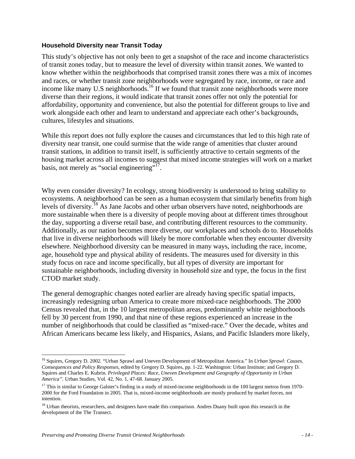#### **Household Diversity near Transit Today**

This study's objective has not only been to get a snapshot of the race and income characteristics of transit zones today, but to measure the level of diversity within transit zones. We wanted to know whether within the neighborhoods that comprised transit zones there was a mix of incomes and races, or whether transit zone neighborhoods were segregated by race, income, or race and income like many U.S neighborhoods.<sup>16</sup> If we found that transit zone neighborhoods were more diverse than their regions, it would indicate that transit zones offer not only the potential for affordability, opportunity and convenience, but also the potential for different groups to live and work alongside each other and learn to understand and appreciate each other's backgrounds, cultures, lifestyles and situations.

While this report does not fully explore the causes and circumstances that led to this high rate of diversity near transit, one could surmise that the wide range of amenities that cluster around transit stations, in addition to transit itself, is sufficiently attractive to certain segments of the housing market across all incomes to suggest that mixed income strategies will work on a market basis, not merely as "social engineering"<sup>17</sup>.

Why even consider diversity? In ecology, strong biodiversity is understood to bring stability to ecosystems. A neighborhood can be seen as a human ecosystem that similarly benefits from high levels of diversity.<sup>18</sup> As Jane Jacobs and other urban observers have noted, neighborhoods are more sustainable when there is a diversity of people moving about at different times throughout the day, supporting a diverse retail base, and contributing different resources to the community. Additionally, as our nation becomes more diverse, our workplaces and schools do to. Households that live in diverse neighborhoods will likely be more comfortable when they encounter diversity elsewhere. Neighborhood diversity can be measured in many ways, including the race, income, age, household type and physical ability of residents. The measures used for diversity in this study focus on race and income specifically, but all types of diversity are important for sustainable neighborhoods, including diversity in household size and type, the focus in the first CTOD market study.

The general demographic changes noted earlier are already having specific spatial impacts, increasingly redesigning urban America to create more mixed-race neighborhoods. The 2000 Census revealed that, in the 10 largest metropolitan areas, predominantly white neighborhoods fell by 30 percent from 1990, and that nine of these regions experienced an increase in the number of neighborhoods that could be classified as "mixed-race." Over the decade, whites and African Americans became less likely, and Hispanics, Asians, and Pacific Islanders more likely,

 $\overline{a}$ 16 Squires, Gregory D. 2002. "Urban Sprawl and Uneven Development of Metropolitan America." In *Urban Sprawl: Causes, Consequences and Policy Responses*, edited by Gregory D. Squires, pp. 1-22. Washington: Urban Institute; and Gregory D. Squires and Charles E. Kubrin. *Privileged Places: Race, Uneven Development and Geography of Opportunity in Urban America".* Urban Studies, Vol. 42, No. 1, 47-68. January 2005.

 $17$  This is similar to George Galster's finding in a study of mixed-income neighborhoods in the 100 largest metros from 1970-2000 for the Ford Foundation in 2005. That is, mixed-income neighborhoods are mostly produced by market forces, not intention.

<sup>&</sup>lt;sup>18</sup> Urban theorists, researchers, and designers have made this comparison. Andres Duany built upon this research in the development of the The Transect.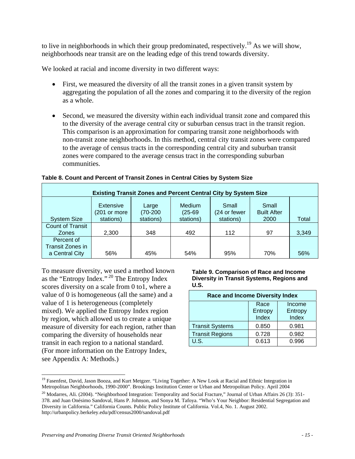to live in neighborhoods in which their group predominated, respectively.<sup>19</sup> As we will show, neighborhoods near transit are on the leading edge of this trend towards diversity.

We looked at racial and income diversity in two different ways:

- First, we measured the diversity of all the transit zones in a given transit system by aggregating the population of all the zones and comparing it to the diversity of the region as a whole.
- Second, we measured the diversity within each individual transit zone and compared this to the diversity of the average central city or suburban census tract in the transit region. This comparison is an approximation for comparing transit zone neighborhoods with non-transit zone neighborhoods. In this method, central city transit zones were compared to the average of census tracts in the corresponding central city and suburban transit zones were compared to the average census tract in the corresponding suburban communities.

| <b>Existing Transit Zones and Percent Central City by System Size</b> |                                        |                                  |                                         |                                    |                                     |       |
|-----------------------------------------------------------------------|----------------------------------------|----------------------------------|-----------------------------------------|------------------------------------|-------------------------------------|-------|
| <b>System Size</b>                                                    | Extensive<br>(201 or more<br>stations) | Large<br>$(70-200)$<br>stations) | <b>Medium</b><br>$(25-69)$<br>stations) | Small<br>(24 or fewer<br>stations) | Small<br><b>Built After</b><br>2000 | Total |
| <b>Count of Transit</b><br><b>Zones</b>                               | 2.300                                  | 348                              | 492                                     | 112                                | 97                                  | 3,349 |
| Percent of<br>Transit Zones in<br>a Central City                      | 56%                                    | 45%                              | 54%                                     | 95%                                | 70%                                 | 56%   |

#### **Table 8. Count and Percent of Transit Zones in Central Cities by System Size**

To measure diversity, we used a method known as the "Entropy Index."<sup>20</sup> The Entropy Index scores diversity on a scale from 0 to1, where a value of 0 is homogeneous (all the same) and a value of 1 is heterogeneous (completely mixed). We applied the Entropy Index region by region, which allowed us to create a unique measure of diversity for each region, rather than comparing the diversity of households near transit in each region to a national standard. (For more information on the Entropy Index, see Appendix A: Methods.)

 $\overline{a}$ 

**Table 9. Comparison of Race and Income Diversity in Transit Systems, Regions and U.S.** 

| <b>Race and Income Diversity Index</b> |         |         |  |  |
|----------------------------------------|---------|---------|--|--|
| Income<br>Race                         |         |         |  |  |
|                                        | Entropy | Entropy |  |  |
|                                        | Index   | Index   |  |  |
| <b>Transit Systems</b>                 | 0.850   | 0.981   |  |  |
| <b>Transit Regions</b>                 | 0.728   | 0.982   |  |  |
| U.S.                                   | 0.613   | 0.996   |  |  |

<sup>&</sup>lt;sup>19</sup> Fasenfest, David, Jason Booza, and Kurt Metgzer. "Living Together: A New Look at Racial and Ethnic Integration in Metropolitan Neighborhoods, 1990-2000". Brookings Institution Center or Urban and Metropolitan Policy. April 2004

<sup>&</sup>lt;sup>20</sup> Modarres, Ali. (2004). "Neighborhood Integration: Temporality and Social Fracture," Journal of Urban Affairs 26 (3): 351-378. and Juan Onésimo Sandoval, Hans P. Johnson, and Sonya M. Tafoya. "Who's Your Neighbor: Residential Segregation and Diversity in California." California Counts. Public Policy Institute of California. Vol.4, No. 1. August 2002. http://urbanpolicy.berkeley.edu/pdf/census2000/sandoval.pdf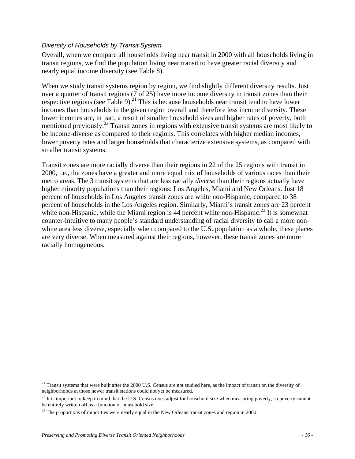#### *Diversity of Households by Transit System*

Overall, when we compare all households living near transit in 2000 with all households living in transit regions, we find the population living near transit to have greater racial diversity and nearly equal income diversity (see Table 8).

When we study transit systems region by region, we find slightly different diversity results. Just over a quarter of transit regions (7 of 25) have more income diversity in transit zones than their respective regions (see Table 9).<sup>21</sup> This is because households near transit tend to have lower incomes than households in the given region overall and therefore less income diversity. These lower incomes are, in part, a result of smaller household sizes and higher rates of poverty, both mentioned previously.<sup>22</sup> Transit zones in regions with extensive transit systems are most likely to be income-diverse as compared to their regions. This correlates with higher median incomes, lower poverty rates and larger households that characterize extensive systems, as compared with smaller transit systems.

Transit zones are more racially diverse than their regions in 22 of the 25 regions with transit in 2000, i.e., the zones have a greater and more equal mix of households of various races than their metro areas. The 3 transit systems that are less racially *diverse* than their regions actually have higher minority populations than their regions: Los Angeles, Miami and New Orleans. Just 18 percent of households in Los Angeles transit zones are white non-Hispanic, compared to 38 percent of households in the Los Angeles region. Similarly, Miami's transit zones are 23 percent white non-Hispanic, while the Miami region is 44 percent white non-Hispanic.<sup>23</sup> It is somewhat counter-intuitive to many people's standard understanding of racial diversity to call a more nonwhite area less diverse, especially when compared to the U.S. population as a whole, these places are very diverse. When measured against their regions, however, these transit zones are more racially homogeneous.

 $21$  Transit systems that were built after the 2000 U.S. Census are not studied here, as the impact of transit on the diversity of neighborhoods at those newer transit stations could not yet be measured.

 $22$  It is important to keep in mind that the U.S. Census does adjust for household size when measuring poverty, so poverty cannot be entirely written off as a function of household size

 $^{23}$  The proportions of minorities were nearly equal in the New Orleans transit zones and region in 2000.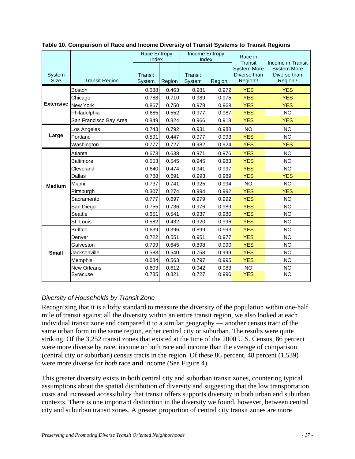|                       |                        | <b>Race Entropy</b><br>Index |        | <b>Income Entropy</b><br>Index |        | Race in<br>Transit                            | Income in Transit                             |
|-----------------------|------------------------|------------------------------|--------|--------------------------------|--------|-----------------------------------------------|-----------------------------------------------|
| System<br><b>Size</b> | <b>Transit Region</b>  | Transit<br>System            | Region | <b>Transit</b><br>System       | Region | <b>System More</b><br>Diverse than<br>Region? | <b>System More</b><br>Diverse than<br>Region? |
| <b>Extensive</b>      | Boston                 | 0.688                        | 0.463  | 0.981                          | 0.972  | <b>YES</b>                                    | <b>YES</b>                                    |
|                       | Chicago                | 0.788                        | 0.710  | 0.989                          | 0.975  | <b>YES</b>                                    | <b>YES</b>                                    |
|                       | <b>New York</b>        | 0.867                        | 0.750  | 0.978                          | 0.968  | <b>YES</b>                                    | <b>YES</b>                                    |
|                       | Philadelphia           | 0.685                        | 0.552  | 0.977                          | 0.987  | <b>YES</b>                                    | <b>NO</b>                                     |
|                       | San Francisco Bay Area | 0.849                        | 0.824  | 0.966                          | 0.918  | <b>YES</b>                                    | <b>YES</b>                                    |
| Large                 | Los Angeles            | 0.743                        | 0.792  | 0.931                          | 0.988  | <b>NO</b>                                     | <b>NO</b>                                     |
|                       | Portland               | 0.591                        | 0.447  | 0.977                          | 0.993  | <b>YES</b>                                    | <b>NO</b>                                     |
|                       | Washington             | 0.777                        | 0.727  | 0.982                          | 0.924  | <b>YES</b>                                    | <b>YES</b>                                    |
|                       | Atlanta                | 0.673                        | 0.638  | 0.971                          | 0.976  | <b>YES</b>                                    | <b>NO</b>                                     |
|                       | <b>Baltimore</b>       | 0.553                        | 0.545  | 0.945                          | 0.983  | <b>YES</b>                                    | <b>NO</b>                                     |
|                       | Cleveland              | 0.640                        | 0.474  | 0.941                          | 0.997  | <b>YES</b>                                    | <b>NO</b>                                     |
|                       | <b>Dallas</b>          | 0.788                        | 0.691  | 0.993                          | 0.989  | <b>YES</b>                                    | <b>YES</b>                                    |
| <b>Medium</b>         | Miami                  | 0.737                        | 0.741  | 0.925                          | 0.994  | <b>NO</b>                                     | NO.                                           |
|                       | Pittsburgh             | 0.307                        | 0.274  | 0.994                          | 0.992  | <b>YES</b>                                    | <b>YES</b>                                    |
|                       | Sacramento             | 0.777                        | 0.697  | 0.979                          | 0.992  | <b>YES</b>                                    | <b>NO</b>                                     |
|                       | San Diego              | 0.755                        | 0.736  | 0.976                          | 0.989  | <b>YES</b>                                    | <b>NO</b>                                     |
|                       | Seattle                | 0.651                        | 0.541  | 0.937                          | 0.980  | <b>YES</b>                                    | <b>NO</b>                                     |
|                       | St. Louis              | 0.582                        | 0.432  | 0.920                          | 0.996  | <b>YES</b>                                    | <b>NO</b>                                     |
|                       | <b>Buffalo</b>         | 0.639                        | 0.396  | 0.899                          | 0.993  | <b>YES</b>                                    | <b>NO</b>                                     |
| <b>Small</b>          | Denver                 | 0.722                        | 0.551  | 0.951                          | 0.977  | <b>YES</b>                                    | <b>NO</b>                                     |
|                       | Galveston              | 0.799                        | 0.645  | 0.898                          | 0.990  | <b>YES</b>                                    | <b>NO</b>                                     |
|                       | Jacksonville           | 0.583                        | 0.540  | 0.758                          | 0.999  | <b>YES</b>                                    | <b>NO</b>                                     |
|                       | Memphis                | 0.684                        | 0.563  | 0.797                          | 0.995  | <b>YES</b>                                    | <b>NO</b>                                     |
|                       | New Orleans            | 0.603                        | 0.612  | 0.942                          | 0.983  | <b>NO</b>                                     | <b>NO</b>                                     |
|                       | Syracuse               | 0.735                        | 0.321  | 0.727                          | 0.996  | <b>YES</b>                                    | <b>NO</b>                                     |

**Table 10. Comparison of Race and Income Diversity of Transit Systems to Transit Regions** 

### *Diversity of Households by Transit Zone*

Recognizing that it is a lofty standard to measure the diversity of the population within one-half mile of transit against all the diversity within an entire transit region, we also looked at each individual transit zone and compared it to a similar geography — another census tract of the same urban form in the same region, either central city or suburban. The results were quite striking. Of the 3,252 transit zones that existed at the time of the 2000 U.S. Census, 86 percent were more diverse by race, income or both race and income than the average of comparison (central city or suburban) census tracts in the region. Of these 86 percent, 48 percent (1,539) were more diverse for *both* race **and** income (See Figure 4).

This greater diversity exists in both central city and suburban transit zones, countering typical assumptions about the spatial distribution of diversity and suggesting that the low transportation costs and increased accessibility that transit offers supports diversity in both urban and suburban contexts. There is one important distinction in the diversity we found, however, between central city and suburban transit zones. A greater proportion of central city transit zones are more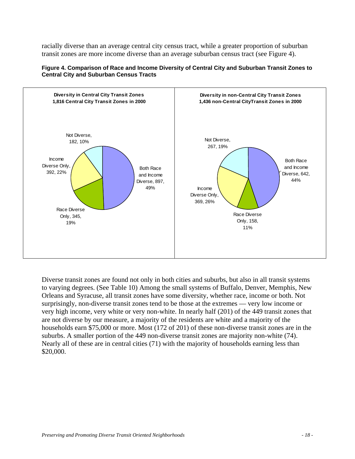racially diverse than an average central city census tract, while a greater proportion of suburban transit zones are more income diverse than an average suburban census tract (see Figure 4).



**Figure 4. Comparison of Race and Income Diversity of Central City and Suburban Transit Zones to Central City and Suburban Census Tracts** 

Diverse transit zones are found not only in both cities and suburbs, but also in all transit systems to varying degrees. (See Table 10) Among the small systems of Buffalo, Denver, Memphis, New Orleans and Syracuse, all transit zones have some diversity, whether race, income or both. Not surprisingly, non-diverse transit zones tend to be those at the extremes — very low income or very high income, very white or very non-white. In nearly half (201) of the 449 transit zones that are not diverse by our measure, a majority of the residents are white and a majority of the households earn \$75,000 or more. Most (172 of 201) of these non-diverse transit zones are in the suburbs. A smaller portion of the 449 non-diverse transit zones are majority non-white (74). Nearly all of these are in central cities (71) with the majority of households earning less than \$20,000.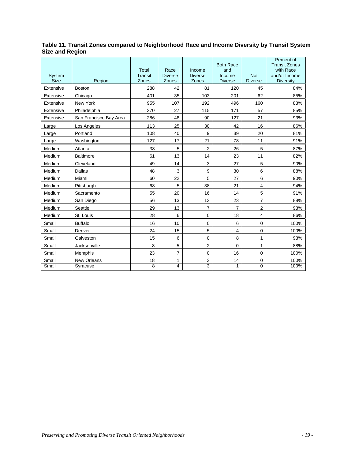| Table 11. Transit Zones compared to Neighborhood Race and Income Diversity by Transit System |  |
|----------------------------------------------------------------------------------------------|--|
| <b>Size and Region</b>                                                                       |  |

| System<br>Size | Region                 | Total<br><b>Transit</b><br>Zones | Race<br><b>Diverse</b><br>Zones | Income<br><b>Diverse</b><br>Zones | <b>Both Race</b><br>and<br>Income<br><b>Diverse</b> | <b>Not</b><br><b>Diverse</b> | Percent of<br><b>Transit Zones</b><br>with Race<br>and/or Income<br><b>Diversity</b> |
|----------------|------------------------|----------------------------------|---------------------------------|-----------------------------------|-----------------------------------------------------|------------------------------|--------------------------------------------------------------------------------------|
| Extensive      | <b>Boston</b>          | 288                              | 42                              | 81                                | 120                                                 | 45                           | 84%                                                                                  |
| Extensive      | Chicago                | 401                              | 35                              | 103                               | 201                                                 | 62                           | 85%                                                                                  |
| Extensive      | New York               | 955                              | 107                             | 192                               | 496                                                 | 160                          | 83%                                                                                  |
| Extensive      | Philadelphia           | 370                              | 27                              | 115                               | 171                                                 | 57                           | 85%                                                                                  |
| Extensive      | San Francisco Bay Area | 286                              | 48                              | 90                                | 127                                                 | 21                           | 93%                                                                                  |
| Large          | Los Angeles            | 113                              | 25                              | 30                                | 42                                                  | 16                           | 86%                                                                                  |
| Large          | Portland               | 108                              | 40                              | 9                                 | 39                                                  | 20                           | 81%                                                                                  |
| Large          | Washington             | 127                              | 17                              | 21                                | 78                                                  | 11                           | 91%                                                                                  |
| Medium         | Atlanta                | 38                               | 5                               | $\overline{2}$                    | 26                                                  | 5                            | 87%                                                                                  |
| Medium         | <b>Baltimore</b>       | 61                               | 13                              | 14                                | 23                                                  | 11                           | 82%                                                                                  |
| Medium         | Cleveland              | 49                               | 14                              | 3                                 | 27                                                  | 5                            | 90%                                                                                  |
| Medium         | Dallas                 | 48                               | 3                               | 9                                 | 30                                                  | 6                            | 88%                                                                                  |
| Medium         | Miami                  | 60                               | 22                              | 5                                 | 27                                                  | 6                            | 90%                                                                                  |
| Medium         | Pittsburgh             | 68                               | 5                               | 38                                | 21                                                  | 4                            | 94%                                                                                  |
| Medium         | Sacramento             | 55                               | 20                              | 16                                | 14                                                  | 5                            | 91%                                                                                  |
| Medium         | San Diego              | 56                               | 13                              | 13                                | 23                                                  | $\overline{7}$               | 88%                                                                                  |
| Medium         | Seattle                | 29                               | 13                              | $\overline{7}$                    | $\overline{7}$                                      | 2                            | 93%                                                                                  |
| Medium         | St. Louis              | 28                               | 6                               | $\mathbf 0$                       | 18                                                  | $\overline{\mathbf{4}}$      | 86%                                                                                  |
| Small          | <b>Buffalo</b>         | 16                               | 10                              | 0                                 | 6                                                   | $\mathbf 0$                  | 100%                                                                                 |
| Small          | Denver                 | 24                               | 15                              | 5                                 | 4                                                   | 0                            | 100%                                                                                 |
| Small          | Galveston              | 15                               | 6                               | 0                                 | 8                                                   | $\mathbf{1}$                 | 93%                                                                                  |
| Small          | Jacksonville           | 8                                | 5                               | $\overline{2}$                    | 0                                                   | 1                            | 88%                                                                                  |
| Small          | Memphis                | 23                               | 7                               | $\mathbf 0$                       | 16                                                  | 0                            | 100%                                                                                 |
| Small          | <b>New Orleans</b>     | 18                               | 1                               | 3                                 | 14                                                  | 0                            | 100%                                                                                 |
| Small          | Syracuse               | 8                                | 4                               | 3                                 | 1                                                   | 0                            | 100%                                                                                 |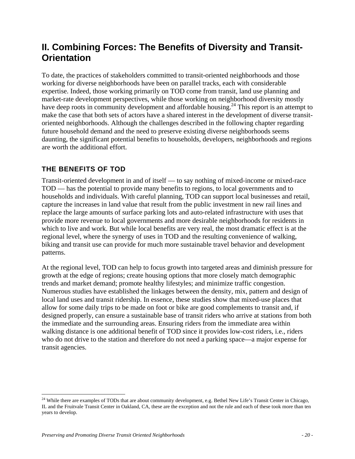# **II. Combining Forces: The Benefits of Diversity and Transit-Orientation**

To date, the practices of stakeholders committed to transit-oriented neighborhoods and those working for diverse neighborhoods have been on parallel tracks, each with considerable expertise. Indeed, those working primarily on TOD come from transit, land use planning and market-rate development perspectives, while those working on neighborhood diversity mostly have deep roots in community development and affordable housing.<sup>24</sup> This report is an attempt to make the case that both sets of actors have a shared interest in the development of diverse transitoriented neighborhoods. Although the challenges described in the following chapter regarding future household demand and the need to preserve existing diverse neighborhoods seems daunting, the significant potential benefits to households, developers, neighborhoods and regions are worth the additional effort.

## **THE BENEFITS OF TOD**

Transit-oriented development in and of itself — to say nothing of mixed-income or mixed-race TOD — has the potential to provide many benefits to regions, to local governments and to households and individuals. With careful planning, TOD can support local businesses and retail, capture the increases in land value that result from the public investment in new rail lines and replace the large amounts of surface parking lots and auto-related infrastructure with uses that provide more revenue to local governments and more desirable neighborhoods for residents in which to live and work. But while local benefits are very real, the most dramatic effect is at the regional level, where the synergy of uses in TOD and the resulting convenience of walking, biking and transit use can provide for much more sustainable travel behavior and development patterns.

At the regional level, TOD can help to focus growth into targeted areas and diminish pressure for growth at the edge of regions; create housing options that more closely match demographic trends and market demand; promote healthy lifestyles; and minimize traffic congestion. Numerous studies have established the linkages between the density, mix, pattern and design of local land uses and transit ridership. In essence, these studies show that mixed-use places that allow for some daily trips to be made on foot or bike are good complements to transit and, if designed properly, can ensure a sustainable base of transit riders who arrive at stations from both the immediate and the surrounding areas. Ensuring riders from the immediate area within walking distance is one additional benefit of TOD since it provides low-cost riders, i.e., riders who do not drive to the station and therefore do not need a parking space—a major expense for transit agencies.

<sup>&</sup>lt;sup>24</sup> While there are examples of TODs that are about community development, e.g. Bethel New Life's Transit Center in Chicago, IL and the Fruitvale Transit Center in Oakland, CA, these are the exception and not the rule and each of these took more than ten years to develop.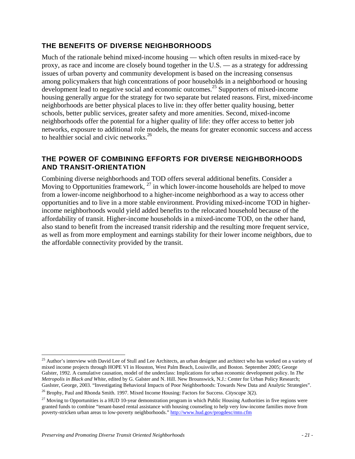### **THE BENEFITS OF DIVERSE NEIGHBORHOODS**

Much of the rationale behind mixed-income housing — which often results in mixed-race by proxy, as race and income are closely bound together in the U.S. — as a strategy for addressing issues of urban poverty and community development is based on the increasing consensus among policymakers that high concentrations of poor households in a neighborhood or housing development lead to negative social and economic outcomes.25 Supporters of mixed-income housing generally argue for the strategy for two separate but related reasons. First, mixed-income neighborhoods are better physical places to live in: they offer better quality housing, better schools, better public services, greater safety and more amenities. Second, mixed-income neighborhoods offer the potential for a higher quality of life: they offer access to better job networks, exposure to additional role models, the means for greater economic success and access to healthier social and civic networks.<sup>26</sup>

### **THE POWER OF COMBINING EFFORTS FOR DIVERSE NEIGHBORHOODS AND TRANSIT-ORIENTATION**

Combining diverse neighborhoods and TOD offers several additional benefits. Consider a Moving to Opportunities framework,  $^{27}$  in which lower-income households are helped to move from a lower-income neighborhood to a higher-income neighborhood as a way to access other opportunities and to live in a more stable environment. Providing mixed-income TOD in higherincome neighborhoods would yield added benefits to the relocated household because of the affordability of transit. Higher-income households in a mixed-income TOD, on the other hand, also stand to benefit from the increased transit ridership and the resulting more frequent service, as well as from more employment and earnings stability for their lower income neighbors, due to the affordable connectivity provided by the transit.

<sup>&</sup>lt;sup>25</sup> Author's interview with David Lee of Stull and Lee Architects, an urban designer and architect who has worked on a variety of mixed income projects through HOPE VI in Houston, West Palm Beach, Louisville, and Boston. September 2005; George Galster, 1992. A cumulative causation, model of the underclass: Implications for urban economic development policy. In *The Metropolis in Black and White,* edited by G. Galster and N. Hill. New Brounswick, N.J.: Center for Urban Policy Research; Gaslster, George, 2003. "Investigating Behavioral Impacts of Poor Neighborhoods: Towards New Data and Analytic Strategies".

<sup>26</sup> Brophy, Paul and Rhonda Smith. 1997. Mixed Income Housing: Factors for Success. *Cityscape* 3(2).

 $27$  Moving to Opportunities is a HUD 10-year demonstration program in which Public Housing Authorities in five regions were granted funds to combine "tenant-based rental assistance with housing counseling to help very low-income families move from poverty-stricken urban areas to low-poverty neighborhoods." http://www.hud.gov/progdesc/mto.cfm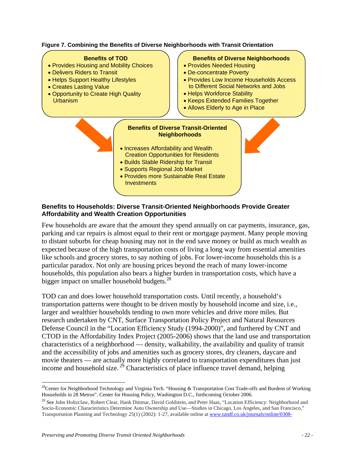

#### **Benefits to Households: Diverse Transit-Oriented Neighborhoods Provide Greater Affordability and Wealth Creation Opportunities**

Few households are aware that the amount they spend annually on car payments, insurance, gas, parking and car repairs is almost equal to their rent or mortgage payment. Many people moving to distant suburbs for cheap housing may not in the end save money or build as much wealth as expected because of the high transportation costs of living a long way from essential amenities like schools and grocery stores, to say nothing of jobs. For lower-income households this is a particular paradox. Not only are housing prices beyond the reach of many lower-income households, this population also bears a higher burden in transportation costs, which have a bigger impact on smaller household budgets.<sup>28</sup>

TOD can and does lower household transportation costs. Until recently, a household's transportation patterns were thought to be driven mostly by household income and size, i.e., larger and wealthier households tending to own more vehicles and drive more miles. But research undertaken by CNT, Surface Transportation Policy Project and Natural Resources Defense Council in the "Location Efficiency Study (1994-2000)", and furthered by CNT and CTOD in the Affordability Index Project (2005-2006) shows that the land use and transportation characteristics of a neighborhood — density, walkability, the availability and quality of transit and the accessibility of jobs and amenities such as grocery stores, dry cleaners, daycare and movie theaters — are actually more highly correlated to transportation expenditures than just income and household size.  $^{29}$  Characteristics of place influence travel demand, helping

 $\overline{a}$  $28$ Center for Neighborhood Technology and Virginia Tech. "Housing & Transportation Cost Trade-offs and Burdens of Working Households in 28 Metros". Center for Housing Policy, Washington D.C., forthcoming October 2006.

<sup>&</sup>lt;sup>29</sup> See John Holtzclaw, Robert Clear, Hank Dittmar, David Goldstein, and Peter Haas, "Location Efficiency: Neighborhood and Socio-Economic Characteristics Determine Auto Ownership and Use—Studies in Chicago, Los Angeles, and San Francisco," Transportation Planning and Technology 25(1) (2002): 1-27, available online at www.tandf.co.uk/journals/online/0308-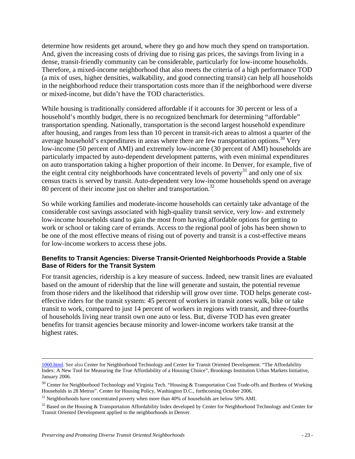determine how residents get around, where they go and how much they spend on transportation. And, given the increasing costs of driving due to rising gas prices, the savings from living in a dense, transit-friendly community can be considerable, particularly for low-income households. Therefore, a mixed-income neighborhood that also meets the criteria of a high performance TOD (a mix of uses, higher densities, walkability, and good connecting transit) can help all households in the neighborhood reduce their transportation costs more than if the neighborhood were diverse or mixed-income, but didn't have the TOD characteristics.

While housing is traditionally considered affordable if it accounts for 30 percent or less of a household's monthly budget, there is no recognized benchmark for determining "affordable" transportation spending. Nationally, transportation is the second largest household expenditure after housing, and ranges from less than 10 percent in transit-rich areas to almost a quarter of the average household's expenditures in areas where there are few transportation options.<sup>30</sup> Very low-income (50 percent of AMI) and extremely low-income (30 percent of AMI) households are particularly impacted by auto-dependent development patterns, with even minimal expenditures on auto transportation taking a higher proportion of their income. In Denver, for example, five of the eight central city neighborhoods have concentrated levels of poverty $31$  and only one of six census tracts is served by transit. Auto-dependent very low-income households spend on average 80 percent of their income just on shelter and transportation.<sup>32</sup>

So while working families and moderate-income households can certainly take advantage of the considerable cost savings associated with high-quality transit service, very low- and extremely low-income households stand to gain the most from having affordable options for getting to work or school or taking care of errands. Access to the regional pool of jobs has been shown to be one of the most effective means of rising out of poverty and transit is a cost-effective means for low-income workers to access these jobs.

#### **Benefits to Transit Agencies: Diverse Transit-Oriented Neighborhoods Provide a Stable Base of Riders for the Transit System**

For transit agencies, ridership is a key measure of success. Indeed, new transit lines are evaluated based on the amount of ridership that the line will generate and sustain, the potential revenue from those riders and the likelihood that ridership will grow over time. TOD helps generate costeffective riders for the transit system: 45 percent of workers in transit zones walk, bike or take transit to work, compared to just 14 percent of workers in regions with transit, and three-fourths of households living near transit own one auto or less. But, diverse TOD has even greater benefits for transit agencies because minority and lower-income workers take transit at the highest rates.

 <sup>1060.</sup>html. See also Center for Neighborhood Technology and Center for Transit Oriented Development. "The Affordability Index: A New Tool for Measuring the True Affordability of a Housing Choice", Brookings Institution Urban Markets Initiative, January 2006.

<sup>&</sup>lt;sup>30</sup> Center for Neighborhood Technology and Virginia Tech. "Housing & Transportation Cost Trade-offs and Burdens of Working Households in 28 Metros". Center for Housing Policy, Washington D.C., forthcoming October 2006.

 $31$  Neighborhoods have concentrated poverty when more than 40% of households are below 50% AMI.

 $32$  Based on the Housing & Transportation Affordability Index developed by Center for Neighborhood Technology and Center for Transit Oriented Development applied to the neighborhoods in Denver.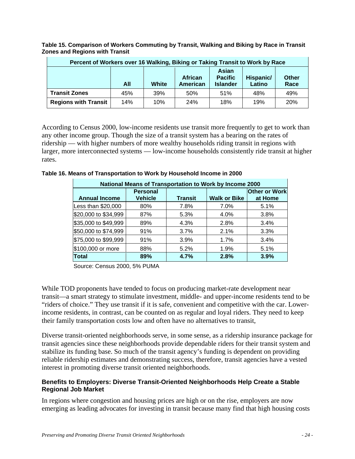**Percent of Workers over 16 Walking, Biking or Taking Transit to Work by Race All White African American Asian Pacific Islander Hispanic/ Latino Other Race Transit Zones** 45% 39% 50% 51% 48% 49% **Regions with Transit** 14% 10% 24% 18% 19% 20%

**Table 15. Comparison of Workers Commuting by Transit, Walking and Biking by Race in Transit Zones and Regions with Transit** 

According to Census 2000, low-income residents use transit more frequently to get to work than any other income group. Though the size of a transit system has a bearing on the rates of ridership — with higher numbers of more wealthy households riding transit in regions with larger, more interconnected systems — low-income households consistently ride transit at higher rates.

> \$20,000 to \$34,999 87% 5.3% 4.0% 3.8%  $$35,000$  to  $$49,999$   $89\%$   $4.3\%$   $2.8\%$   $3.4\%$ \$50,000 to \$74,999 91% 3.7% 2.1% 3.3% \$75,000 to \$99,999 91% 3.9% 1.7% 3.4%  $$100.000$  or more  $\vert$  88%  $\vert$  5.2%  $\vert$  1.9%  $\vert$  5.1% **Total 89% 4.7% 2.8% 3.9%**

| National Means of Transportation to Work by Income 2000 |                                   |                |                     |                                 |  |  |  |
|---------------------------------------------------------|-----------------------------------|----------------|---------------------|---------------------------------|--|--|--|
| <b>Annual Income</b>                                    | <b>Personal</b><br><b>Vehicle</b> | <b>Transit</b> | <b>Walk or Bike</b> | <b>Other or Work</b><br>at Home |  |  |  |
| Less than \$20,000                                      | 80%                               | 7.8%           | 7.0%                | 5.1%                            |  |  |  |

**Table 16. Means of Transportation to Work by Household Income in 2000** 

Source: Census 2000, 5% PUMA

While TOD proponents have tended to focus on producing market-rate development near transit—a smart strategy to stimulate investment, middle- and upper-income residents tend to be "riders of choice." They use transit if it is safe, convenient and competitive with the car. Lowerincome residents, in contrast, can be counted on as regular and loyal riders. They need to keep their family transportation costs low and often have no alternatives to transit,

Diverse transit-oriented neighborhoods serve, in some sense, as a ridership insurance package for transit agencies since these neighborhoods provide dependable riders for their transit system and stabilize its funding base. So much of the transit agency's funding is dependent on providing reliable ridership estimates and demonstrating success, therefore, transit agencies have a vested interest in promoting diverse transit oriented neighborhoods.

#### **Benefits to Employers: Diverse Transit-Oriented Neighborhoods Help Create a Stable Regional Job Market**

In regions where congestion and housing prices are high or on the rise, employers are now emerging as leading advocates for investing in transit because many find that high housing costs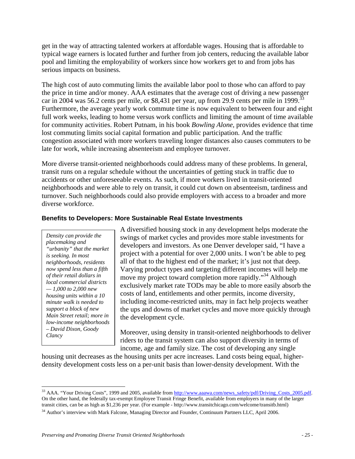get in the way of attracting talented workers at affordable wages. Housing that is affordable to typical wage earners is located further and further from job centers, reducing the available labor pool and limiting the employability of workers since how workers get to and from jobs has serious impacts on business.

The high cost of auto commuting limits the available labor pool to those who can afford to pay the price in time and/or money. AAA estimates that the average cost of driving a new passenger car in 2004 was 56.2 cents per mile, or \$8,431 per year, up from 29.9 cents per mile in 1999.<sup>33</sup> Furthermore, the average yearly work commute time is now equivalent to between four and eight full work weeks, leading to home versus work conflicts and limiting the amount of time available for community activities. Robert Putnam, in his book *Bowling Alone,* provides evidence that time lost commuting limits social capital formation and public participation. And the traffic congestion associated with more workers traveling longer distances also causes commuters to be late for work, while increasing absenteeism and employee turnover.

More diverse transit-oriented neighborhoods could address many of these problems. In general, transit runs on a regular schedule without the uncertainties of getting stuck in traffic due to accidents or other unforeseeable events. As such, if more workers lived in transit-oriented neighborhoods and were able to rely on transit, it could cut down on absenteeism, tardiness and turnover. Such neighborhoods could also provide employers with access to a broader and more diverse workforce.

#### **Benefits to Developers: More Sustainable Real Estate Investments**

*Density can provide the placemaking and "urbanity" that the market is seeking. In most neighborhoods, residents now spend less than a fifth of their retail dollars in local commercial districts — 1,000 to 2,000 new housing units within a 10 minute walk is needed to support a block of new Main Street retail; more in low-income neighborhoods – David Dixon, Goody Clancy* 

A diversified housing stock in any development helps moderate the swings of market cycles and provides more stable investments for developers and investors. As one Denver developer said, "I have a project with a potential for over 2,000 units. I won't be able to peg all of that to the highest end of the market; it's just not that deep. Varying product types and targeting different incomes will help me move my project toward completion more rapidly."<sup>34</sup> Although exclusively market rate TODs may be able to more easily absorb the costs of land, entitlements and other permits, income diversity, including income-restricted units, may in fact help projects weather the ups and downs of market cycles and move more quickly through the development cycle.

Moreover, using density in transit-oriented neighborhoods to deliver riders to the transit system can also support diversity in terms of income, age and family size. The cost of developing any single

housing unit decreases as the housing units per acre increases. Land costs being equal, higherdensity development costs less on a per-unit basis than lower-density development. With the

 $\overline{a}$ <sup>33</sup> AAA. "Your Driving Costs", 1999 and 2005, available from http://www.aaawa.com/news\_safety/pdf/Driving\_Costs\_2005.pdf. On the other hand, the federally tax-exempt Employee Transit Fringe Benefit, available from employers in many of the larger transit cities, can be as high as \$1,236 per year. (For example - http://www.transitchicago.com/welcome/transitb.html)

<sup>34</sup> Author's interview with Mark Falcone, Managing Director and Founder, Continuum Partners LLC, April 2006.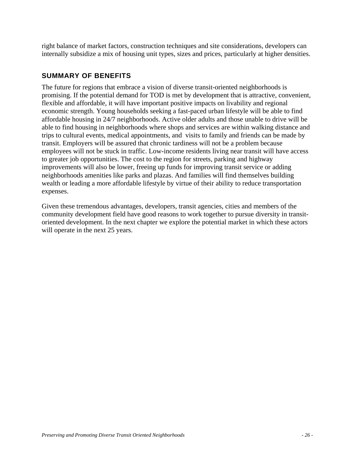right balance of market factors, construction techniques and site considerations, developers can internally subsidize a mix of housing unit types, sizes and prices, particularly at higher densities.

## **SUMMARY OF BENEFITS**

The future for regions that embrace a vision of diverse transit-oriented neighborhoods is promising. If the potential demand for TOD is met by development that is attractive, convenient, flexible and affordable, it will have important positive impacts on livability and regional economic strength. Young households seeking a fast-paced urban lifestyle will be able to find affordable housing in 24/7 neighborhoods. Active older adults and those unable to drive will be able to find housing in neighborhoods where shops and services are within walking distance and trips to cultural events, medical appointments, and visits to family and friends can be made by transit. Employers will be assured that chronic tardiness will not be a problem because employees will not be stuck in traffic. Low-income residents living near transit will have access to greater job opportunities. The cost to the region for streets, parking and highway improvements will also be lower, freeing up funds for improving transit service or adding neighborhoods amenities like parks and plazas. And families will find themselves building wealth or leading a more affordable lifestyle by virtue of their ability to reduce transportation expenses.

Given these tremendous advantages, developers, transit agencies, cities and members of the community development field have good reasons to work together to pursue diversity in transitoriented development. In the next chapter we explore the potential market in which these actors will operate in the next 25 years.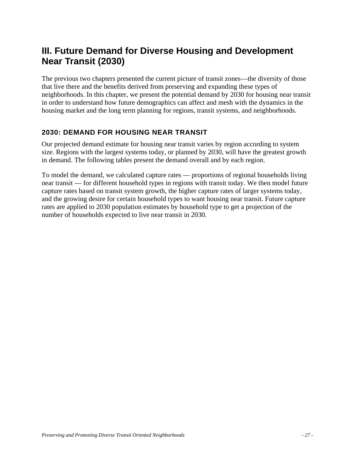## **III. Future Demand for Diverse Housing and Development Near Transit (2030)**

The previous two chapters presented the current picture of transit zones—the diversity of those that live there and the benefits derived from preserving and expanding these types of neighborhoods. In this chapter, we present the potential demand by 2030 for housing near transit in order to understand how future demographics can affect and mesh with the dynamics in the housing market and the long term planning for regions, transit systems, and neighborhoods.

## **2030: DEMAND FOR HOUSING NEAR TRANSIT**

Our projected demand estimate for housing near transit varies by region according to system size. Regions with the largest systems today, or planned by 2030, will have the greatest growth in demand. The following tables present the demand overall and by each region.

To model the demand, we calculated capture rates — proportions of regional households living near transit — for different household types in regions with transit today. We then model future capture rates based on transit system growth, the higher capture rates of larger systems today, and the growing desire for certain household types to want housing near transit. Future capture rates are applied to 2030 population estimates by household type to get a projection of the number of households expected to live near transit in 2030.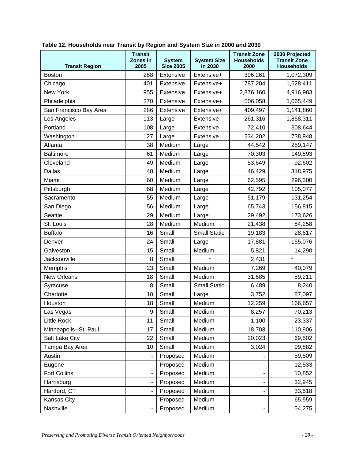|                        | <b>Transit</b><br>Zones in<br><b>System</b><br><b>Size 2005</b><br>2005<br>in 2030<br><b>Transit Region</b> |                  | <b>System Size</b>  | <b>Transit Zone</b><br><b>Households</b><br>2000 | 2030 Projected<br><b>Transit Zone</b><br><b>Households</b> |
|------------------------|-------------------------------------------------------------------------------------------------------------|------------------|---------------------|--------------------------------------------------|------------------------------------------------------------|
| <b>Boston</b>          | 288                                                                                                         | Extensive        | Extensive+          | 396,261                                          | 1,072,309                                                  |
| Chicago                | 401                                                                                                         | <b>Extensive</b> | Extensive+          | 787,204                                          | 1,628,411                                                  |
| New York               | 955                                                                                                         | Extensive        | Extensive+          | 2,876,160                                        | 4,916,983                                                  |
| Philadelphia           | 370                                                                                                         | Extensive        | Extensive+          | 506,058                                          | 1,065,449                                                  |
| San Francisco Bay Area | 286                                                                                                         | Extensive        | Extensive+          | 409,497                                          | 1,141,860                                                  |
| Los Angeles            | 113                                                                                                         | Large            | Extensive           | 261,316                                          | 1,858,311                                                  |
| Portland               | 108                                                                                                         | Large            | Extensive           | 72,410                                           | 308,644                                                    |
| Washington             | 127                                                                                                         | Large            | Extensive           | 234,202                                          | 738,948                                                    |
| Atlanta                | 38                                                                                                          | Medium           | Large               | 44,542                                           | 259,147                                                    |
| <b>Baltimore</b>       | 61                                                                                                          | Medium           | Large               | 70,303                                           | 149,893                                                    |
| Cleveland              | 49                                                                                                          | Medium           | Large               | 53,649                                           | 92,602                                                     |
| <b>Dallas</b>          | 48                                                                                                          | Medium           | Large               | 46,429                                           | 318,975                                                    |
| Miami                  | 60                                                                                                          | Medium           | Large               | 62,595                                           | 296,300                                                    |
| Pittsburgh             | 68                                                                                                          | Medium           | Large               | 42,792                                           | 105,077                                                    |
| Sacramento             | 55                                                                                                          | Medium           | Large               | 51,179                                           | 131,254                                                    |
| San Diego              | 56                                                                                                          | Medium           | Large               | 65,743                                           | 156,815                                                    |
| Seattle                | 29                                                                                                          | Medium           | Large               | 29,492                                           | 173,626                                                    |
| St. Louis              | 28                                                                                                          | Medium           | Medium              | 21,438                                           | 84,258                                                     |
| <b>Buffalo</b>         | 16                                                                                                          | Small            | <b>Small Static</b> | 19,183                                           | 28,617                                                     |
| Denver                 | 24                                                                                                          | Small            | Large               | 17,881                                           | 155,076                                                    |
| Galveston              | 15                                                                                                          | Small            | Medium              | 5,821                                            | 14,290                                                     |
| Jacksonville           | 8                                                                                                           | Small            | $\star$             | 2,431                                            | $\star$                                                    |
| Memphis                | 23                                                                                                          | Small            | Medium              | 7,269                                            | 40,079                                                     |
| <b>New Orleans</b>     | 18                                                                                                          | Small            | Medium              | 31,685                                           | 59,211                                                     |
| Syracuse               | 8                                                                                                           | Small            | <b>Small Static</b> | 6,489                                            | 8,240                                                      |
| Charlotte              | 10                                                                                                          | Small            | Large               | 3,752                                            | 87,097                                                     |
| Houston                | 18                                                                                                          | Small            | Medium              | 12,259                                           | 166,657                                                    |
| Las Vegas              | 9                                                                                                           | Small            | Medium              | 8,257                                            | 70,213                                                     |
| Little Rock            | 11                                                                                                          | Small            | Medium              | 1,100                                            | 23,337                                                     |
| Minneapolis--St. Paul  | 17                                                                                                          | Small            | Medium              | 18,703                                           | 110,906                                                    |
| Salt Lake City         | 22                                                                                                          | Small            | Medium              | 20,023                                           | 69,502                                                     |
| Tampa Bay Area         | 10                                                                                                          | Small            | Medium              | 3,024                                            | 99,882                                                     |
| Austin                 | $\qquad \qquad \blacksquare$                                                                                | Proposed         | Medium              |                                                  | 59,509                                                     |
| Eugene                 | $\qquad \qquad \blacksquare$                                                                                | Proposed         | Medium              |                                                  | 12,533                                                     |
| Fort Collins           | $\overline{\phantom{a}}$                                                                                    | Proposed         | Medium              |                                                  | 10,852                                                     |
| Harrisburg             | $\overline{\phantom{a}}$                                                                                    | Proposed         | Medium              |                                                  | 32,945                                                     |
| Hartford, CT           | $\qquad \qquad \blacksquare$                                                                                | Proposed         | Medium              |                                                  | 33,518                                                     |
| Kansas City            | $\overline{\phantom{m}}$                                                                                    | Proposed         | Medium              |                                                  | 65,559                                                     |
| Nashville              | $\overline{\phantom{a}}$                                                                                    | Proposed         | Medium              |                                                  | 54,275                                                     |

## **Table 12. Households near Transit by Region and System Size in 2000 and 2030**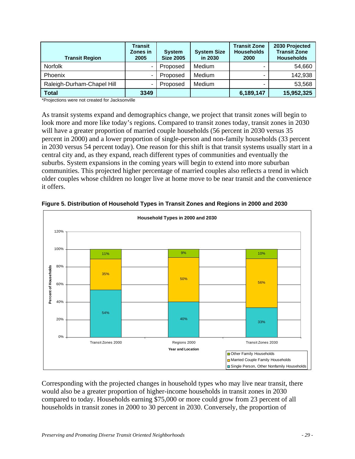| <b>Transit Region</b>      | <b>Transit</b><br>Zones in<br>2005 | <b>System</b><br><b>Size 2005</b> | <b>System Size</b><br>in 2030 | <b>Transit Zone</b><br><b>Households</b><br>2000 | 2030 Projected<br><b>Transit Zone</b><br><b>Households</b> |
|----------------------------|------------------------------------|-----------------------------------|-------------------------------|--------------------------------------------------|------------------------------------------------------------|
| <b>Norfolk</b>             |                                    | Proposed                          | Medium                        |                                                  | 54,660                                                     |
| Phoenix                    |                                    | Proposed                          | Medium                        |                                                  | 142,938                                                    |
| Raleigh-Durham-Chapel Hill | ۰                                  | Proposed                          | Medium                        | -                                                | 53,568                                                     |
| Total                      | 3349                               |                                   |                               | 6,189,147                                        | 15,952,325                                                 |

\*Projections were not created for Jacksonville

As transit systems expand and demographics change, we project that transit zones will begin to look more and more like today's regions. Compared to transit zones today, transit zones in 2030 will have a greater proportion of married couple households (56 percent in 2030 versus 35 percent in 2000) and a lower proportion of single-person and non-family households (33 percent in 2030 versus 54 percent today). One reason for this shift is that transit systems usually start in a central city and, as they expand, reach different types of communities and eventually the suburbs. System expansions in the coming years will begin to extend into more suburban communities. This projected higher percentage of married couples also reflects a trend in which older couples whose children no longer live at home move to be near transit and the convenience it offers.



**Figure 5. Distribution of Household Types in Transit Zones and Regions in 2000 and 2030** 

Corresponding with the projected changes in household types who may live near transit, there would also be a greater proportion of higher-income households in transit zones in 2030 compared to today. Households earning \$75,000 or more could grow from 23 percent of all households in transit zones in 2000 to 30 percent in 2030. Conversely, the proportion of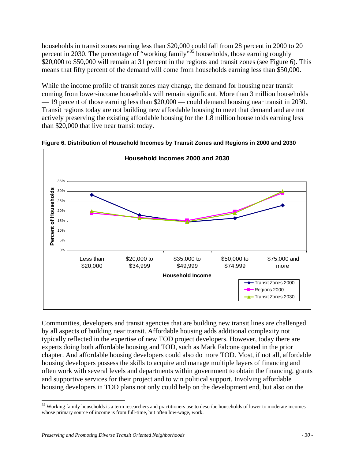households in transit zones earning less than \$20,000 could fall from 28 percent in 2000 to 20 percent in 2030. The percentage of "working family"35 households, those earning roughly \$20,000 to \$50,000 will remain at 31 percent in the regions and transit zones (see Figure 6). This means that fifty percent of the demand will come from households earning less than \$50,000.

While the income profile of transit zones may change, the demand for housing near transit coming from lower-income households will remain significant. More than 3 million households — 19 percent of those earning less than \$20,000 — could demand housing near transit in 2030. Transit regions today are not building new affordable housing to meet that demand and are not actively preserving the existing affordable housing for the 1.8 million households earning less than \$20,000 that live near transit today.



**Figure 6. Distribution of Household Incomes by Transit Zones and Regions in 2000 and 2030** 

Communities, developers and transit agencies that are building new transit lines are challenged by all aspects of building near transit. Affordable housing adds additional complexity not typically reflected in the expertise of new TOD project developers. However, today there are experts doing both affordable housing and TOD, such as Mark Falcone quoted in the prior chapter. And affordable housing developers could also do more TOD. Most, if not all, affordable housing developers possess the skills to acquire and manage multiple layers of financing and often work with several levels and departments within government to obtain the financing, grants and supportive services for their project and to win political support. Involving affordable housing developers in TOD plans not only could help on the development end, but also on the

 $\overline{a}$ <sup>35</sup> Working family households is a term researchers and practitioners use to describe households of lower to moderate incomes whose primary source of income is from full-time, but often low-wage, work.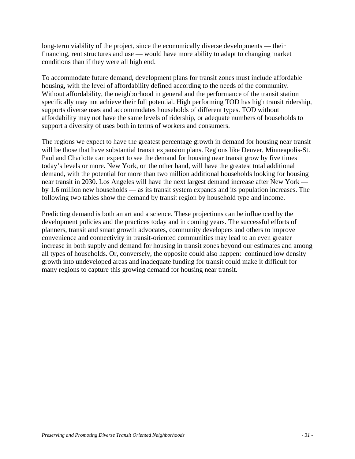long-term viability of the project, since the economically diverse developments — their financing, rent structures and use — would have more ability to adapt to changing market conditions than if they were all high end.

To accommodate future demand, development plans for transit zones must include affordable housing, with the level of affordability defined according to the needs of the community. Without affordability, the neighborhood in general and the performance of the transit station specifically may not achieve their full potential. High performing TOD has high transit ridership, supports diverse uses and accommodates households of different types. TOD without affordability may not have the same levels of ridership, or adequate numbers of households to support a diversity of uses both in terms of workers and consumers.

The regions we expect to have the greatest percentage growth in demand for housing near transit will be those that have substantial transit expansion plans. Regions like Denver, Minneapolis-St. Paul and Charlotte can expect to see the demand for housing near transit grow by five times today's levels or more. New York, on the other hand, will have the greatest total additional demand, with the potential for more than two million additional households looking for housing near transit in 2030. Los Angeles will have the next largest demand increase after New York by 1.6 million new households — as its transit system expands and its population increases. The following two tables show the demand by transit region by household type and income.

Predicting demand is both an art and a science. These projections can be influenced by the development policies and the practices today and in coming years. The successful efforts of planners, transit and smart growth advocates, community developers and others to improve convenience and connectivity in transit-oriented communities may lead to an even greater increase in both supply and demand for housing in transit zones beyond our estimates and among all types of households. Or, conversely, the opposite could also happen: continued low density growth into undeveloped areas and inadequate funding for transit could make it difficult for many regions to capture this growing demand for housing near transit.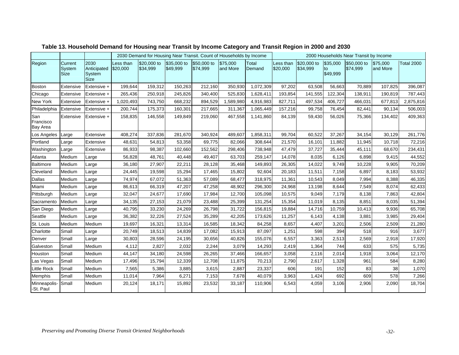|                                     |                                  |                                       |                       | 2030 Demand for Housing Near Transit. Count of Households by Income |                         |                         |                      |                 | 2000 Households Near Transit by Income |                         |                            |                         |                      |                   |  |
|-------------------------------------|----------------------------------|---------------------------------------|-----------------------|---------------------------------------------------------------------|-------------------------|-------------------------|----------------------|-----------------|----------------------------------------|-------------------------|----------------------------|-------------------------|----------------------|-------------------|--|
| Region                              | Current<br>System<br><b>Size</b> | 2030<br>Anticipated<br>System<br>Size | Less than<br>\$20,000 | \$20,000 to<br>\$34,999                                             | \$35,000 to<br>\$49,999 | \$50,000 to<br>\$74,999 | \$75,000<br>and More | Total<br>Demand | Less than<br>\$20,000                  | \$20,000 to<br>\$34,999 | \$35,000<br>to<br>\$49,999 | \$50,000 to<br>\$74,999 | \$75,000<br>and More | <b>Total 2000</b> |  |
| Boston                              | Extensive                        | Extensive +                           | 199,644               | 159,312                                                             | 150,263                 | 212,160                 | 350,930              | 1,072,309       | 97,202                                 | 63,508                  | 56,663                     | 70,889                  | 107,825              | 396,087           |  |
| Chicago                             | Extensive                        | Extensive +                           | 265,436               | 250,918                                                             | 245,826                 | 340,400                 | 525,830              | 1,628,411       | 193,854                                | 141,555                 | 122,304                    | 138,911                 | 190,819              | 787,443           |  |
| New York                            | Extensive                        | Extensive +                           | 1,020,493             | 743,750                                                             | 668,232                 | 894,529                 | 1,589,980            | 4,916,983       | 827,711                                | 497,534                 | 406,727                    | 466,031                 | 677,813              | 2,875,816         |  |
| Philadelphia                        | Extensive                        | Extensive +                           | 200,744               | 175,373                                                             | 160,301                 | 217,665                 | 311,367              | 1,065,449       | 157,216                                | 99,758                  | 76,454                     | 82,441                  | 90,134               | 506,003           |  |
| San<br>Francisco<br><b>Bay Area</b> | Extensive                        | Extensive +                           | 158,835               | 146,558                                                             | 149,849                 | 219,060                 | 467,558              | 1,141,860       | 84,139                                 | 59,430                  | 56,026                     | 75,366                  | 134,402              | 409,363           |  |
| Los Angeles                         | Large                            | Extensive                             | 408,274               | 337,836                                                             | 281,670                 | 340,924                 | 489,607              | 1,858,311       | 99,704                                 | 60,522                  | 37,267                     | 34,154                  | 30,129               | 261,776           |  |
| Portland                            | Large                            | Extensive                             | 48,631                | 54,813                                                              | 53,358                  | 69,775                  | 82,066               | 308,644         | 21,570                                 | 16,101                  | 11,882                     | 11,945                  | 10,718               | 72,216            |  |
| Washington                          | Large                            | Extensive                             | 86,933                | 98,387                                                              | 102,660                 | 152,562                 | 298,406              | 738,948         | 47,479                                 | 37,727                  | 35,444                     | 45,111                  | 68,670               | 234,431           |  |
| Atlanta                             | Medium                           | Large                                 | 56,828                | 48,761                                                              | 40,448                  | 49,407                  | 63,703               | 259,147         | 14,078                                 | 8,035                   | 6,126                      | 6,898                   | 9,415                | 44,552            |  |
| Baltimore                           | Medium                           | Large                                 | 36,180                | 27,907                                                              | 22,211                  | 28,128                  | 35,468               | 149,893         | 26,305                                 | 14,022                  | 9,749                      | 10,228                  | 9,905                | 70,209            |  |
| Cleveland                           | Medium                           | Large                                 | 24,445                | 19,598                                                              | 15,294                  | 17,465                  | 15,802               | 92,604          | 20,183                                 | 11,511                  | 7,158                      | 6,897                   | 8,183                | 53,932            |  |
| Dallas                              | Medium                           | Large                                 | 74,974                | 67,072                                                              | 51,363                  | 57,089                  | 68,477               | 318,975         | 11,361                                 | 10,543                  | 8,049                      | 7,994                   | 8,388                | 46,335            |  |
| Miami                               | Medium                           | Large                                 | 86,613                | 66,319                                                              | 47,207                  | 47,258                  | 48,902               | 296,300         | 24,968                                 | 13,198                  | 8,644                      | 7,549                   | 8,074                | 62,433            |  |
| Pittsburgh                          | Medium                           | Large                                 | 32,047                | 24,677                                                              | 17,690                  | 17,984                  | 12,700               | 105,098         | 10,575                                 | 9,049                   | 7,179                      | 8,138                   | 7,863                | 42,804            |  |
| Sacramento                          | Medium                           | Large                                 | 34,135                | 27,153                                                              | 21,079                  | 23,488                  | 25,399               | 131,254         | 15,354                                 | 11,019                  | 8,135                      | 8,851                   | 8,035                | 51,394            |  |
| San Diego                           | Medium                           | Large                                 | 40,795                | 33,230                                                              | 24,269                  | 26,798                  | 31,722               | 156,815         | 19,884                                 | 14,716                  | 10,759                     | 10,413                  | 9,936                | 65,708            |  |
| Seattle                             | Medium                           | Large                                 | 36,382                | 32,226                                                              | 27,524                  | 35,289                  | 42,205               | 173,626         | 11,257                                 | 6,143                   | 4,138                      | 3,881                   | 3,985                | 29,404            |  |
| St. Louis                           | Medium                           | Medium                                | 19,697                | 16,321                                                              | 13,314                  | 16,585                  | 18,342               | 84,258          | 8,657                                  | 4,407                   | 3,201                      | 2,506                   | 2,509                | 21,280            |  |
| Charlotte                           | Small                            | Large                                 | 20,749                | 18,513                                                              | 14,839                  | 17,082                  | 15,913               | 87,097          | 1,251                                  | 598                     | 394                        | 518                     | 916                  | 3,677             |  |
| Denver                              | Small                            | Large                                 | 30,803                | 28,596                                                              | 24,195                  | 30,656                  | 40,826               | 155,076         | 6,557                                  | 3,363                   | 2,513                      | 2,569                   | 2,918                | 17,920            |  |
| Galveston                           | Small                            | Medium                                | 4,112                 | 2,827                                                               | 2,032                   | 2,244                   | 3,079                | 14,293          | 2,419                                  | 1,364                   | 744                        | 633                     | 575                  | 5,735             |  |
| Houston                             | Small                            | Medium                                | 44,147                | 34,180                                                              | 24,598                  | 26,265                  | 37,466               | 166,657         | 3,058                                  | 2,116                   | 2,014                      | 1,918                   | 3,064                | 12,170            |  |
| Las Vegas                           | Small                            | Medium                                | 17,496                | 15,794                                                              | 12,339                  | 12,708                  | 11,875               | 70,213          | 2,790                                  | 2,617                   | 1,328                      | 961                     | 584                  | 8,280             |  |
| <b>Little Rock</b>                  | Small                            | Medium                                | 7,565                 | 5,386                                                               | 3,885                   | 3,615                   | 2,887                | 23,337          | 606                                    | 191                     | 152                        | 83                      | 38                   | 1,070             |  |
| <b>Memphis</b>                      | Small                            | Medium                                | 11,014                | 7,964                                                               | 6,271                   | 7,153                   | 7,678                | 40,079          | 3,963                                  | 1,424                   | 692                        | 609                     | 578                  | 7,266             |  |
| Minneapolis-<br>-St. Paul           | Small                            | Medium                                | 20,124                | 18,171                                                              | 15,892                  | 23,532                  | 33,187               | 110,906         | 6,543                                  | 4,059                   | 3,106                      | 2,906                   | 2,090                | 18,704            |  |

## **Table 13. Household Demand for Housing near Transit by Income Category and Transit Region in 2000 and 2030**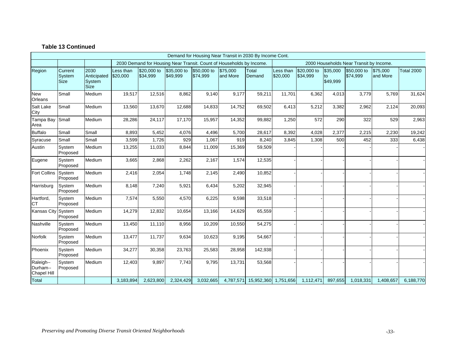#### **Table 13 Continued**

|                                      | Demand for Housing Near Transit in 2030 By Income Cont. |                                              |                       |                                                                                                                 |                         |                         |                      |                      |                       |                         |                            |                         |                      |                   |
|--------------------------------------|---------------------------------------------------------|----------------------------------------------|-----------------------|-----------------------------------------------------------------------------------------------------------------|-------------------------|-------------------------|----------------------|----------------------|-----------------------|-------------------------|----------------------------|-------------------------|----------------------|-------------------|
|                                      |                                                         |                                              |                       | 2030 Demand for Housing Near Transit. Count of Households by Income.<br>2000 Households Near Transit by Income. |                         |                         |                      |                      |                       |                         |                            |                         |                      |                   |
| Region                               | Current<br>System<br>Size                               | 2030<br>Anticipated<br>System<br><b>Size</b> | Less than<br>\$20,000 | \$20,000 to<br>\$34,999                                                                                         | \$35,000 to<br>\$49,999 | \$50,000 to<br>\$74,999 | \$75,000<br>and More | Total<br>Demand      | Less than<br>\$20,000 | \$20,000 to<br>\$34,999 | \$35,000<br>to<br>\$49,999 | \$50,000 to<br>\$74,999 | \$75,000<br>and More | <b>Total 2000</b> |
| <b>New</b><br>Orleans                | Small                                                   | Medium                                       | 19,517                | 12,516                                                                                                          | 8,862                   | 9.140                   | 9,177                | 59,211               | 11,701                | 6,362                   | 4,013                      | 3,779                   | 5,769                | 31,624            |
| Salt Lake<br>City                    | Small                                                   | Medium                                       | 13,560                | 13,670                                                                                                          | 12,688                  | 14,833                  | 14,752               | 69,502               | 6,413                 | 5,212                   | 3,382                      | 2,962                   | 2,124                | 20,093            |
| Tampa Bay<br>Area                    | Small                                                   | Medium                                       | 28,286                | 24,117                                                                                                          | 17,170                  | 15,957                  | 14,352               | 99,882               | 1,250                 | 572                     | 290                        | 322                     | 529                  | 2,963             |
| <b>Buffalo</b>                       | Small                                                   | Small                                        | 8,893                 | 5,452                                                                                                           | 4,076                   | 4,496                   | 5,700                | 28,617               | 8,392                 | 4,028                   | 2,377                      | 2,215                   | 2,230                | 19,242            |
| Syracuse                             | Small                                                   | Small                                        | 3,599                 | 1,726                                                                                                           | 929                     | 1,067                   | 919                  | 8,240                | 3,845                 | 1,308                   | 500                        | 452                     | 333                  | 6,438             |
| Austin                               | System<br>Proposed                                      | Medium                                       | 13,255                | 11,033                                                                                                          | 8,844                   | 11,009                  | 15,369               | 59,509               |                       |                         |                            |                         |                      |                   |
| Eugene                               | System<br>Proposed                                      | Medium                                       | 3,665                 | 2,868                                                                                                           | 2,262                   | 2,167                   | 1,574                | 12,535               |                       |                         |                            |                         |                      |                   |
| <b>Fort Collins</b>                  | System<br>Proposed                                      | Medium                                       | 2,416                 | 2,054                                                                                                           | 1,748                   | 2,145                   | 2,490                | 10,852               |                       |                         |                            |                         |                      |                   |
| Harrisburg                           | System<br>Proposed                                      | Medium                                       | 8,148                 | 7,240                                                                                                           | 5,921                   | 6,434                   | 5,202                | 32,945               |                       |                         |                            |                         |                      |                   |
| Hartford,<br><b>CT</b>               | System<br>Proposed                                      | Medium                                       | 7,574                 | 5,550                                                                                                           | 4,570                   | 6,225                   | 9,598                | 33,518               |                       |                         |                            |                         |                      |                   |
| <b>Kansas City</b>                   | System<br>Proposed                                      | Medium                                       | 14,279                | 12,832                                                                                                          | 10,654                  | 13,166                  | 14,629               | 65,559               |                       |                         |                            |                         |                      |                   |
| Nashville                            | System<br>Proposed                                      | Medium                                       | 13,450                | 11,110                                                                                                          | 8,956                   | 10,209                  | 10,550               | 54,275               |                       |                         |                            |                         |                      |                   |
| Norfolk                              | System<br>Proposed                                      | Medium                                       | 13,477                | 11,737                                                                                                          | 9,634                   | 10,623                  | 9,195                | 54,667               |                       |                         |                            |                         |                      |                   |
| Phoenix                              | System<br>Proposed                                      | Medium                                       | 34,277                | 30,358                                                                                                          | 23,763                  | 25,583                  | 28,958               | 142,938              |                       |                         |                            |                         |                      |                   |
| Raleigh--<br>Durham--<br>Chapel Hill | System<br>Proposed                                      | Medium                                       | 12,403                | 9,897                                                                                                           | 7,743                   | 9,795                   | 13,731               | 53,568               |                       |                         |                            |                         |                      |                   |
| <b>Total</b>                         |                                                         |                                              | 3,183,894             | 2,623,800                                                                                                       | 2,324,429               | 3,032,665               | 4,787,571            | 15,952,360 1,751,656 |                       | 1,112,471               | 897,655                    | 1,018,331               | 1,408,657            | 6,188,770         |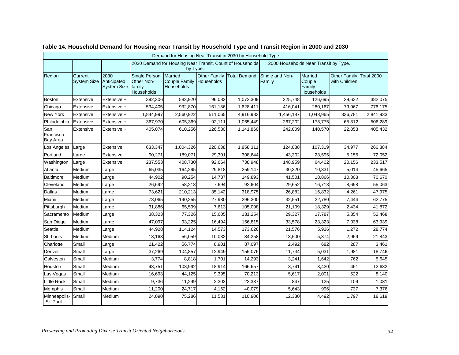|                              | Demand for Housing Near Transit in 2030 by Household Type |                                           |                                                      |                                                      |                                   |                                                           |                                       |                                                  |                                      |            |  |  |
|------------------------------|-----------------------------------------------------------|-------------------------------------------|------------------------------------------------------|------------------------------------------------------|-----------------------------------|-----------------------------------------------------------|---------------------------------------|--------------------------------------------------|--------------------------------------|------------|--|--|
|                              |                                                           |                                           |                                                      | by Type.                                             |                                   | 2030 Demand for Housing Near Transit. Count of Households | 2000 Households Near Transit by Type. |                                                  |                                      |            |  |  |
| Region                       | Current<br><b>System Size</b>                             | 2030<br>Anticipated<br><b>System Size</b> | Single Person,<br>Other Non-<br>family<br>Households | Married<br><b>Couple Family</b><br><b>Households</b> | <b>Other Family</b><br>Households | <b>Total Demand</b>                                       | Single and Non-<br>Family             | <b>Married</b><br>Couple<br>Family<br>Households | <b>Other Family</b><br>with Children | Total 2000 |  |  |
| <b>Boston</b>                | Extensive                                                 | Extensive +                               | 392,306                                              | 583,920                                              | 96,082                            | 1,072,309                                                 | 225,748                               | 126,695                                          | 29,632                               | 382,075    |  |  |
| Chicago                      | Extensive                                                 | Extensive +                               | 534,405                                              | 932,870                                              | 161,136                           | 1,628,411                                                 | 416,041                               | 280,167                                          | 79,967                               | 776,175    |  |  |
| New York                     | Extensive                                                 | Extensive +                               | 1,844,997                                            | 2,560,922                                            | 511,065                           | 4,916,983                                                 | 1,456,187                             | 1,048,965                                        | 336,781                              | 2,841,933  |  |  |
| Philadelphia                 | Extensive                                                 | Extensive +                               | 367,970                                              | 605,369                                              | 92,111                            | 1,065,449                                                 | 267,202                               | 173,775                                          | 65,312                               | 506,289    |  |  |
| San<br>Francisco<br>Bay Area | Extensive                                                 | Extensive +                               | 405,074                                              | 610,256                                              | 126,530                           | 1,141,860                                                 | 242,009                               | 140,570                                          | 22,853                               | 405,432    |  |  |
| Los Angeles                  | Large                                                     | Extensive                                 | 633,347                                              | 1,004,326                                            | 220,638                           | 1,858,311                                                 | 124,088                               | 107,319                                          | 34,977                               | 266,384    |  |  |
| Portland                     | Large                                                     | Extensive                                 | 90,271                                               | 189,071                                              | 29,301                            | 308,644                                                   | 43,302                                | 23,595                                           | 5,155                                | 72,052     |  |  |
| Washington                   | Large                                                     | Extensive                                 | 237,553                                              | 408,730                                              | 92,664                            | 738,948                                                   | 148,959                               | 64,402                                           | 20,156                               | 233,517    |  |  |
| Atlanta                      | Medium                                                    | Large                                     | 65,035                                               | 164,295                                              | 29,818                            | 259,147                                                   | 30,320                                | 10,331                                           | 5,014                                | 45,665     |  |  |
| <b>Baltimore</b>             | Medium                                                    | Large                                     | 44,902                                               | 90,254                                               | 14,737                            | 149,893                                                   | 41,501                                | 18,866                                           | 10,303                               | 70,670     |  |  |
| Cleveland                    | Medium                                                    | Large                                     | 26,692                                               | 58,218                                               | 7,694                             | 92,604                                                    | 29,652                                | 16,713                                           | 8,698                                | 55,063     |  |  |
| Dallas                       | Medium                                                    | Large                                     | 73,621                                               | 210,213                                              | 35,142                            | 318,975                                                   | 26,882                                | 16,832                                           | 4,261                                | 47,975     |  |  |
| Miami                        | Medium                                                    | Large                                     | 78,065                                               | 190,255                                              | 27,980                            | 296,300                                                   | 32,551                                | 22,780                                           | 7,444                                | 62,775     |  |  |
| Pittsburgh                   | Medium                                                    | Large                                     | 31,886                                               | 65,599                                               | 7,613                             | 105,098                                                   | 21,109                                | 18,329                                           | 2,434                                | 41,872     |  |  |
| Sacramento                   | Medium                                                    | Large                                     | 38,323                                               | 77,326                                               | 15,605                            | 131,254                                                   | 29,327                                | 17,787                                           | 5,354                                | 52,468     |  |  |
| San Diego                    | Medium                                                    | Large                                     | 47,097                                               | 93,225                                               | 16,494                            | 156,815                                                   | 33,578                                | 23,323                                           | 7,038                                | 63,939     |  |  |
| Seattle                      | Medium                                                    | Large                                     | 44,928                                               | 114,124                                              | 14,573                            | 173,626                                                   | 21,576                                | 5,926                                            | 1,272                                | 28,774     |  |  |
| St. Louis                    | Medium                                                    | Medium                                    | 18,168                                               | 56,059                                               | 10,032                            | 84,258                                                    | 13,500                                | 5,374                                            | 2,969                                | 21,843     |  |  |
| Charlotte                    | Small                                                     | Large                                     | 21,422                                               | 56,774                                               | 8,901                             | 87,097                                                    | 2,492                                 | 682                                              | 287                                  | 3,461      |  |  |
| Denver                       | Small                                                     | Large                                     | 37,269                                               | 104,857                                              | 12,949                            | 155,076                                                   | 11,734                                | 5,031                                            | 1,981                                | 18,746     |  |  |
| Galveston                    | Small                                                     | Medium                                    | 3,774                                                | 8,818                                                | 1,701                             | 14,293                                                    | 3,241                                 | 1,642                                            | 762                                  | 5,645      |  |  |
| Houston                      | Small                                                     | Medium                                    | 43,751                                               | 103,992                                              | 18,914                            | 166,657                                                   | 8,741                                 | 3,430                                            | 461                                  | 12,632     |  |  |
| Las Vegas                    | Small                                                     | Medium                                    | 16,693                                               | 44,125                                               | 9,395                             | 70,213                                                    | 5,617                                 | 2,001                                            | 522                                  | 8,140      |  |  |
| <b>Little Rock</b>           | Small                                                     | Medium                                    | 9,736                                                | 11,299                                               | 2,303                             | 23,337                                                    | 847                                   | 125                                              | 109                                  | 1,081      |  |  |
| <b>Memphis</b>               | Small                                                     | Medium                                    | 11,200                                               | 24,717                                               | 4,162                             | 40,079                                                    | 5,643                                 | 996                                              | 737                                  | 7,376      |  |  |
| Minneapolis-<br>-St. Paul    | Small                                                     | Medium                                    | 24,090                                               | 75,286                                               | 11,531                            | 110,906                                                   | 12,330                                | 4,492                                            | 1,797                                | 18,619     |  |  |

## **Table 14. Household Demand for Housing near Transit by Household Type and Transit Region in 2000 and 2030**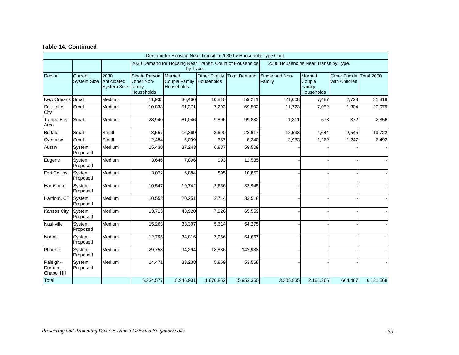#### **Table 14. Continued**

|                                             | Demand for Housing Near Transit in 2030 by Household Type Cont. |                                           |                                                      |                                                          |                     |                                                           |                                       |                                           |                                      |                   |  |  |
|---------------------------------------------|-----------------------------------------------------------------|-------------------------------------------|------------------------------------------------------|----------------------------------------------------------|---------------------|-----------------------------------------------------------|---------------------------------------|-------------------------------------------|--------------------------------------|-------------------|--|--|
|                                             |                                                                 |                                           |                                                      | by Type.                                                 |                     | 2030 Demand for Housing Near Transit. Count of Households | 2000 Households Near Transit by Type. |                                           |                                      |                   |  |  |
| Region                                      | Current<br><b>System Size</b>                                   | 2030<br>Anticipated<br><b>System Size</b> | Single Person,<br>Other Non-<br>family<br>Households | <b>Married</b><br>Couple Family Households<br>Households | <b>Other Family</b> | <b>Total Demand</b>                                       | Single and Non-<br>Family             | Married<br>Couple<br>Family<br>Households | <b>Other Family</b><br>with Children | <b>Total 2000</b> |  |  |
| <b>New Orleans</b>                          | Small                                                           | Medium                                    | 11,935                                               | 36,466                                                   | 10,810              | 59,211                                                    | 21,608                                | 7,487                                     | 2,723                                | 31,818            |  |  |
| Salt Lake<br>City                           | Small                                                           | Medium                                    | 10,838                                               | 51,371                                                   | 7,293               | 69,502                                                    | 11,723                                | 7,052                                     | 1,304                                | 20,079            |  |  |
| Tampa Bay<br>Area                           | Small                                                           | Medium                                    | 28,940                                               | 61,046                                                   | 9,896               | 99,882                                                    | 1,811                                 | 673                                       | 372                                  | 2,856             |  |  |
| <b>Buffalo</b>                              | Small                                                           | Small                                     | 8,557                                                | 16,369                                                   | 3,690               | 28,617                                                    | 12,533                                | 4,644                                     | 2,545                                | 19,722            |  |  |
| Syracuse                                    | Small                                                           | Small                                     | 2,484                                                | 5,099                                                    | 657                 | 8,240                                                     | 3,983                                 | 1,262                                     | 1,247                                | 6,492             |  |  |
| Austin                                      | System<br>Proposed                                              | Medium                                    | 15,430                                               | 37,243                                                   | 6,837               | 59,509                                                    |                                       |                                           |                                      |                   |  |  |
| Eugene                                      | System<br>Proposed                                              | Medium                                    | 3,646                                                | 7,896                                                    | 993                 | 12,535                                                    |                                       |                                           |                                      |                   |  |  |
| <b>Fort Collins</b>                         | System<br>Proposed                                              | Medium                                    | 3,072                                                | 6,884                                                    | 895                 | 10,852                                                    |                                       |                                           |                                      |                   |  |  |
| Harrisburg                                  | System<br>Proposed                                              | Medium                                    | 10,547                                               | 19,742                                                   | 2,656               | 32,945                                                    |                                       |                                           |                                      |                   |  |  |
| Hartford, CT                                | System<br>Proposed                                              | Medium                                    | 10,553                                               | 20,251                                                   | 2,714               | 33,518                                                    |                                       |                                           |                                      |                   |  |  |
| <b>Kansas City</b>                          | System<br>Proposed                                              | Medium                                    | 13,713                                               | 43,920                                                   | 7,926               | 65,559                                                    |                                       |                                           |                                      |                   |  |  |
| Nashville                                   | System<br>Proposed                                              | Medium                                    | 15,263                                               | 33,397                                                   | 5,614               | 54,275                                                    |                                       |                                           |                                      |                   |  |  |
| Norfolk                                     | System<br>Proposed                                              | Medium                                    | 12,795                                               | 34,816                                                   | 7,056               | 54,667                                                    |                                       |                                           |                                      |                   |  |  |
| Phoenix                                     | System<br>Proposed                                              | Medium                                    | 29,758                                               | 94,294                                                   | 18,886              | 142,938                                                   |                                       |                                           |                                      |                   |  |  |
| Raleigh--<br>Durham--<br><b>Chapel Hill</b> | System<br>Proposed                                              | Medium                                    | 14,471                                               | 33,238                                                   | 5,859               | 53,568                                                    |                                       |                                           |                                      |                   |  |  |
| Total                                       |                                                                 |                                           | 5,334,577                                            | 8,946,931                                                | 1,670,852           | 15,952,360                                                | 3,305,835                             | 2,161,266                                 | 664,467                              | 6,131,568         |  |  |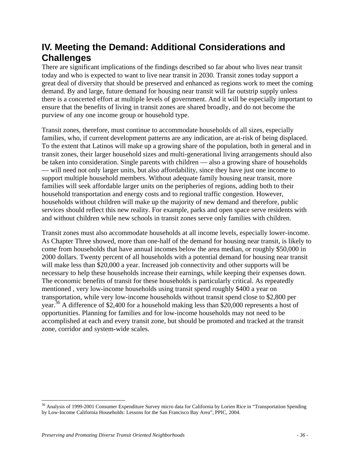## **IV. Meeting the Demand: Additional Considerations and Challenges**

There are significant implications of the findings described so far about who lives near transit today and who is expected to want to live near transit in 2030. Transit zones today support a great deal of diversity that should be preserved and enhanced as regions work to meet the coming demand. By and large, future demand for housing near transit will far outstrip supply unless there is a concerted effort at multiple levels of government. And it will be especially important to ensure that the benefits of living in transit zones are shared broadly, and do not become the purview of any one income group or household type.

Transit zones, therefore, must continue to accommodate households of all sizes, especially families, who, if current development patterns are any indication, are at-risk of being displaced. To the extent that Latinos will make up a growing share of the population, both in general and in transit zones, their larger household sizes and multi-generational living arrangements should also be taken into consideration. Single parents with children — also a growing share of households — will need not only larger units, but also affordability, since they have just one income to support multiple household members. Without adequate family housing near transit, more families will seek affordable larger units on the peripheries of regions, adding both to their household transportation and energy costs and to regional traffic congestion. However, households without children will make up the majority of new demand and therefore, public services should reflect this new reality. For example, parks and open space serve residents with and without children while new schools in transit zones serve only families with children.

Transit zones must also accommodate households at all income levels, especially lower-income. As Chapter Three showed, more than one-half of the demand for housing near transit, is likely to come from households that have annual incomes below the area median, or roughly \$50,000 in 2000 dollars. Twenty percent of all households with a potential demand for housing near transit will make less than \$20,000 a year. Increased job connectivity and other supports will be necessary to help these households increase their earnings, while keeping their expenses down. The economic benefits of transit for these households is particularly critical. As repeatedly mentioned , very low-income households using transit spend roughly \$400 a year on transportation, while very low-income households without transit spend close to \$2,800 per year.<sup>36</sup> A difference of \$2,400 for a household making less than \$20,000 represents a host of opportunities. Planning for families and for low-income households may not need to be accomplished at each and every transit zone, but should be promoted and tracked at the transit zone, corridor and system-wide scales.

 $\overline{a}$ <sup>36</sup> Analysis of 1999-2001 Consumer Expenditure Survey micro data for California by Lorien Rice in "Transportation Spending by Low-Income California Households: Lessons for the San Francisco Bay Area", PPIC, 2004.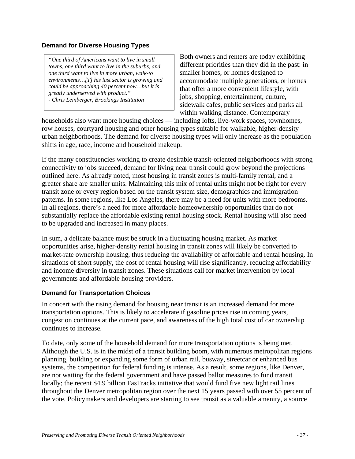## **Demand for Diverse Housing Types**

*"One third of Americans want to live in small towns, one third want to live in the suburbs, and one third want to live in more urban, walk-to environments…[T] his last sector is growing and could be approaching 40 percent now…but it is greatly underserved with product." - Chris Leinberger, Brookings Institution* 

Both owners and renters are today exhibiting different priorities than they did in the past: in smaller homes, or homes designed to accommodate multiple generations, or homes that offer a more convenient lifestyle, with jobs, shopping, entertainment, culture, sidewalk cafes, public services and parks all within walking distance. Contemporary

households also want more housing choices — including lofts, live-work spaces, townhomes, row houses, courtyard housing and other housing types suitable for walkable, higher-density urban neighborhoods. The demand for diverse housing types will only increase as the population shifts in age, race, income and household makeup.

If the many constituencies working to create desirable transit-oriented neighborhoods with strong connectivity to jobs succeed, demand for living near transit could grow beyond the projections outlined here. As already noted, most housing in transit zones is multi-family rental, and a greater share are smaller units. Maintaining this mix of rental units might not be right for every transit zone or every region based on the transit system size, demographics and immigration patterns. In some regions, like Los Angeles, there may be a need for units with more bedrooms. In all regions, there's a need for more affordable homeownership opportunities that do not substantially replace the affordable existing rental housing stock. Rental housing will also need to be upgraded and increased in many places.

In sum, a delicate balance must be struck in a fluctuating housing market. As market opportunities arise, higher-density rental housing in transit zones will likely be converted to market-rate ownership housing, thus reducing the availability of affordable and rental housing. In situations of short supply, the cost of rental housing will rise significantly, reducing affordability and income diversity in transit zones. These situations call for market intervention by local governments and affordable housing providers.

## **Demand for Transportation Choices**

In concert with the rising demand for housing near transit is an increased demand for more transportation options. This is likely to accelerate if gasoline prices rise in coming years, congestion continues at the current pace, and awareness of the high total cost of car ownership continues to increase.

To date, only some of the household demand for more transportation options is being met. Although the U.S. is in the midst of a transit building boom, with numerous metropolitan regions planning, building or expanding some form of urban rail, busway, streetcar or enhanced bus systems, the competition for federal funding is intense. As a result, some regions, like Denver, are not waiting for the federal government and have passed ballot measures to fund transit locally; the recent \$4.9 billion FasTracks initiative that would fund five new light rail lines throughout the Denver metropolitan region over the next 15 years passed with over 55 percent of the vote. Policymakers and developers are starting to see transit as a valuable amenity, a source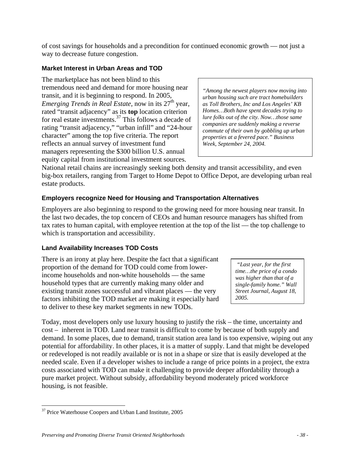of cost savings for households and a precondition for continued economic growth — not just a way to decrease future congestion.

## **Market Interest in Urban Areas and TOD**

The marketplace has not been blind to this tremendous need and demand for more housing near transit, and it is beginning to respond. In 2005, *Emerging Trends in Real Estate*, now in its 27<sup>th</sup> year, rated "transit adjacency" as its **top** location criterion for real estate investments.37 This follows a decade of rating "transit adjacency," "urban infill" and "24-hour character" among the top five criteria. The report reflects an annual survey of investment fund managers representing the \$300 billion U.S. annual equity capital from institutional investment sources.

*"Among the newest players now moving into urban housing such are tract homebuilders as Toll Brothers, Inc and Los Angeles' KB Homes…Both have spent decades trying to lure folks out of the city. Now…those same companies are suddenly making a reverse commute of their own by gobbling up urban properties at a fevered pace." Business Week, September 24, 2004.* 

National retail chains are increasingly seeking both density and transit accessibility, and even big-box retailers, ranging from Target to Home Depot to Office Depot, are developing urban real estate products.

## **Employers recognize Need for Housing and Transportation Alternatives**

Employers are also beginning to respond to the growing need for more housing near transit. In the last two decades, the top concern of CEOs and human resource managers has shifted from tax rates to human capital, with employee retention at the top of the list — the top challenge to which is transportation and accessibility.

## **Land Availability Increases TOD Costs**

There is an irony at play here. Despite the fact that a significant proportion of the demand for TOD could come from lowerincome households and non-white households — the same household types that are currently making many older and existing transit zones successful and vibrant places — the very factors inhibiting the TOD market are making it especially hard to deliver to these key market segments in new TODs.

 *"Last year, for the first time…the price of a condo was higher than that of a single-family home." Wall Street Journal, August 18, 2005.* 

Today, most developers only use luxury housing to justify the risk – the time, uncertainty and cost – inherent in TOD. Land near transit is difficult to come by because of both supply and demand. In some places, due to demand, transit station area land is too expensive, wiping out any potential for affordability. In other places, it is a matter of supply. Land that might be developed or redeveloped is not readily available or is not in a shape or size that is easily developed at the needed scale. Even if a developer wishes to include a range of price points in a project, the extra costs associated with TOD can make it challenging to provide deeper affordability through a pure market project. Without subsidy, affordability beyond moderately priced workforce housing, is not feasible.

 $\overline{a}$ <sup>37</sup> Price Waterhouse Coopers and Urban Land Institute, 2005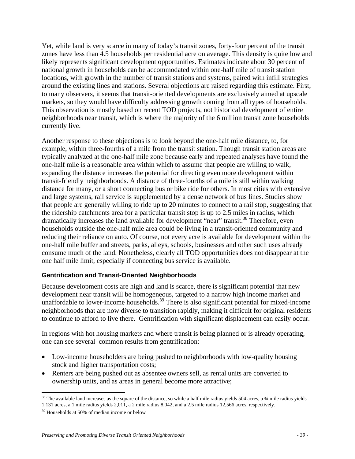Yet, while land is very scarce in many of today's transit zones, forty-four percent of the transit zones have less than 4.5 households per residential acre on average. This density is quite low and likely represents significant development opportunities. Estimates indicate about 30 percent of national growth in households can be accommodated within one-half mile of transit station locations, with growth in the number of transit stations and systems, paired with infill strategies around the existing lines and stations. Several objections are raised regarding this estimate. First, to many observers, it seems that transit-oriented developments are exclusively aimed at upscale markets, so they would have difficulty addressing growth coming from all types of households. This observation is mostly based on recent TOD projects, not historical development of entire neighborhoods near transit, which is where the majority of the 6 million transit zone households currently live.

Another response to these objections is to look beyond the one-half mile distance, to, for example, within three-fourths of a mile from the transit station. Though transit station areas are typically analyzed at the one-half mile zone because early and repeated analyses have found the one-half mile is a reasonable area within which to assume that people are willing to walk, expanding the distance increases the potential for directing even more development within transit-friendly neighborhoods. A distance of three-fourths of a mile is still within walking distance for many, or a short connecting bus or bike ride for others. In most cities with extensive and large systems, rail service is supplemented by a dense network of bus lines. Studies show that people are generally willing to ride up to 20 minutes to connect to a rail stop, suggesting that the ridership catchments area for a particular transit stop is up to 2.5 miles in radius, which dramatically increases the land available for development "near" transit.<sup>38</sup> Therefore, even households outside the one-half mile area could be living in a transit-oriented community and reducing their reliance on auto. Of course, not every acre is available for development within the one-half mile buffer and streets, parks, alleys, schools, businesses and other such uses already consume much of the land. Nonetheless, clearly all TOD opportunities does not disappear at the one half mile limit, especially if connecting bus service is available.

## **Gentrification and Transit-Oriented Neighborhoods**

Because development costs are high and land is scarce, there is significant potential that new development near transit will be homogeneous, targeted to a narrow high income market and unaffordable to lower-income households.<sup>39</sup> There is also significant potential for mixed-income neighborhoods that are now diverse to transition rapidly, making it difficult for original residents to continue to afford to live there. Gentrification with significant displacement can easily occur.

In regions with hot housing markets and where transit is being planned or is already operating, one can see several common results from gentrification:

- Low-income householders are being pushed to neighborhoods with low-quality housing stock and higher transportation costs;
- Renters are being pushed out as absentee owners sell, as rental units are converted to ownership units, and as areas in general become more attractive;

<u>.</u>

 $38$  The available land increases as the square of the distance, so while a half mile radius yields 504 acres, a  $34$  mile radius yields 1,131 acres, a 1 mile radius yields 2,011, a 2 mile radius 8,042, and a 2.5 mile radius 12,566 acres, respectively.

 $39$  Households at 50% of median income or below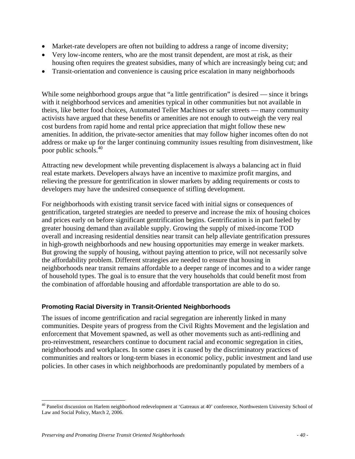- Market-rate developers are often not building to address a range of income diversity;
- Very low-income renters, who are the most transit dependent, are most at risk, as their housing often requires the greatest subsidies, many of which are increasingly being cut; and
- Transit-orientation and convenience is causing price escalation in many neighborhoods

While some neighborhood groups argue that "a little gentrification" is desired — since it brings with it neighborhood services and amenities typical in other communities but not available in theirs, like better food choices, Automated Teller Machines or safer streets — many community activists have argued that these benefits or amenities are not enough to outweigh the very real cost burdens from rapid home and rental price appreciation that might follow these new amenities. In addition, the private-sector amenities that may follow higher incomes often do not address or make up for the larger continuing community issues resulting from disinvestment, like poor public schools.40

Attracting new development while preventing displacement is always a balancing act in fluid real estate markets. Developers always have an incentive to maximize profit margins, and relieving the pressure for gentrification in slower markets by adding requirements or costs to developers may have the undesired consequence of stifling development.

For neighborhoods with existing transit service faced with initial signs or consequences of gentrification, targeted strategies are needed to preserve and increase the mix of housing choices and prices early on before significant gentrification begins. Gentrification is in part fueled by greater housing demand than available supply. Growing the supply of mixed-income TOD overall and increasing residential densities near transit can help alleviate gentrification pressures in high-growth neighborhoods and new housing opportunities may emerge in weaker markets. But growing the supply of housing, without paying attention to price, will not necessarily solve the affordability problem. Different strategies are needed to ensure that housing in neighborhoods near transit remains affordable to a deeper range of incomes and to a wider range of household types. The goal is to ensure that the very households that could benefit most from the combination of affordable housing and affordable transportation are able to do so.

## **Promoting Racial Diversity in Transit-Oriented Neighborhoods**

The issues of income gentrification and racial segregation are inherently linked in many communities. Despite years of progress from the Civil Rights Movement and the legislation and enforcement that Movement spawned, as well as other movements such as anti-redlining and pro-reinvestment, researchers continue to document racial and economic segregation in cities, neighborhoods and workplaces. In some cases it is caused by the discriminatory practices of communities and realtors or long-term biases in economic policy, public investment and land use policies. In other cases in which neighborhoods are predominantly populated by members of a

 $\overline{a}$ <sup>40</sup> Panelist discussion on Harlem neighborhood redevelopment at 'Gatreaux at 40' conference, Northwestern University School of Law and Social Policy, March 2, 2006.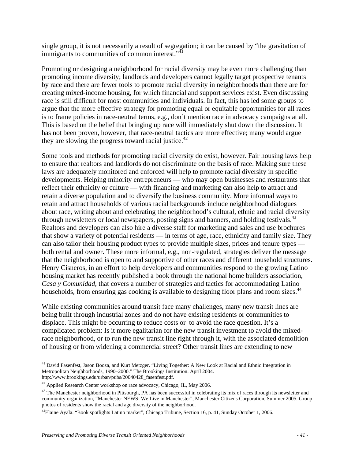single group, it is not necessarily a result of segregation; it can be caused by "the gravitation of immigrants to communities of common interest."<sup>41</sup>

Promoting or designing a neighborhood for racial diversity may be even more challenging than promoting income diversity; landlords and developers cannot legally target prospective tenants by race and there are fewer tools to promote racial diversity in neighborhoods than there are for creating mixed-income housing, for which financial and support services exist. Even discussing race is still difficult for most communities and individuals. In fact, this has led some groups to argue that the more effective strategy for promoting equal or equitable opportunities for all races is to frame policies in race-neutral terms, e.g., don't mention race in advocacy campaigns at all. This is based on the belief that bringing up race will immediately shut down the discussion. It has not been proven, however, that race-neutral tactics are more effective; many would argue they are slowing the progress toward racial justice.<sup>42</sup>

Some tools and methods for promoting racial diversity do exist, however. Fair housing laws help to ensure that realtors and landlords do not discriminate on the basis of race. Making sure these laws are adequately monitored and enforced will help to promote racial diversity in specific developments. Helping minority entrepreneurs — who may open businesses and restaurants that reflect their ethnicity or culture — with financing and marketing can also help to attract and retain a diverse population and to diversify the business community. More informal ways to retain and attract households of various racial backgrounds include neighborhood dialogues about race, writing about and celebrating the neighborhood's cultural, ethnic and racial diversity through newsletters or local newspapers, posting signs and banners, and holding festivals.<sup>43</sup> Realtors and developers can also hire a diverse staff for marketing and sales and use brochures that show a variety of potential residents — in terms of age, race, ethnicity and family size. They can also tailor their housing product types to provide multiple sizes, prices and tenure types both rental and owner. These more informal, e.g., non-regulated, strategies deliver the message that the neighborhood is open to and supportive of other races and different household structures. Henry Cisneros, in an effort to help developers and communities respond to the growing Latino housing market has recently published a book through the national home builders association, *Casa y Comunidad*, that covers a number of strategies and tactics for accommodating Latino households, from ensuring gas cooking is available to designing floor plans and room sizes.<sup>44</sup>

While existing communities around transit face many challenges, many new transit lines are being built through industrial zones and do not have existing residents or communities to displace. This might be occurring to reduce costs or to avoid the race question. It's a complicated problem: Is it more egalitarian for the new transit investment to avoid the mixedrace neighborhood, or to run the new transit line right through it, with the associated demolition of housing or from widening a commercial street? Other transit lines are extending to new

<sup>&</sup>lt;u>.</u> <sup>41</sup> David Fasenfest, Jason Booza, and Kurt Metzger. "Living Together: A New Look at Racial and Ethnic Integration in Metropolitan Neighborhoods, 1990–2000." The Brookings Institution. April 2004. http://www.brookings.edu/urban/pubs/20040428\_fasenfest.pdf.

<sup>&</sup>lt;sup>42</sup> Applied Research Center workshop on race advocacy, Chicago, IL, May 2006.

<sup>&</sup>lt;sup>43</sup> The Manchester neighborhood in Pittsburgh, PA has been successful in celebrating its mix of races through its newsletter and community organization, "Manchester NEWS: We Live in Manchester", Manchester Citizens Corporation, Summer 2005. Group photos of residents show the racial and age diversity of the neighborhood.

<sup>44</sup>Elaine Ayala. "Book spotlights Latino market", Chicago Tribune, Section 16, p. 41, Sunday October 1, 2006.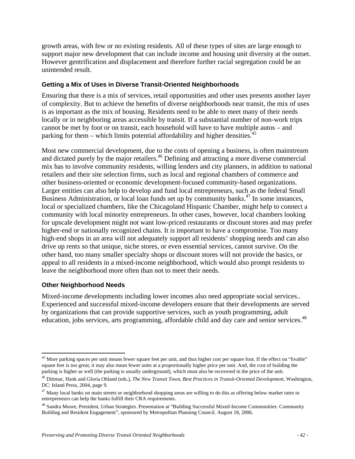growth areas, with few or no existing residents. All of these types of sites are large enough to support major new development that can include income and housing unit diversity at the outset. However gentrification and displacement and therefore further racial segregation could be an unintended result.

#### **Getting a Mix of Uses in Diverse Transit-Oriented Neighborhoods**

Ensuring that there is a mix of services, retail opportunities and other uses presents another layer of complexity. But to achieve the benefits of diverse neighborhoods near transit, the mix of uses is as important as the mix of housing. Residents need to be able to meet many of their needs locally or in neighboring areas accessible by transit. If a substantial number of non-work trips cannot be met by foot or on transit, each household will have to have multiple autos – and parking for them – which limits potential affordability and higher densities.<sup>45</sup>

Most new commercial development, due to the costs of opening a business, is often mainstream and dictated purely by the major retailers.<sup>46</sup> Defining and attracting a more diverse commercial mix has to involve community residents, willing lenders and city planners, in addition to national retailers and their site selection firms, such as local and regional chambers of commerce and other business-oriented or economic development-focused community-based organizations. Larger entities can also help to develop and fund local entrepreneurs, such as the federal Small Business Administration, or local loan funds set up by community banks.<sup>47</sup> In some instances, local or specialized chambers, like the Chicagoland Hispanic Chamber, might help to connect a community with local minority entrepreneurs. In other cases, however, local chambers looking for upscale development might not want low-priced restaurants or discount stores and may prefer higher-end or nationally recognized chains. It is important to have a compromise. Too many high-end shops in an area will not adequately support all residents' shopping needs and can also drive up rents so that unique, niche stores, or even essential services, cannot survive. On the other hand, too many smaller specialty shops or discount stores will not provide the basics, or appeal to all residents in a mixed-income neighborhood, which would also prompt residents to leave the neighborhood more often than not to meet their needs.

#### **Other Neighborhood Needs**

 $\overline{a}$ 

Mixed-income developments including lower incomes also need appropriate social services.. Experienced and successful mixed-income developers ensure that their developments are served by organizations that can provide supportive services, such as youth programming, adult education, jobs services, arts programming, affordable child and day care and senior services.<sup>48</sup>

<sup>&</sup>lt;sup>45</sup> More parking spaces per unit means fewer square feet per unit, and thus higher cost per square foot. If the effect on "livable" square feet is too great, it may also mean fewer units at a proportionally higher price per unit. And, the cost of building the parking is higher as well (the parking is usually underground), which must also be recovered in the price of the unit.

<sup>46</sup> Dittmar, Hank and Gloria Ohland (eds.), *The New Transit Town, Best Practices in Transit-Oriented Development,* Washington, DC: Island Press, 2004, page 9.

 $47$  Many local banks on main streets or neighborhood shopping areas are willing to do this as offering below market rates to entrepreneurs can help the banks fulfill their CRA requirements.

<sup>&</sup>lt;sup>48</sup> Sandra Moore, President, Urban Strategies. Presentation at "Building Successful Mixed-Income Communities: Community Building and Resident Engagement", sponsored by Metropolitan Planning Council. August 18, 2006.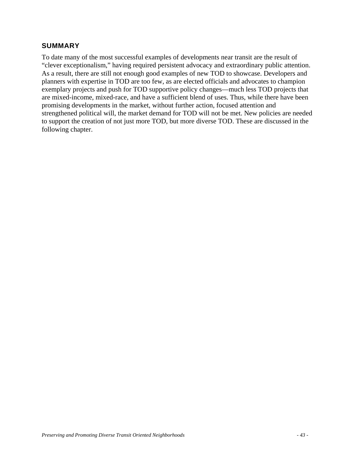## **SUMMARY**

To date many of the most successful examples of developments near transit are the result of "clever exceptionalism," having required persistent advocacy and extraordinary public attention. As a result, there are still not enough good examples of new TOD to showcase. Developers and planners with expertise in TOD are too few, as are elected officials and advocates to champion exemplary projects and push for TOD supportive policy changes—much less TOD projects that are mixed-income, mixed-race, and have a sufficient blend of uses. Thus, while there have been promising developments in the market, without further action, focused attention and strengthened political will, the market demand for TOD will not be met. New policies are needed to support the creation of not just more TOD, but more diverse TOD. These are discussed in the following chapter.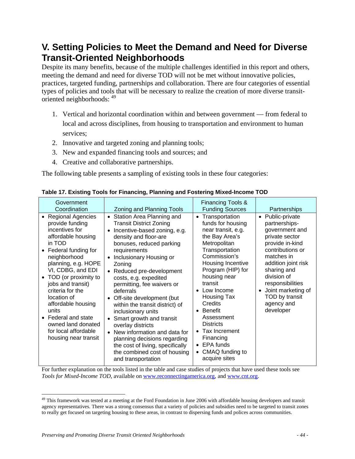## **V. Setting Policies to Meet the Demand and Need for Diverse Transit-Oriented Neighborhoods**

Despite its many benefits, because of the multiple challenges identified in this report and others, meeting the demand and need for diverse TOD will not be met without innovative policies, practices, targeted funding, partnerships and collaboration. There are four categories of essential types of policies and tools that will be necessary to realize the creation of more diverse transitoriented neighborhoods: <sup>49</sup>

- 1. Vertical and horizontal coordination within and between government from federal to local and across disciplines, from housing to transportation and environment to human services;
- 2. Innovative and targeted zoning and planning tools;
- 3. New and expanded financing tools and sources; and
- 4. Creative and collaborative partnerships.

The following table presents a sampling of existing tools in these four categories:

| Government<br>Coordination                                                                                                                                                                                                                                                                                                                                                                             | Zoning and Planning Tools                                                                                                                                                                                                                                                                                                                                                                                                                                                                                                                                                                                                               | Financing Tools &<br><b>Funding Sources</b>                                                                                                                                                                                                                                                                                                                                                          | Partnerships                                                                                                                                                                                                                                                                      |
|--------------------------------------------------------------------------------------------------------------------------------------------------------------------------------------------------------------------------------------------------------------------------------------------------------------------------------------------------------------------------------------------------------|-----------------------------------------------------------------------------------------------------------------------------------------------------------------------------------------------------------------------------------------------------------------------------------------------------------------------------------------------------------------------------------------------------------------------------------------------------------------------------------------------------------------------------------------------------------------------------------------------------------------------------------------|------------------------------------------------------------------------------------------------------------------------------------------------------------------------------------------------------------------------------------------------------------------------------------------------------------------------------------------------------------------------------------------------------|-----------------------------------------------------------------------------------------------------------------------------------------------------------------------------------------------------------------------------------------------------------------------------------|
| • Regional Agencies<br>provide funding<br>incentives for<br>affordable housing<br>in TOD<br>• Federal funding for<br>neighborhood<br>planning, e.g. HOPE<br>VI, CDBG, and EDI<br>TOD (or proximity to<br>$\bullet$<br>jobs and transit)<br>criteria for the<br>location of<br>affordable housing<br>units<br>• Federal and state<br>owned land donated<br>for local affordable<br>housing near transit | • Station Area Planning and<br><b>Transit District Zoning</b><br>Incentive-based zoning, e.g.<br>density and floor-are<br>bonuses, reduced parking<br>requirements<br>Inclusionary Housing or<br>$\bullet$<br>Zoning<br>• Reduced pre-development<br>costs, e.g. expedited<br>permitting, fee waivers or<br>deferrals<br>Off-site development (but<br>$\bullet$<br>within the transit district) of<br>inclusionary units<br>• Smart growth and transit<br>overlay districts<br>• New information and data for<br>planning decisions regarding<br>the cost of living, specifically<br>the combined cost of housing<br>and transportation | Transportation<br>$\bullet$<br>funds for housing<br>near transit, e.g.<br>the Bay Area's<br>Metropolitan<br>Transportation<br>Commission's<br>Housing Incentive<br>Program (HIP) for<br>housing near<br>transit<br>Low Income<br><b>Housing Tax</b><br>Credits<br>Benefit<br>Assessment<br><b>Districts</b><br>Tax Increment<br>Financing<br>$\bullet$ EPA funds<br>CMAQ funding to<br>acquire sites | Public-private<br>$\bullet$<br>partnerships-<br>government and<br>private sector<br>provide in-kind<br>contributions or<br>matches in<br>addition joint risk<br>sharing and<br>division of<br>responsibilities<br>Joint marketing of<br>TOD by transit<br>agency and<br>developer |

## **Table 17. Existing Tools for Financing, Planning and Fostering Mixed-Income TOD**

For further explanation on the tools listed in the table and case studies of projects that have used these tools see *Tools for Mixed-Income TOD*, available on www.reconnectingamerica.org, and www.cnt.org.

 $\overline{a}$ 

 $49$  This framework was tested at a meeting at the Ford Foundation in June 2006 with affordable housing developers and transit agency representatives. There was a strong consensus that a variety of policies and subsidies need to be targeted to transit zones to really get focused on targeting housing to these areas, in contrast to dispersing funds and polices across communities.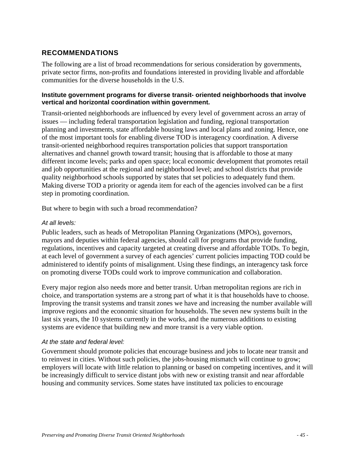## **RECOMMENDATIONS**

The following are a list of broad recommendations for serious consideration by governments, private sector firms, non-profits and foundations interested in providing livable and affordable communities for the diverse households in the U.S.

#### **Institute government programs for diverse transit- oriented neighborhoods that involve vertical and horizontal coordination within government.**

Transit-oriented neighborhoods are influenced by every level of government across an array of issues — including federal transportation legislation and funding, regional transportation planning and investments, state affordable housing laws and local plans and zoning. Hence, one of the most important tools for enabling diverse TOD is interagency coordination. A diverse transit-oriented neighborhood requires transportation policies that support transportation alternatives and channel growth toward transit; housing that is affordable to those at many different income levels; parks and open space; local economic development that promotes retail and job opportunities at the regional and neighborhood level; and school districts that provide quality neighborhood schools supported by states that set policies to adequately fund them. Making diverse TOD a priority or agenda item for each of the agencies involved can be a first step in promoting coordination.

But where to begin with such a broad recommendation?

## *At all levels:*

Public leaders, such as heads of Metropolitan Planning Organizations (MPOs), governors, mayors and deputies within federal agencies, should call for programs that provide funding, regulations, incentives and capacity targeted at creating diverse and affordable TODs. To begin, at each level of government a survey of each agencies' current policies impacting TOD could be administered to identify points of misalignment. Using these findings, an interagency task force on promoting diverse TODs could work to improve communication and collaboration.

Every major region also needs more and better transit. Urban metropolitan regions are rich in choice, and transportation systems are a strong part of what it is that households have to choose. Improving the transit systems and transit zones we have and increasing the number available will improve regions and the economic situation for households. The seven new systems built in the last six years, the 10 systems currently in the works, and the numerous additions to existing systems are evidence that building new and more transit is a very viable option.

## *At the state and federal level:*

Government should promote policies that encourage business and jobs to locate near transit and to reinvest in cities. Without such policies, the jobs-housing mismatch will continue to grow; employers will locate with little relation to planning or based on competing incentives, and it will be increasingly difficult to service distant jobs with new or existing transit and near affordable housing and community services. Some states have instituted tax policies to encourage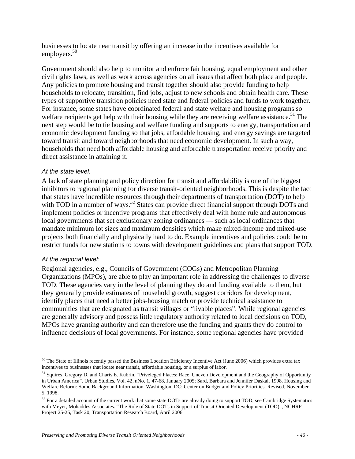businesses to locate near transit by offering an increase in the incentives available for employers.<sup>50</sup>

Government should also help to monitor and enforce fair housing, equal employment and other civil rights laws, as well as work across agencies on all issues that affect both place and people. Any policies to promote housing and transit together should also provide funding to help households to relocate, transition, find jobs, adjust to new schools and obtain health care. These types of supportive transition policies need state and federal policies and funds to work together. For instance, some states have coordinated federal and state welfare and housing programs so welfare recipients get help with their housing while they are receiving welfare assistance.<sup>51</sup> The next step would be to tie housing and welfare funding and supports to energy, transportation and economic development funding so that jobs, affordable housing, and energy savings are targeted toward transit and toward neighborhoods that need economic development. In such a way, households that need both affordable housing and affordable transportation receive priority and direct assistance in attaining it.

#### *At the state level:*

A lack of state planning and policy direction for transit and affordability is one of the biggest inhibitors to regional planning for diverse transit-oriented neighborhoods. This is despite the fact that states have incredible resources through their departments of transportation (DOT) to help with TOD in a number of ways.<sup>52</sup> States can provide direct financial support through DOTs and implement policies or incentive programs that effectively deal with home rule and autonomous local governments that set exclusionary zoning ordinances — such as local ordinances that mandate minimum lot sizes and maximum densities which make mixed-income and mixed-use projects both financially and physically hard to do. Example incentives and policies could be to restrict funds for new stations to towns with development guidelines and plans that support TOD.

## *At the regional level:*

 $\overline{a}$ 

Regional agencies, e.g., Councils of Government (COGs) and Metropolitan Planning Organizations (MPOs), are able to play an important role in addressing the challenges to diverse TOD. These agencies vary in the level of planning they do and funding available to them, but they generally provide estimates of household growth, suggest corridors for development, identify places that need a better jobs-housing match or provide technical assistance to communities that are designated as transit villages or "livable places". While regional agencies are generally advisory and possess little regulatory authority related to local decisions on TOD, MPOs have granting authority and can therefore use the funding and grants they do control to influence decisions of local governments. For instance, some regional agencies have provided

<sup>&</sup>lt;sup>50</sup> The State of Illinois recently passed the Business Location Efficiency Incentive Act (June 2006) which provides extra tax incentives to businesses that locate near transit, affordable housing, or a surplus of labor.

<sup>&</sup>lt;sup>51</sup> Squires, Gregory D. and Charis E. Kubrin. "Priveleged Places: Race, Uneven Development and the Geography of Opportunity in Urban America". Urban Studies, Vol. 42, nNo. 1, 47-68, January 2005; Sard, Barbara and Jennifer Daskal. 1998. Housing and Welfare Reform: Some Background Information. Washington, DC: Center on Budget and Policy Priorities. Revised, November 5, 1998.

 $52$  For a detailed account of the current work that some state DOTs are already doing to support TOD, see Cambridge Systematics with Meyer, Mohaddes Associates. "The Role of State DOTs in Support of Transit-Oriented Development (TOD)", NCHRP Project 25-25, Task 20, Transportation Research Board, April 2006.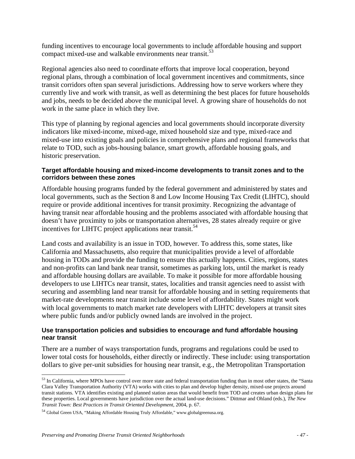funding incentives to encourage local governments to include affordable housing and support compact mixed-use and walkable environments near transit.<sup>53</sup>

Regional agencies also need to coordinate efforts that improve local cooperation, beyond regional plans, through a combination of local government incentives and commitments, since transit corridors often span several jurisdictions. Addressing how to serve workers where they currently live and work with transit, as well as determining the best places for future households and jobs, needs to be decided above the municipal level. A growing share of households do not work in the same place in which they live.

This type of planning by regional agencies and local governments should incorporate diversity indicators like mixed-income, mixed-age, mixed household size and type, mixed-race and mixed-use into existing goals and policies in comprehensive plans and regional frameworks that relate to TOD, such as jobs-housing balance, smart growth, affordable housing goals, and historic preservation.

## **Target affordable housing and mixed-income developments to transit zones and to the corridors between these zones**

Affordable housing programs funded by the federal government and administered by states and local governments, such as the Section 8 and Low Income Housing Tax Credit (LIHTC), should require or provide additional incentives for transit proximity. Recognizing the advantage of having transit near affordable housing and the problems associated with affordable housing that doesn't have proximity to jobs or transportation alternatives, 28 states already require or give incentives for LIHTC project applications near transit.<sup>54</sup>

Land costs and availability is an issue in TOD, however. To address this, some states, like California and Massachusetts, also require that municipalities provide a level of affordable housing in TODs and provide the funding to ensure this actually happens. Cities, regions, states and non-profits can land bank near transit, sometimes as parking lots, until the market is ready and affordable housing dollars are available. To make it possible for more affordable housing developers to use LIHTCs near transit, states, localities and transit agencies need to assist with securing and assembling land near transit for affordable housing and in setting requirements that market-rate developments near transit include some level of affordability. States might work with local governments to match market rate developers with LIHTC developers at transit sites where public funds and/or publicly owned lands are involved in the project.

## **Use transportation policies and subsidies to encourage and fund affordable housing near transit**

There are a number of ways transportation funds, programs and regulations could be used to lower total costs for households, either directly or indirectly. These include: using transportation dollars to give per-unit subsidies for housing near transit, e.g., the Metropolitan Transportation

 $\overline{a}$ 

 $53$  In California, where MPOs have control over more state and federal transportation funding than in most other states, the "Santa" Clara Valley Transportation Authority (VTA) works with cities to plan and develop higher density, mixed-use projects around transit stations. VTA identifies existing and planned station areas that would benefit from TOD and creates urban design plans for these properties. Local governments have jurisdiction over the actual land-use decisions." Dittmar and Ohland (eds.), *The New Transit Town: Best Practices in Transit Oriented Development*, 2004, p. 67.

<sup>54</sup> Global Green USA, "Making Affordable Housing Truly Affordable," www.globalgreenusa.org.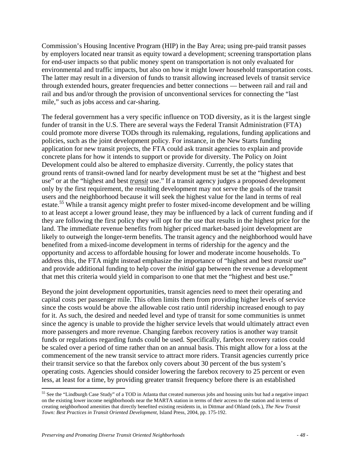Commission's Housing Incentive Program (HIP) in the Bay Area; using pre-paid transit passes by employers located near transit as equity toward a development; screening transportation plans for end-user impacts so that public money spent on transportation is not only evaluated for environmental and traffic impacts, but also on how it might lower household transportation costs. The latter may result in a diversion of funds to transit allowing increased levels of transit service through extended hours, greater frequencies and better connections — between rail and rail and rail and bus and/or through the provision of unconventional services for connecting the "last mile," such as jobs access and car-sharing.

The federal government has a very specific influence on TOD diversity, as it is the largest single funder of transit in the U.S. There are several ways the Federal Transit Administration (FTA) could promote more diverse TODs through its rulemaking, regulations, funding applications and policies, such as the joint development policy. For instance, in the New Starts funding application for new transit projects, the FTA could ask transit agencies to explain and provide concrete plans for how it intends to support or provide for diversity. The Policy on Joint Development could also be altered to emphasize diversity. Currently, the policy states that ground rents of transit-owned land for nearby development must be set at the "highest and best use" or at the "highest and best *transit* use." If a transit agency judges a proposed development only by the first requirement, the resulting development may not serve the goals of the transit users and the neighborhood because it will seek the highest value for the land in terms of real estate.<sup>55</sup> While a transit agency might prefer to foster mixed-income development and be willing to at least accept a lower ground lease, they may be influenced by a lack of current funding and if they are following the first policy they will opt for the use that results in the highest price for the land. The immediate revenue benefits from higher priced market-based joint development are likely to outweigh the longer-term benefits. The transit agency and the neighborhood would have benefited from a mixed-income development in terms of ridership for the agency and the opportunity and access to affordable housing for lower and moderate income households. To address this, the FTA might instead emphasize the importance of "highest and best *transit* use" and provide additional funding to help cover the *initial* gap between the revenue a development that met this criteria would yield in comparison to one that met the "highest and best use."

Beyond the joint development opportunities, transit agencies need to meet their operating and capital costs per passenger mile. This often limits them from providing higher levels of service since the costs would be above the allowable cost ratio until ridership increased enough to pay for it. As such, the desired and needed level and type of transit for some communities is unmet since the agency is unable to provide the higher service levels that would ultimately attract even more passengers and more revenue. Changing farebox recovery ratios is another way transit funds or regulations regarding funds could be used. Specifically, farebox recovery ratios could be scaled over a period of time rather than on an annual basis. This might allow for a loss at the commencement of the new transit service to attract more riders. Transit agencies currently price their transit service so that the farebox only covers about 30 percent of the bus system's operating costs. Agencies should consider lowering the farebox recovery to 25 percent or even less, at least for a time, by providing greater transit frequency before there is an established

 $\overline{a}$ 

<sup>&</sup>lt;sup>55</sup> See the "Lindburgh Case Study" of a TOD in Atlanta that created numerous jobs and housing units but had a negative impact on the existing lower income neighborhoods near the MARTA station in terms of their access to the station and in terms of creating neighborhood amenities that directly benefited existing residents in, in Dittmar and Ohland (eds.), *The New Transit Town: Best Practices in Transit Oriented Development,* Island Press, 2004, pp. 175-192.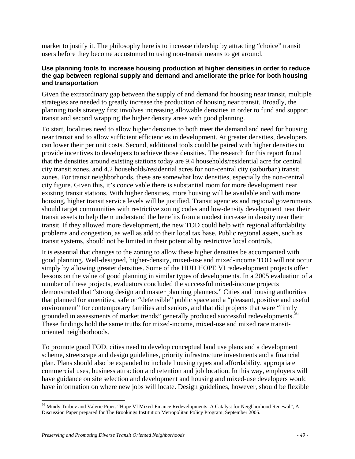market to justify it. The philosophy here is to increase ridership by attracting "choice" transit users before they become accustomed to using non-transit means to get around.

## **Use planning tools to increase housing production at higher densities in order to reduce the gap between regional supply and demand and ameliorate the price for both housing and transportation**

Given the extraordinary gap between the supply of and demand for housing near transit, multiple strategies are needed to greatly increase the production of housing near transit. Broadly, the planning tools strategy first involves increasing allowable densities in order to fund and support transit and second wrapping the higher density areas with good planning.

To start, localities need to allow higher densities to both meet the demand and need for housing near transit and to allow sufficient efficiencies in development. At greater densities, developers can lower their per unit costs. Second, additional tools could be paired with higher densities to provide incentives to developers to achieve those densities. The research for this report found that the densities around existing stations today are 9.4 households/residential acre for central city transit zones, and 4.2 households/residential acres for non-central city (suburban) transit zones. For transit neighborhoods, these are somewhat low densities, especially the non-central city figure. Given this, it's conceivable there is substantial room for more development near existing transit stations. With higher densities, more housing will be available and with more housing, higher transit service levels will be justified. Transit agencies and regional governments should target communities with restrictive zoning codes and low-density development near their transit assets to help them understand the benefits from a modest increase in density near their transit. If they allowed more development, the new TOD could help with regional affordability problems and congestion, as well as add to their local tax base. Public regional assets, such as transit systems, should not be limited in their potential by restrictive local controls.

It is essential that changes to the zoning to allow these higher densities be accompanied with good planning. Well-designed, higher-density, mixed-use and mixed-income TOD will not occur simply by allowing greater densities. Some of the HUD HOPE VI redevelopment projects offer lessons on the value of good planning in similar types of developments. In a 2005 evaluation of a number of these projects, evaluators concluded the successful mixed-income projects demonstrated that "strong design and master planning planners." Cities and housing authorities that planned for amenities, safe or "defensible" public space and a "pleasant, positive and useful environment" for contemporary families and seniors, and that did projects that were "firmly grounded in assessments of market trends" generally produced successful redevelopments.<sup>56</sup> These findings hold the same truths for mixed-income, mixed-use and mixed race transitoriented neighborhoods.

To promote good TOD, cities need to develop conceptual land use plans and a development scheme, streetscape and design guidelines, priority infrastructure investments and a financial plan. Plans should also be expanded to include housing types and affordability, appropriate commercial uses, business attraction and retention and job location. In this way, employers will have guidance on site selection and development and housing and mixed-use developers would have information on where new jobs will locate. Design guidelines, however, should be flexible

 $\overline{a}$ 56 Mindy Turbov and Valerie Piper. "Hope VI Mixed-Finance Redevelopments: A Catalyst for Neighborhood Renewal", A Discussion Paper prepared for The Brookings Institution Metropolitan Policy Program, September 2005.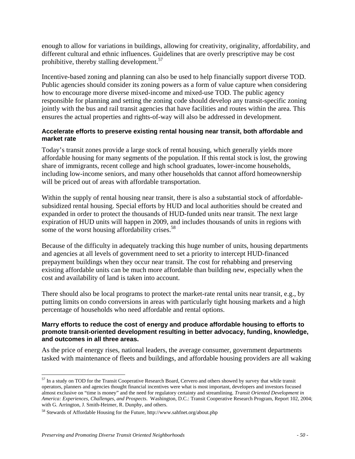enough to allow for variations in buildings, allowing for creativity, originality, affordability, and different cultural and ethnic influences. Guidelines that are overly prescriptive may be cost prohibitive, thereby stalling development.<sup>57</sup>

Incentive-based zoning and planning can also be used to help financially support diverse TOD. Public agencies should consider its zoning powers as a form of value capture when considering how to encourage more diverse mixed-income and mixed-use TOD. The public agency responsible for planning and setting the zoning code should develop any transit-specific zoning jointly with the bus and rail transit agencies that have facilities and routes within the area. This ensures the actual properties and rights-of-way will also be addressed in development.

## **Accelerate efforts to preserve existing rental housing near transit, both affordable and market rate**

Today's transit zones provide a large stock of rental housing, which generally yields more affordable housing for many segments of the population. If this rental stock is lost, the growing share of immigrants, recent college and high school graduates, lower-income households, including low-income seniors, and many other households that cannot afford homeownership will be priced out of areas with affordable transportation.

Within the supply of rental housing near transit, there is also a substantial stock of affordablesubsidized rental housing. Special efforts by HUD and local authorities should be created and expanded in order to protect the thousands of HUD-funded units near transit. The next large expiration of HUD units will happen in 2009, and includes thousands of units in regions with some of the worst housing affordability crises.<sup>58</sup>

Because of the difficulty in adequately tracking this huge number of units, housing departments and agencies at all levels of government need to set a priority to intercept HUD-financed prepayment buildings when they occur near transit. The cost for rehabbing and preserving existing affordable units can be much more affordable than building new, especially when the cost and availability of land is taken into account.

There should also be local programs to protect the market-rate rental units near transit, e.g., by putting limits on condo conversions in areas with particularly tight housing markets and a high percentage of households who need affordable and rental options.

## **Marry efforts to reduce the cost of energy and produce affordable housing to efforts to promote transit-oriented development resulting in better advocacy, funding, knowledge, and outcomes in all three areas.**

As the price of energy rises, national leaders, the average consumer, government departments tasked with maintenance of fleets and buildings, and affordable housing providers are all waking

1

 $57$  In a study on TOD for the Transit Cooperative Research Board, Cervero and others showed by survey that while transit operators, planners and agencies thought financial incentives were what is most important, developers and investors focused almost exclusive on "time is money" and the need for regulatory certainty and streamlining. *Transit Oriented Development in America: Experiences, Challenges, and Prospects*. Washington, D.C.: Transit Cooperative Research Program, Report 102, 2004; with G. Arrington, J. Smith-Heimer, R. Dunphy, and others.

<sup>58</sup> Stewards of Affordable Housing for the Future, http://www.sahfnet.org/about.php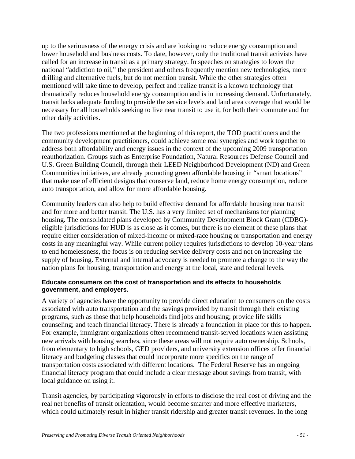up to the seriousness of the energy crisis and are looking to reduce energy consumption and lower household and business costs. To date, however, only the traditional transit activists have called for an increase in transit as a primary strategy. In speeches on strategies to lower the national "addiction to oil," the president and others frequently mention new technologies, more drilling and alternative fuels, but do not mention transit. While the other strategies often mentioned will take time to develop, perfect and realize transit is a known technology that dramatically reduces household energy consumption and is in increasing demand. Unfortunately, transit lacks adequate funding to provide the service levels and land area coverage that would be necessary for all households seeking to live near transit to use it, for both their commute and for other daily activities.

The two professions mentioned at the beginning of this report, the TOD practitioners and the community development practitioners, could achieve some real synergies and work together to address both affordability and energy issues in the context of the upcoming 2009 transportation reauthorization. Groups such as Enterprise Foundation, Natural Resources Defense Council and U.S. Green Building Council, through their LEED Neighborhood Development (ND) and Green Communities initiatives, are already promoting green affordable housing in "smart locations" that make use of efficient designs that conserve land, reduce home energy consumption, reduce auto transportation, and allow for more affordable housing.

Community leaders can also help to build effective demand for affordable housing near transit and for more and better transit. The U.S. has a very limited set of mechanisms for planning housing. The consolidated plans developed by Community Development Block Grant (CDBG) eligible jurisdictions for HUD is as close as it comes, but there is no element of these plans that require either consideration of mixed-income or mixed-race housing or transportation and energy costs in any meaningful way. While current policy requires jurisdictions to develop 10-year plans to end homelessness, the focus is on reducing service delivery costs and not on increasing the supply of housing. External and internal advocacy is needed to promote a change to the way the nation plans for housing, transportation and energy at the local, state and federal levels.

## **Educate consumers on the cost of transportation and its effects to households government, and employers.**

A variety of agencies have the opportunity to provide direct education to consumers on the costs associated with auto transportation and the savings provided by transit through their existing programs, such as those that help households find jobs and housing; provide life skills counseling; and teach financial literacy. There is already a foundation in place for this to happen. For example, immigrant organizations often recommend transit-served locations when assisting new arrivals with housing searches, since these areas will not require auto ownership. Schools, from elementary to high schools, GED providers, and university extension offices offer financial literacy and budgeting classes that could incorporate more specifics on the range of transportation costs associated with different locations. The Federal Reserve has an ongoing financial literacy program that could include a clear message about savings from transit, with local guidance on using it.

Transit agencies, by participating vigorously in efforts to disclose the real cost of driving and the real net benefits of transit orientation, would become smarter and more effective marketers, which could ultimately result in higher transit ridership and greater transit revenues. In the long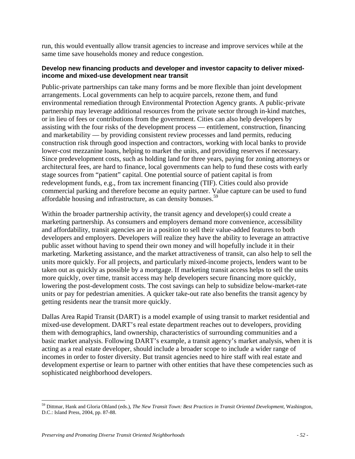run, this would eventually allow transit agencies to increase and improve services while at the same time save households money and reduce congestion.

## **Develop new financing products and developer and investor capacity to deliver mixedincome and mixed-use development near transit**

Public-private partnerships can take many forms and be more flexible than joint development arrangements. Local governments can help to acquire parcels, rezone them, and fund environmental remediation through Environmental Protection Agency grants. A public-private partnership may leverage additional resources from the private sector through in-kind matches, or in lieu of fees or contributions from the government. Cities can also help developers by assisting with the four risks of the development process — entitlement, construction, financing and marketability — by providing consistent review processes and land permits, reducing construction risk through good inspection and contractors, working with local banks to provide lower-cost mezzanine loans, helping to market the units, and providing reserves if necessary. Since predevelopment costs, such as holding land for three years, paying for zoning attorneys or architectural fees, are hard to finance, local governments can help to fund these costs with early stage sources from "patient" capital. One potential source of patient capital is from redevelopment funds, e.g., from tax increment financing (TIF). Cities could also provide commercial parking and therefore become an equity partner. Value capture can be used to fund affordable housing and infrastructure, as can density bonuses.59

Within the broader partnership activity, the transit agency and developer(s) could create a marketing partnership. As consumers and employers demand more convenience, accessibility and affordability, transit agencies are in a position to sell their value-added features to both developers and employers. Developers will realize they have the ability to leverage an attractive public asset without having to spend their own money and will hopefully include it in their marketing. Marketing assistance, and the market attractiveness of transit, can also help to sell the units more quickly. For all projects, and particularly mixed-income projects, lenders want to be taken out as quickly as possible by a mortgage. If marketing transit access helps to sell the units more quickly, over time, transit access may help developers secure financing more quickly, lowering the post-development costs. The cost savings can help to subsidize below-market-rate units or pay for pedestrian amenities. A quicker take-out rate also benefits the transit agency by getting residents near the transit more quickly.

Dallas Area Rapid Transit (DART) is a model example of using transit to market residential and mixed-use development. DART's real estate department reaches out to developers, providing them with demographics, land ownership, characteristics of surrounding communities and a basic market analysis. Following DART's example, a transit agency's market analysis, when it is acting as a real estate developer, should include a broader scope to include a wider range of incomes in order to foster diversity. But transit agencies need to hire staff with real estate and development expertise or learn to partner with other entities that have these competencies such as sophisticated neighborhood developers.

 $\overline{a}$ 59 Dittmar, Hank and Gloria Ohland (eds.), *The New Transit Town: Best Practices in Transit Oriented Development*, Washington, D.C.: Island Press, 2004, pp. 87-88.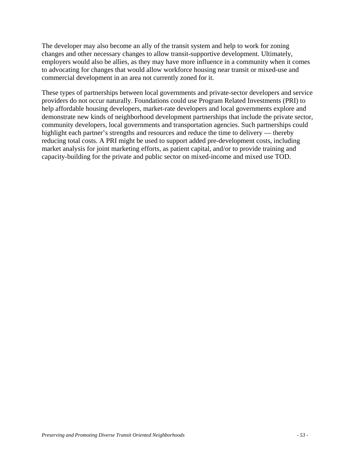The developer may also become an ally of the transit system and help to work for zoning changes and other necessary changes to allow transit-supportive development. Ultimately, employers would also be allies, as they may have more influence in a community when it comes to advocating for changes that would allow workforce housing near transit or mixed-use and commercial development in an area not currently zoned for it.

These types of partnerships between local governments and private-sector developers and service providers do not occur naturally. Foundations could use Program Related Investments (PRI) to help affordable housing developers, market-rate developers and local governments explore and demonstrate new kinds of neighborhood development partnerships that include the private sector, community developers, local governments and transportation agencies. Such partnerships could highlight each partner's strengths and resources and reduce the time to delivery — thereby reducing total costs. A PRI might be used to support added pre-development costs, including market analysis for joint marketing efforts, as patient capital, and/or to provide training and capacity-building for the private and public sector on mixed-income and mixed use TOD.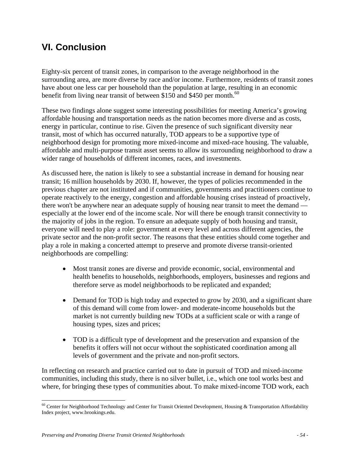## **VI. Conclusion**

Eighty-six percent of transit zones, in comparison to the average neighborhood in the surrounding area, are more diverse by race and/or income. Furthermore, residents of transit zones have about one less car per household than the population at large, resulting in an economic benefit from living near transit of between \$150 and \$450 per month.<sup>60</sup>

These two findings alone suggest some interesting possibilities for meeting America's growing affordable housing and transportation needs as the nation becomes more diverse and as costs, energy in particular, continue to rise. Given the presence of such significant diversity near transit, most of which has occurred naturally, TOD appears to be a supportive type of neighborhood design for promoting more mixed-income and mixed-race housing. The valuable, affordable and multi-purpose transit asset seems to allow its surrounding neighborhood to draw a wider range of households of different incomes, races, and investments.

As discussed here, the nation is likely to see a substantial increase in demand for housing near transit; 16 million households by 2030. If, however, the types of policies recommended in the previous chapter are not instituted and if communities, governments and practitioners continue to operate reactively to the energy, congestion and affordable housing crises instead of proactively, there won't be anywhere near an adequate supply of housing near transit to meet the demand especially at the lower end of the income scale. Nor will there be enough transit connectivity to the majority of jobs in the region. To ensure an adequate supply of both housing and transit, everyone will need to play a role: government at every level and across different agencies, the private sector and the non-profit sector. The reasons that these entities should come together and play a role in making a concerted attempt to preserve and promote diverse transit-oriented neighborhoods are compelling:

- Most transit zones are diverse and provide economic, social, environmental and health benefits to households, neighborhoods, employers, businesses and regions and therefore serve as model neighborhoods to be replicated and expanded;
- Demand for TOD is high today and expected to grow by 2030, and a significant share of this demand will come from lower- and moderate-income households but the market is not currently building new TODs at a sufficient scale or with a range of housing types, sizes and prices;
- TOD is a difficult type of development and the preservation and expansion of the benefits it offers will not occur without the sophisticated coordination among all levels of government and the private and non-profit sectors.

In reflecting on research and practice carried out to date in pursuit of TOD and mixed-income communities, including this study, there is no silver bullet, i.e., which one tool works best and where, for bringing these types of communities about. To make mixed-income TOD work, each

 $\overline{a}$  $60$  Center for Neighborhood Technology and Center for Transit Oriented Development, Housing & Transportation Affordability Index project, www.brookings.edu.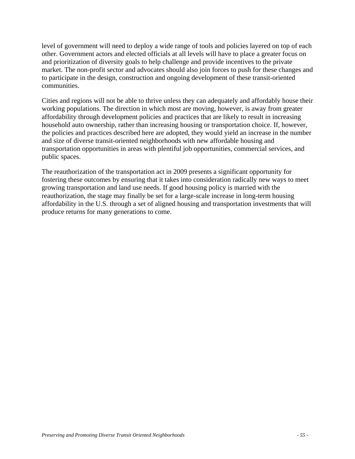level of government will need to deploy a wide range of tools and policies layered on top of each other. Government actors and elected officials at all levels will have to place a greater focus on and prioritization of diversity goals to help challenge and provide incentives to the private market. The non-profit sector and advocates should also join forces to push for these changes and to participate in the design, construction and ongoing development of these transit-oriented communities.

Cities and regions will not be able to thrive unless they can adequately and affordably house their working populations. The direction in which most are moving, however, is away from greater affordability through development policies and practices that are likely to result in increasing household auto ownership, rather than increasing housing or transportation choice. If, however, the policies and practices described here are adopted, they would yield an increase in the number and size of diverse transit-oriented neighborhoods with new affordable housing and transportation opportunities in areas with plentiful job opportunities, commercial services, and public spaces.

The reauthorization of the transportation act in 2009 presents a significant opportunity for fostering these outcomes by ensuring that it takes into consideration radically new ways to meet growing transportation and land use needs. If good housing policy is married with the reauthorization, the stage may finally be set for a large-scale increase in long-term housing affordability in the U.S. through a set of aligned housing and transportation investments that will produce returns for many generations to come.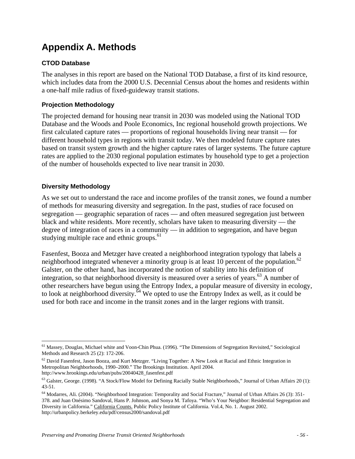# **Appendix A. Methods**

## **CTOD Database**

The analyses in this report are based on the National TOD Database, a first of its kind resource, which includes data from the 2000 U.S. Decennial Census about the homes and residents within a one-half mile radius of fixed-guideway transit stations.

## **Projection Methodology**

The projected demand for housing near transit in 2030 was modeled using the National TOD Database and the Woods and Poole Economics, Inc regional household growth projections. We first calculated capture rates — proportions of regional households living near transit — for different household types in regions with transit today. We then modeled future capture rates based on transit system growth and the higher capture rates of larger systems. The future capture rates are applied to the 2030 regional population estimates by household type to get a projection of the number of households expected to live near transit in 2030.

## **Diversity Methodology**

As we set out to understand the race and income profiles of the transit zones, we found a number of methods for measuring diversity and segregation. In the past, studies of race focused on segregation — geographic separation of races — and often measured segregation just between black and white residents. More recently, scholars have taken to measuring diversity — the degree of integration of races in a community — in addition to segregation, and have begun studying multiple race and ethnic groups.<sup>61</sup>

Fasenfest, Booza and Metzger have created a neighborhood integration typology that labels a neighborhood integrated whenever a minority group is at least 10 percent of the population.<sup>62</sup> Galster, on the other hand, has incorporated the notion of stability into his definition of integration, so that neighborhood diversity is measured over a series of years.<sup>63</sup> A number of other researchers have begun using the Entropy Index, a popular measure of diversity in ecology, to look at neighborhood diversity.<sup> $\bar{6}4$ </sup> We opted to use the Entropy Index as well, as it could be used for both race and income in the transit zones and in the larger regions with transit.

 $\overline{a}$ <sup>61</sup> Massey, Douglas, Michael white and Voon-Chin Phua. (1996). "The Dimensions of Segregation Revisited," Sociological Methods and Research 25 (2): 172-206.

 $62$  David Fasenfest, Jason Booza, and Kurt Metzger. "Living Together: A New Look at Racial and Ethnic Integration in Metropolitan Neighborhoods, 1990–2000." The Brookings Institution. April 2004. http://www.brookings.edu/urban/pubs/20040428\_fasenfest.pdf

 $^{63}$  Galster, George. (1998). "A Stock/Flow Model for Defining Racially Stable Neighborhoods," Journal of Urban Affairs 20 (1): 43-51.

<sup>64</sup> Modarres, Ali. (2004). "Neighborhood Integration: Temporality and Social Fracture," Journal of Urban Affairs 26 (3): 351- 378. and Juan Onésimo Sandoval, Hans P. Johnson, and Sonya M. Tafoya. "Who's Your Neighbor: Residential Segregation and Diversity in California." California Counts. Public Policy Institute of California. Vol.4, No. 1. August 2002. http://urbanpolicy.berkeley.edu/pdf/census2000/sandoval.pdf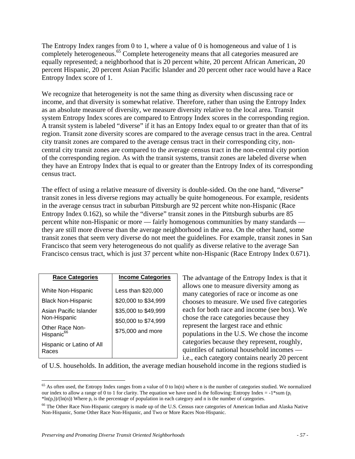The Entropy Index ranges from 0 to 1, where a value of 0 is homogeneous and value of 1 is completely heterogeneous.<sup>65</sup> Complete heterogeneity means that all categories measured are equally represented; a neighborhood that is 20 percent white, 20 percent African American, 20 percent Hispanic, 20 percent Asian Pacific Islander and 20 percent other race would have a Race Entropy Index score of 1.

We recognize that heterogeneity is not the same thing as diversity when discussing race or income, and that diversity is somewhat relative. Therefore, rather than using the Entropy Index as an absolute measure of diversity, we measure diversity relative to the local area. Transit system Entropy Index scores are compared to Entropy Index scores in the corresponding region. A transit system is labeled "diverse" if it has an Entopy Index equal to or greater than that of its region. Transit zone diversity scores are compared to the average census tract in the area. Central city transit zones are compared to the average census tract in their corresponding city, noncentral city transit zones are compared to the average census tract in the non-central city portion of the corresponding region. As with the transit systems, transit zones are labeled diverse when they have an Entropy Index that is equal to or greater than the Entropy Index of its corresponding census tract.

The effect of using a relative measure of diversity is double-sided. On the one hand, "diverse" transit zones in less diverse regions may actually be quite homogeneous. For example, residents in the average census tract in suburban Pittsburgh are 92 percent white non-Hispanic (Race Entropy Index 0.162), so while the "diverse" transit zones in the Pittsburgh suburbs are 85 percent white non-Hispanic or more — fairly homogenous communities by many standards they are still more diverse than the average neighborhood in the area. On the other hand, some transit zones that seem very diverse do not meet the guidelines. For example, transit zones in San Francisco that seem very heterogeneous do not qualify as diverse relative to the average San Francisco census tract, which is just 37 percent white non-Hispanic (Race Entropy Index 0.671).

| <b>Race Categories</b>                    | <b>Income Categories</b> |
|-------------------------------------------|--------------------------|
| White Non-Hispanic                        | Less than \$20,000       |
| <b>Black Non-Hispanic</b>                 | \$20,000 to \$34,999     |
| Asian Pacific Islander                    | \$35,000 to \$49,999     |
| Non-Hispanic                              | \$50,000 to \$74,999     |
| Other Race Non-<br>Hispanic <sup>66</sup> | \$75,000 and more        |
| Hispanic or Latino of All<br>Races        |                          |

 $\overline{a}$ 

The advantage of the Entropy Index is that it allows one to measure diversity among as many categories of race or income as one chooses to measure. We used five categories each for both race and income (see box). We chose the race categories because they represent the largest race and ethnic populations in the U.S. We chose the income categories because they represent, roughly, quintiles of national household incomes i.e., each category contains nearly 20 percent

of U.S. households. In addition, the average median household income in the regions studied is

 $65$  As often used, the Entropy Index ranges from a value of 0 to ln(n) where n is the number of categories studied. We normalized our index to allow a range of 0 to 1 for clarity. The equation we have used is the following: Entropy Index =  $-1*sum (p_i)$  $*ln(p_i)/(ln(n))$  Where  $p_i$  is the percentage of population in each category and n is the number of categories.

<sup>&</sup>lt;sup>66</sup> The Other Race Non-Hispanic category is made up of the U.S. Census race categories of American Indian and Alaska Native Non-Hispanic, Some Other Race Non-Hispanic, and Two or More Races Non-Hispanic.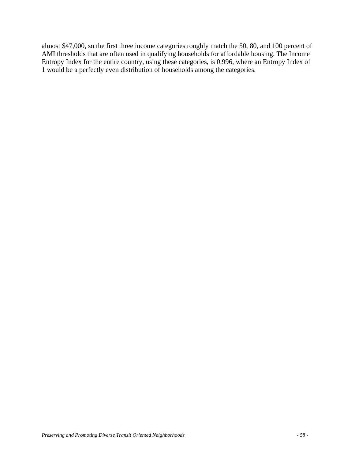almost \$47,000, so the first three income categories roughly match the 50, 80, and 100 percent of AMI thresholds that are often used in qualifying households for affordable housing. The Income Entropy Index for the entire country, using these categories, is 0.996, where an Entropy Index of 1 would be a perfectly even distribution of households among the categories.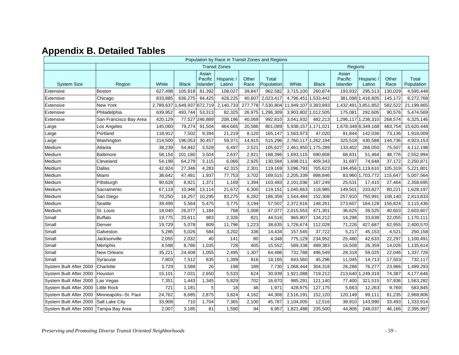# **Appendix B. Detailed Tables**

|                         | Population by Race in Transit Zones and Regions |           |              |                              |                      |               |                     |                      |              |                              |                           |               |                     |
|-------------------------|-------------------------------------------------|-----------|--------------|------------------------------|----------------------|---------------|---------------------|----------------------|--------------|------------------------------|---------------------------|---------------|---------------------|
|                         |                                                 |           |              |                              | <b>Transit Zones</b> |               |                     |                      |              | Regions                      |                           |               |                     |
| <b>System Size</b>      | Region                                          | White     | <b>Black</b> | Asian<br>Pacific<br>Islander | Hispanic<br>Latino   | Other<br>Race | Total<br>Population | White                | <b>Black</b> | Asian<br>Pacific<br>Islander | <b>Hispanic</b><br>Latino | Other<br>Race | Total<br>Population |
| Extensive               | Boston                                          | 627,498   | 105,818      | 81,392                       | 108,027              | 39,847        | 962,582             | 3,715,100            | 260,874      | 193,932                      | 295,513                   | 130,029       | 4,595,448           |
| Extensive               | Chicago                                         | 833,885   | 636,275      | 84,425                       | 428,225              | 40,607        | 2,023,417           | 4,796,451 1,533,442  |              |                              | 381,098 1,416,605         | 145,172       | 8,272,768           |
| Extensive               | New York                                        | 2,789,637 | 1,649,937    | 672,719                      | 2,140,733            | 277,778       | 7,530,804           | 11,949,107 3,383,893 |              | 1,432,491                    | 3,851,852                 | 582,522       | 21,199,865          |
| Extensive               | Philadelphia                                    | 639,952   | 493,744      | 53,313                       | 82,325               | 26,975        | 1,296,309           | 3,903,802 1,012,505  |              | 175,081                      | 292,605                   | 90,576        | 5,474,569           |
| Extensive               | San Francisco Bay Area                          | 420,129   | 77,527       | 246,889                      | 208,196              | 40,069        | 992,810             | 3,041,932            | 482,213      | 1,296,117                    | 1,236,310                 | 268,574       | 6,325,146           |
| Large                   | Los Angeles                                     | 145,060   | 79,274       | 91,504                       | 464,665              | 20,586        | 801,089             | 5,938,157            | 1,171,021    | 1,678,348 6,349,168          |                           | 483,754       | 15,620,448          |
| Large                   | Portland                                        | 118,912   | 7,502        | 9,394                        | 21,219               | 8,120         | 165,147             | 1,563,973            | 47,020       | 91,844                       | 142,036                   | 73,136        | 1,918,009           |
| Large                   | Washington                                      | 214,500   | 196,053      | 30,457                       | 59,371               | 14,915        | 515,296             | 2,760,117 1,262,194  |              | 325,518                      | 430,588                   | 144,736       | 4,923,153           |
| Medium                  | Atlanta                                         | 38,239    | 54,842       | 3,528                        | 6,497                | 2,521         | 105,627             | 2,461,950 1,175,289  |              | 133,402                      | 266,050                   | 75,507        | 4,112,198           |
| Medium                  | Baltimore                                       | 58,154    | 101,180      | 3,504                        | 2,637                | 2,921         | 168,396             | 1,693,115            | 690,808      | 68,831                       | 51,464                    | 48,776        | 2,552,994           |
| Medium                  | Cleveland                                       | 54,199    | 64,279       | 3,115                        | 6,066                | 2,925         | 130,584             | 1,698,011            | 409,343      | 31,697                       | 74,648                    | 37,172        | 2,250,871           |
| Medium                  | Dallas                                          | 42,924    | 27,346       | 4,283                        | 42,315               | 2,301         | 119,169             | 3,096,793            | 705,623      |                              | 194,456 1,119,610         | 105,319       | 5,221,801           |
| Medium                  | Miami                                           | 38,642    | 47,481       | 1,937                        | 77,753               | 3,702         | 169,515             | 2,205,339            | 898,846      |                              | 83,960 1,703,772          | 115,647       | 5,007,564           |
| Medium                  | Pittsburgh                                      | 90,628    | 8,921        | 1,371                        | 1,169                | 1,394         | 103,483             | 2,101,036            | 187,249      | 25,531                       | 17,415                    | 27,464        | 2,358,695           |
| Medium                  | Sacramento                                      | 67,119    | 10,946       | 13,114                       | 21,672               | 6,300         | 119,151             | 1,045,663            | 118,985      | 149,501                      | 233,827                   | 80,221        | 1,628,197           |
| Medium                  | San Diego                                       | 70,250    | 16,257       | 10,295                       | 83,275               | 6,282         | 186,359             | 1,544,484            | 152,308      | 257,910                      | 750,991                   | 108,140       | 2,813,833           |
| Medium                  | Seattle                                         | 39,499    | 5,564        | 5,475                        | 3,775                | 3,194         | 57,507              | 2,372,616            | 148,261      | 273,607                      | 164,128                   | 156,824       | 3,115,436           |
| Medium                  | St. Louis                                       | 18,040    | 26,077       | 1,184                        | 768                  | 1,008         | 47,077              | 2,015,553            | 471,301      | 36,625                       | 39,525                    | 40,603        | 2,603,607           |
| Small                   | <b>Buffalo</b>                                  | 19,775    | 20,611       | 983                          | 2,326                | 821           | 44,516              | 965,907              | 134,212      | 14,298                       | 33,639                    | 22,055        | 1,170,111           |
| Small                   | Denver                                          | 19,729    | 5,078        | 809                          | 11,796               | 1,223         | 38,635              | 1,726,674            | 112,028      | 71,226                       | 427,687                   | 62,955        | 2,400,570           |
| Small                   | Galveston                                       | 5,286     | 5,026        | 584                          | 3,202                | 336           | 14,434              | 157,545              | 37,722       | 5,217                        | 45,153                    | 4,521         | 250,158             |
| Small                   | Jacksonville                                    | 2,055     | 2,032        | 40                           | 141                  | 80            | 4,348               | 775,129              | 234,952      | 25,480                       | 42,633                    | 22,297        | 1,100,491           |
| Small                   | Memphis                                         | 4,598     | 8,786        | 1,035                        | 728                  | 405           | 15,552              | 589,338              | 489,383      | 16,508                       | 26,359                    | 14,026        | 1,135,614           |
| Small                   | New Orleans                                     | 35,221    | 24,408       | 1,055                        | 2,495                | 1,307         | 64,486              | 731,788              | 496,549      | 28,318                       | 59,025                    | 22,046        | 1,337,726           |
| Small                   | Syracuse                                        | 7,803     | 7,512        | 635                          | 1,399                | 816           | 18,165              | 643,560              | 45,296       | 11,045                       | 14,713                    | 17,503        | 732,117             |
| System Built After 2000 | Charlotte                                       | 3,729     | 3,588        | 26                           | 198                  | 189           | 7,730               | 1,068,444            | 304,318      | 26,288                       | 76,277                    | 23,966        | 1,499,293           |
| System Built After 2000 | Houston                                         | 15,101    | 7,031        | 2,650                        | 5,533                | 624           | 30,939              | 1,921,088            | 719,212      | 213,640                      | ,249,319                  | 74,387        | 4,177,646           |
| System Built After 2000 | Las Vegas                                       | 7,351     | 1,443        | 1,345                        | 5,829                | 702           | 16,670              | 985,291              | 121,140      | 77,400                       | 321,515                   | 57,936        | 1,563,282           |
| System Built After 2000 | <b>Little Rock</b>                              | 721       | 1,181        | 5                            | 18                   | 46            | 1,971               | 428,975              | 127,175      | 5,663                        | 12,263                    | 9,769         | 583,845             |
| System Built After 2000 | Minneapolis--St. Paul                           | 24,762    | 8,685        | 2,875                        | 3,824                | 4,162         | 44,308              | 2,516,191            | 152,120      | 120,149                      | 99,111                    | 81,235        | 2,968,806           |
| System Built After 2000 | Salt Lake City                                  | 33,908    | 710          | 1,704                        | 7,365                | 2,100         | 45,787              | 1,104,005            | 12,516       | 39,910                       | 143,990                   | 33,493        | 1,333,914           |
| System Built After 2000 | Tampa Bay Area                                  | 2,007     | 3,185        | 81                           | 1,590                | 94            | 6,957               | 1,821,488            | 235,500      | 44,806                       | 248,037                   | 46,166        | 2,395,997           |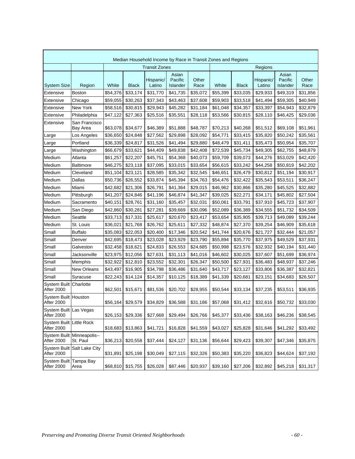|                                           | Median Household Income by Race in Transit Zones and Regions |          |              |                      |                              |               |          |              |                     |                              |               |  |
|-------------------------------------------|--------------------------------------------------------------|----------|--------------|----------------------|------------------------------|---------------|----------|--------------|---------------------|------------------------------|---------------|--|
|                                           |                                                              |          |              | <b>Transit Zones</b> |                              |               | Regions  |              |                     |                              |               |  |
| <b>System Size</b>                        | Region                                                       | White    | <b>Black</b> | Hispanic/<br>Latino  | Asian<br>Pacific<br>Islander | Other<br>Race | White    | <b>Black</b> | Hispanic/<br>Latino | Asian<br>Pacific<br>Islander | Other<br>Race |  |
| Extensive                                 | <b>Boston</b>                                                | \$54,376 | \$33,174     | \$31,770             | \$41,735                     | \$35,072      | \$55,399 | \$33,035     | \$29,933            | \$49,319                     | \$31,856      |  |
| Extensive                                 | Chicago                                                      | \$59,055 | \$30,263     | \$37,343             | \$43,463                     | \$37,608      | \$59,903 | \$33,518     | \$41,494            | \$59,305                     | \$40,949      |  |
| Extensive                                 | New York                                                     | \$58,516 | \$30,815     | \$29,943             | \$45,282                     | \$31,184      | \$61,048 | \$34,357     | \$33,397            | \$54,943                     | \$32,879      |  |
| Extensive                                 | Philadelphia                                                 | \$47,122 | \$27,363     | \$25,516             | \$35,551                     | \$28,118      | \$53,566 | \$30,815     | \$28,110            | \$46,425                     | \$29,036      |  |
| Extensive                                 | San Francisco<br>Bay Area                                    | \$63,078 | \$34,677     | \$46,389             | \$51,888                     | \$48,787      | \$70,213 | \$40,268     | \$51,512            | \$69,108                     | \$51,961      |  |
| Large                                     | Los Angeles                                                  | \$36,650 | \$24,848     | \$27,562             | \$29,898                     | \$28,092      | \$54,771 | \$33,415     | \$35,820            | \$50,242                     | \$35,561      |  |
| Large                                     | Portland                                                     | \$36,339 | \$24,817     | \$31,526             | \$41,494                     | \$29,880      | \$48,479 | \$31,411     | \$35,473            | \$50,954                     | \$35,707      |  |
| Large                                     | Washington                                                   | \$66,679 | \$33,621     | \$44,409             | \$49,838                     | \$42,408      | \$72,539 | \$45,734     | \$49,305            | \$62,755                     | \$48,879      |  |
| Medium                                    | Atlanta                                                      | \$61,257 | \$22,207     | \$45,751             | \$54,368                     | \$40,073      | \$59,709 | \$39,073     | \$44,276            | \$53,029                     | \$42,420      |  |
| Medium                                    | <b>Baltimore</b>                                             | \$46,275 | \$23,118     | \$37,095             | \$33,015                     | \$33,654      | \$56,615 | \$33,242     | \$44,258            | \$50,819                     | \$42,202      |  |
| Medium                                    | Cleveland                                                    | \$51,104 | \$23,121     | \$28,585             | \$35,342                     | \$32,545      | \$46,651 | \$26,479     | \$30,812            | \$51,194                     | \$30,917      |  |
| Medium                                    | <b>Dallas</b>                                                | \$50,736 | \$26,552     | \$33,874             | \$45,394                     | \$34,763      | \$54,476 | \$32,422     | \$35,543            | \$53,511                     | \$36,247      |  |
| Medium                                    | Miami                                                        | \$42,682 | \$21,306     | \$26,791             | \$41,364                     | \$29,015      | \$46,962 | \$30,866     | \$35,280            | \$45,525                     | \$32,882      |  |
| Medium                                    | Pittsburgh                                                   | \$41,207 | \$24,846     | \$41,196             | \$46,874                     | \$41,347      | \$39,025 | \$22,271     | \$34,171            | \$45,802                     | \$27,504      |  |
| Medium                                    | Sacramento                                                   | \$40,151 | \$28,761     | \$31,160             | \$35,457                     | \$32,031      | \$50,061 | \$33,791     | \$37,910            | \$45,723                     | \$37,907      |  |
| Medium                                    | San Diego                                                    | \$42,860 | \$30,281     | \$27,281             | \$39,669                     | \$30,096      | \$52,089 | \$36,389     | \$34,555            | \$51,732                     | \$34,509      |  |
| Medium                                    | Seattle                                                      | \$33,713 | \$17,331     | \$25,617             | \$20,670                     | \$23,417      | \$53,654 | \$35,905     | \$39,713            | \$49,089                     | \$39,244      |  |
| Medium                                    | St. Louis                                                    | \$36,021 | \$21,768     | \$26,762             | \$25,611                     | \$27,332      | \$48,874 | \$27,370     | \$39,254            | \$46,909                     | \$35,618      |  |
| Small                                     | <b>Buffalo</b>                                               | \$35,083 | \$22,053     | \$20,400             | \$17,346                     | \$20,542      | \$41,744 | \$20,676     | \$21,727            | \$32,444                     | \$21,057      |  |
| Small                                     | Denver                                                       | \$42,695 | \$18,473     | \$23,028             | \$23,929                     | \$23,790      | \$55,894 | \$35,770     | \$37,975            | \$49,529                     | \$37,931      |  |
| Small                                     | Galveston                                                    | \$32,458 | \$18,621     | \$24,833             | \$26,553                     | \$24,685      | \$50,998 | \$23,576     | \$32,932            | \$40,194                     | \$31,440      |  |
| Small                                     | Jacksonville                                                 | \$23,975 | \$12,056     | \$27,631             | \$31,113                     | \$41,016      | \$46,602 | \$30,025     | \$37,607            | \$51,699                     | \$36,974      |  |
| Small                                     | Memphis                                                      | \$32,922 | \$12,810     | \$23,552             | \$32,301                     | \$26,347      | \$50,500 | \$27,931     | \$36,483            | \$48,937                     | \$37,246      |  |
| Small                                     | <b>New Orleans</b>                                           | \$43,497 | \$16,905     | \$34,798             | \$36,486                     | \$31,640      | \$43,717 | \$23,127     | \$33,806            | \$36,387                     | \$32,821      |  |
| Small                                     | Syracuse                                                     | \$22,243 | \$14,124     | \$14,357             | \$10,125                     | \$18,389      | \$41,339 | \$20,681     | \$23,151            | \$34,683                     | \$26,507      |  |
| System Built Charlotte<br>After 2000      |                                                              | \$62,501 | \$15,671     | \$81,536             | \$20,702                     | \$28,955      | \$50,544 | \$33,134     | \$37,235            | \$53,511                     | \$36,935      |  |
| System Built Houston<br><b>After 2000</b> |                                                              | \$56,164 | \$29,579     | \$34,829             | \$36,588                     | \$31,186      | \$57,068 | \$31,412     | \$32,616            | \$50,732                     | \$33,030      |  |
| System Built Las Vegas<br>After 2000      |                                                              | \$26,153 | \$29,336     | \$27,668             | \$29,494                     | \$26,766      | \$45,377 | \$33,436     | \$38,163            | \$46,236                     | \$38,545      |  |
| System Built Little Rock<br>After 2000    |                                                              | \$18,683 | \$13,863     | \$41,721             | \$16,828                     | \$41,559      | \$43,027 | \$25,828     | \$31,646            | \$41,292                     | \$33,492      |  |
| After 2000                                | System Built Minneapolis--<br>St. Paul                       | \$36,213 | \$20,558     | \$37,444             | \$24,127                     | \$31,136      | \$56,644 | \$29,423     | \$39,307            | \$47,346                     | \$35,875      |  |
| After 2000                                | System Built Salt Lake City                                  | \$31,891 | \$25,198     | \$30,049             | \$27,115                     | \$32,326      | \$50,383 | \$35,220     | \$36,823            | \$44,624                     | \$37,192      |  |
| System Built Tampa Bay<br>After 2000      | Area                                                         | \$68,810 | \$15,755     | \$26,028             | \$87,446                     | \$20,937      | \$39,160 | \$27,206     | \$32,892            | \$45,218                     | \$31,317      |  |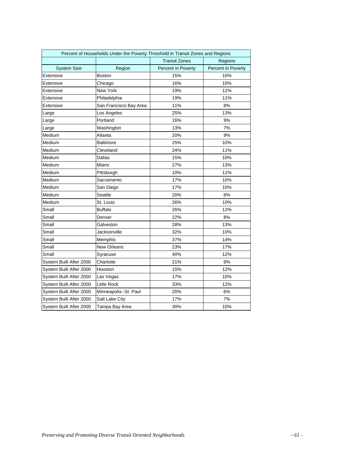|                         | Percent of Households Under the Poverty Threshold in Transit Zones and Regions |                      |                    |
|-------------------------|--------------------------------------------------------------------------------|----------------------|--------------------|
|                         |                                                                                | <b>Transit Zones</b> | Regions            |
| <b>System Size</b>      | Region                                                                         | Percent in Poverty   | Percent in Poverty |
| Extensive               | <b>Boston</b>                                                                  | 15%                  | 10%                |
| Extensive               | Chicago                                                                        | 16%                  | 10%                |
| Extensive               | New York                                                                       | 19%                  | 12%                |
| Extensive               | Philadelphia                                                                   | 19%                  | 11%                |
| Extensive               | San Francisco Bay Area                                                         | 11%                  | 8%                 |
| Large                   | Los Angeles                                                                    | 25%                  | 13%                |
| Large                   | Portland                                                                       | 16%                  | 9%                 |
| Large                   | Washington                                                                     | 13%                  | 7%                 |
| Medium                  | Atlanta                                                                        | 20%                  | 9%                 |
| Medium                  | <b>Baltimore</b>                                                               | 25%                  | 10%                |
| Medium                  | Cleveland                                                                      | 24%                  | 11%                |
| Medium                  | Dallas                                                                         | 15%                  | 10%                |
| Medium                  | Miami                                                                          | 27%                  | 13%                |
| Medium                  | Pittsburgh                                                                     | 10%                  | 11%                |
| Medium                  | Sacramento                                                                     | 17%                  | 10%                |
| Medium                  | San Diego                                                                      | 17%                  | 10%                |
| Medium                  | Seattle                                                                        | 20%                  | 8%                 |
| Medium                  | St. Louis                                                                      | 26%                  | 10%                |
| Small                   | <b>Buffalo</b>                                                                 | 26%                  | 12%                |
| Small                   | Denver                                                                         | 22%                  | 8%                 |
| Small                   | Galveston                                                                      | 28%                  | 13%                |
| Small                   | Jacksonville                                                                   | 32%                  | 10%                |
| Small                   | Memphis                                                                        | 37%                  | 14%                |
| Small                   | New Orleans                                                                    | 23%                  | 17%                |
| Small                   | Syracuse                                                                       | 40%                  | 12%                |
| System Built After 2000 | Charlotte                                                                      | 21%                  | 9%                 |
| System Built After 2000 | Houston                                                                        | 15%                  | 12%                |
| System Built After 2000 | Las Vegas                                                                      | 17%                  | 10%                |
| System Built After 2000 | Little Rock                                                                    | 33%                  | 12%                |
| System Built After 2000 | Minneapolis--St. Paul                                                          | 20%                  | 6%                 |
| System Built After 2000 | Salt Lake City                                                                 | 17%                  | 7%                 |
| System Built After 2000 | Tampa Bay Area                                                                 | 30%                  | 10%                |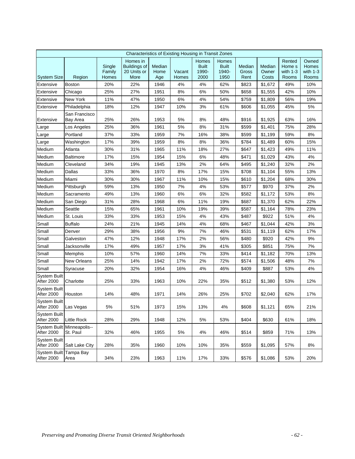| Characteristics of Existing Housing in Transit Zones |                           |                           |                                                               |                       |                 |                                        |                                        |                         |                          |                                         |                                       |
|------------------------------------------------------|---------------------------|---------------------------|---------------------------------------------------------------|-----------------------|-----------------|----------------------------------------|----------------------------------------|-------------------------|--------------------------|-----------------------------------------|---------------------------------------|
| <b>System Size</b>                                   | Region                    | Single<br>Family<br>Homes | Homes in<br><b>Buildings of</b><br>20 Units or<br><b>More</b> | Median<br>Home<br>Age | Vacant<br>Homes | Homes<br><b>Built</b><br>1990-<br>2000 | Homes<br><b>Built</b><br>1940-<br>1950 | Median<br>Gross<br>Rent | Median<br>Owner<br>Costs | Rented<br>Home s<br>with $1-3$<br>Rooms | Owned<br>Homes<br>with $1-3$<br>Rooms |
| Extensive                                            | Boston                    | 20%                       | 22%                                                           | 1946                  | 4%              | 4%                                     | 62%                                    | \$823                   | \$1,672                  | 49%                                     | 10%                                   |
| Extensive                                            | Chicago                   | 25%                       | 27%                                                           | 1951                  | 8%              | $6\%$                                  | 50%                                    | \$658                   | \$1,555                  | 42%                                     | 10%                                   |
| Extensive                                            | New York                  | 11%                       | 47%                                                           | 1950                  | 6%              | 4%                                     | 54%                                    | \$759                   | \$1,809                  | 56%                                     | 19%                                   |
| Extensive                                            | Philadelphia              | 18%                       | 12%                                                           | 1947                  | 10%             | 3%                                     | 61%                                    | \$606                   | \$1,055                  | 45%                                     | 5%                                    |
| Extensive                                            | San Francisco<br>Bay Area | 25%                       | 26%                                                           | 1953                  | 5%              | 8%                                     | 48%                                    | \$916                   | \$1,925                  | 63%                                     | 16%                                   |
| Large                                                | Los Angeles               | 25%                       | 36%                                                           | 1961                  | 5%              | 8%                                     | 31%                                    | \$599                   | \$1,401                  | 75%                                     | 28%                                   |
| Large                                                | Portland                  | 37%                       | 33%                                                           | 1959                  | 7%              | 16%                                    | 38%                                    | \$599                   | \$1,199                  | 59%                                     | 8%                                    |
| Large                                                | Washington                | 17%                       | 39%                                                           | 1959                  | 8%              | 8%                                     | 36%                                    | \$784                   | \$1,489                  | 60%                                     | 15%                                   |
| Medium                                               | Atlanta                   | 30%                       | 31%                                                           | 1965                  | 11%             | 18%                                    | 27%                                    | \$647                   | \$1,423                  | 49%                                     | 11%                                   |
| Medium                                               | <b>Baltimore</b>          | 17%                       | 15%                                                           | 1954                  | 15%             | 6%                                     | 48%                                    | \$471                   | \$1,029                  | 43%                                     | 4%                                    |
| Medium                                               | Cleveland                 | 34%                       | 19%                                                           | 1945                  | 13%             | 2%                                     | 64%                                    | \$495                   | \$1,240                  | 32%                                     | 2%                                    |
| Medium                                               | <b>Dallas</b>             | 33%                       | 36%                                                           | 1970                  | 8%              | 17%                                    | 15%                                    | \$708                   | \$1,104                  | 55%                                     | 13%                                   |
| Medium                                               | Miami                     | 30%                       | 30%                                                           | 1967                  | 11%             | 10%                                    | 15%                                    | \$610                   | \$1,204                  | 68%                                     | 30%                                   |
| Medium                                               | Pittsburgh                | 59%                       | 13%                                                           | 1950                  | 7%              | 4%                                     | 53%                                    | \$577                   | \$970                    | 37%                                     | 2%                                    |
| Medium                                               | Sacramento                | 49%                       | 13%                                                           | 1960                  | 6%              | 6%                                     | 32%                                    | \$582                   | \$1,172                  | 53%                                     | 8%                                    |
| Medium                                               | San Diego                 | 31%                       | 28%                                                           | 1968                  | 6%              | 11%                                    | 19%                                    | \$687                   | \$1,370                  | 62%                                     | 22%                                   |
| Medium                                               | Seattle                   | 15%                       | 65%                                                           | 1961                  | 10%             | 19%                                    | 39%                                    | \$587                   | \$1,164                  | 78%                                     | 23%                                   |
| Medium                                               | St. Louis                 | 33%                       | 33%                                                           | 1953                  | 15%             | 4%                                     | 43%                                    | \$487                   | \$922                    | 51%                                     | 4%                                    |
| Small                                                | <b>Buffalo</b>            | 24%                       | 21%                                                           | 1945                  | 14%             | 4%                                     | 68%                                    | \$467                   | \$1,044                  | 42%                                     | 3%                                    |
| Small                                                | Denver                    | 29%                       | 38%                                                           | 1956                  | 9%              | 7%                                     | 46%                                    | \$531                   | \$1,119                  | 62%                                     | 17%                                   |
| Small                                                | Galveston                 | 47%                       | 12%                                                           | 1948                  | 17%             | 2%                                     | 56%                                    | \$480                   | \$920                    | 42%                                     | 9%                                    |
| Small                                                | Jacksonville              | 17%                       | 49%                                                           | 1957                  | 17%             | 3%                                     | 41%                                    | \$305                   | \$851                    | 75%                                     | 7%                                    |
| Small                                                | Memphis                   | 10%                       | 57%                                                           | 1960                  | 14%             | 7%                                     | 33%                                    | \$414                   | \$1,182                  | 70%                                     | 13%                                   |
| Small                                                | <b>New Orleans</b>        | 25%                       | 14%                                                           | 1942                  | 17%             | 2%                                     | 72%                                    | \$574                   | \$1,506                  | 48%                                     | 7%                                    |
| Small                                                | Syracuse                  | 20%                       | 32%                                                           | 1954                  | 16%             | 4%                                     | 46%                                    | \$409                   | \$887                    | 53%                                     | 4%                                    |
| <b>System Built</b><br>After 2000                    | Charlotte                 | 25%                       | 33%                                                           | 1963                  | 10%             | 22%                                    | 35%                                    | \$512                   | \$1,380                  | 53%                                     | 12%                                   |
| <b>System Built</b><br>After 2000                    | Houston                   | 14%                       | 48%                                                           | 1971                  | 14%             | 26%                                    | 25%                                    | \$702                   | \$2,040                  | 62%                                     | 17%                                   |
| <b>System Built</b><br>After 2000                    | Las Vegas                 | 5%                        | 51%                                                           | 1973                  | 15%             | 13%                                    | 4%                                     | \$608                   | \$1,121                  | 65%                                     | 21%                                   |
| <b>System Built</b><br><b>After 2000</b>             | <b>Little Rock</b>        | 28%                       | 29%                                                           | 1948                  | 12%             | 5%                                     | 53%                                    | \$404                   | \$630                    | 61%                                     | 18%                                   |
| <b>System Built</b><br><b>After 2000</b>             | Minneapolis--<br>St. Paul | 32%                       | 46%                                                           | 1955                  | 5%              | 4%                                     | 46%                                    | \$514                   | \$859                    | 71%                                     | 13%                                   |
| <b>System Built</b><br>After 2000                    | Salt Lake City            | 28%                       | 35%                                                           | 1960                  | 10%             | 10%                                    | 35%                                    | \$559                   | \$1,095                  | 57%                                     | 8%                                    |
| <b>System Built</b><br>After 2000                    | Tampa Bay<br>Area         | 34%                       | 23%                                                           | 1963                  | 11%             | 17%                                    | 33%                                    | \$576                   | \$1,086                  | 53%                                     | 20%                                   |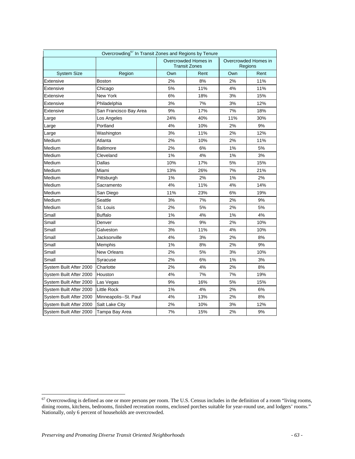| Overcrowding <sup>67</sup> In Transit Zones and Regions by Tenure |                        |     |                                              |     |                                 |  |  |  |  |  |
|-------------------------------------------------------------------|------------------------|-----|----------------------------------------------|-----|---------------------------------|--|--|--|--|--|
|                                                                   |                        |     | Overcrowded Homes in<br><b>Transit Zones</b> |     | Overcrowded Homes in<br>Regions |  |  |  |  |  |
| <b>System Size</b>                                                | Region                 | Own | Rent                                         | Own | Rent                            |  |  |  |  |  |
| Extensive                                                         | <b>Boston</b>          | 2%  | 8%                                           | 2%  | 11%                             |  |  |  |  |  |
| Extensive                                                         | Chicago                | 5%  | 11%                                          | 4%  | 11%                             |  |  |  |  |  |
| Extensive                                                         | New York               | 6%  | 18%                                          | 3%  | 15%                             |  |  |  |  |  |
| Extensive                                                         | Philadelphia           | 3%  | 7%                                           | 3%  | 12%                             |  |  |  |  |  |
| Extensive                                                         | San Francisco Bay Area | 9%  | 17%                                          | 7%  | 18%                             |  |  |  |  |  |
| Large                                                             | Los Angeles            | 24% | 40%                                          | 11% | 30%                             |  |  |  |  |  |
| Large                                                             | Portland               | 4%  | 10%                                          | 2%  | 9%                              |  |  |  |  |  |
| Large                                                             | Washington             | 3%  | 11%                                          |     | 12%                             |  |  |  |  |  |
| Medium                                                            | Atlanta                | 2%  | 10%                                          | 2%  | 11%                             |  |  |  |  |  |
| Medium                                                            | <b>Baltimore</b>       | 2%  | 6%                                           | 1%  | 5%                              |  |  |  |  |  |
| Medium                                                            | Cleveland              | 1%  | 4%                                           | 1%  | 3%                              |  |  |  |  |  |
| Medium                                                            | Dallas                 | 10% | 17%                                          | 5%  | 15%                             |  |  |  |  |  |
| Medium                                                            | Miami                  | 13% | 26%                                          | 7%  | 21%                             |  |  |  |  |  |
| Medium                                                            | Pittsburgh             | 1%  | 2%                                           | 1%  | 2%                              |  |  |  |  |  |
| Medium                                                            | Sacramento             | 4%  | 11%                                          | 4%  | 14%                             |  |  |  |  |  |
| Medium                                                            | San Diego              | 11% | 23%                                          | 6%  | 19%                             |  |  |  |  |  |
| Medium                                                            | Seattle                | 3%  | 7%                                           | 2%  | 9%                              |  |  |  |  |  |
| Medium                                                            | St. Louis              | 2%  | 5%                                           | 2%  | 5%                              |  |  |  |  |  |
| Small                                                             | <b>Buffalo</b>         | 1%  | 4%                                           | 1%  | 4%                              |  |  |  |  |  |
| Small                                                             | Denver                 | 3%  | 9%                                           | 2%  | 10%                             |  |  |  |  |  |
| Small                                                             | Galveston              | 3%  | 11%                                          | 4%  | 10%                             |  |  |  |  |  |
| Small                                                             | Jacksonville           | 4%  | 3%                                           | 2%  | 8%                              |  |  |  |  |  |
| Small                                                             | Memphis                | 1%  | 8%                                           | 2%  | 9%                              |  |  |  |  |  |
| Small                                                             | <b>New Orleans</b>     | 2%  | 5%                                           | 3%  | 10%                             |  |  |  |  |  |
| Small                                                             | Syracuse               | 2%  | 6%                                           | 1%  | 3%                              |  |  |  |  |  |
| System Built After 2000                                           | Charlotte              | 2%  | 4%                                           | 2%  | 8%                              |  |  |  |  |  |
| System Built After 2000                                           | Houston                | 4%  | 7%                                           | 7%  | 19%                             |  |  |  |  |  |
| System Built After 2000                                           | Las Vegas              | 9%  | 16%                                          | 5%  | 15%                             |  |  |  |  |  |
| System Built After 2000                                           | <b>Little Rock</b>     | 1%  | 4%                                           | 2%  | 6%                              |  |  |  |  |  |
| System Built After 2000                                           | Minneapolis--St. Paul  | 4%  | 13%                                          | 2%  | 8%                              |  |  |  |  |  |
| System Built After 2000                                           | Salt Lake City         | 2%  | 10%                                          | 3%  | 12%                             |  |  |  |  |  |
| System Built After 2000                                           | Tampa Bay Area         | 7%  | 15%                                          | 2%  | 9%                              |  |  |  |  |  |

 $\overline{a}$ 

 $67$  Overcrowding is defined as one or more persons per room. The U.S. Census includes in the definition of a room "living rooms, dining rooms, kitchens, bedrooms, finished recreation rooms, enclosed porches suitable for year-round use, and lodgers' rooms." Nationally, only 6 percent of households are overcrowded.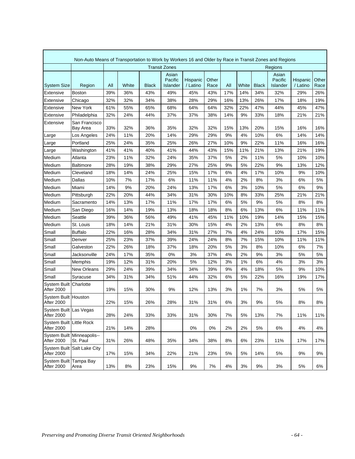| Non-Auto Means of Transportation to Work by Workers 16 and Older by Race in Transit Zones and Regions |                                        |                      |       |       |                              |                      |               |     |       |              |                              |                      |               |
|-------------------------------------------------------------------------------------------------------|----------------------------------------|----------------------|-------|-------|------------------------------|----------------------|---------------|-----|-------|--------------|------------------------------|----------------------|---------------|
|                                                                                                       |                                        | <b>Transit Zones</b> |       |       |                              |                      | Regions       |     |       |              |                              |                      |               |
| <b>System Size</b>                                                                                    | Region                                 | All                  | White | Black | Asian<br>Pacific<br>Islander | Hispanic<br>/ Latino | Other<br>Race | All | White | <b>Black</b> | Asian<br>Pacific<br>Islander | Hispanic<br>/ Latino | Other<br>Race |
| Extensive                                                                                             | <b>Boston</b>                          | 39%                  | 36%   | 43%   | 49%                          | 45%                  | 43%           | 17% | 14%   | 34%          | 32%                          | 29%                  | 26%           |
| Extensive                                                                                             | Chicago                                | 32%                  | 32%   | 34%   | 38%                          | 28%                  | 29%           | 16% | 13%   | 26%          | 17%                          | 18%                  | 19%           |
| Extensive                                                                                             | New York                               | 61%                  | 55%   | 65%   | 68%                          | 64%                  | 64%           | 32% | 22%   | 47%          | 44%                          | 45%                  | 47%           |
| Extensive                                                                                             | Philadelphia                           | 32%                  | 24%   | 44%   | 37%                          | 37%                  | 38%           | 14% | 9%    | 33%          | 18%                          | 21%                  | 21%           |
| Extensive                                                                                             | San Francisco<br>Bay Area              | 33%                  | 32%   | 36%   | 35%                          | 32%                  | 32%           | 15% | 13%   | 20%          | 15%                          | 16%                  | 16%           |
| Large                                                                                                 | Los Angeles                            | 24%                  | 11%   | 20%   | 14%                          | 29%                  | 29%           | 9%  | 4%    | 10%          | 6%                           | 14%                  | 14%           |
| Large                                                                                                 | Portland                               | 25%                  | 24%   | 35%   | 25%                          | 26%                  | 27%           | 10% | 9%    | 22%          | 11%                          | 16%                  | 16%           |
| Large                                                                                                 | Washington                             | 41%                  | 41%   | 40%   | 41%                          | 44%                  | 43%           | 15% | 11%   | 21%          | 13%                          | 21%                  | 19%           |
| Medium                                                                                                | Atlanta                                | 23%                  | 11%   | 32%   | 24%                          | 35%                  | 37%           | 5%  | 2%    | 11%          | 5%                           | 10%                  | 10%           |
| Medium                                                                                                | Baltimore                              | 28%                  | 19%   | 38%   | 29%                          | 27%                  | 25%           | 9%  | 5%    | 22%          | 9%                           | 13%                  | 12%           |
| Medium                                                                                                | Cleveland                              | 18%                  | 14%   | 24%   | 25%                          | 15%                  | 17%           | 6%  | 4%    | 17%          | 10%                          | 9%                   | 10%           |
| Medium                                                                                                | Dallas                                 | 10%                  | 7%    | 17%   | 6%                           | 11%                  | 11%           | 4%  | 2%    | 8%           | 3%                           | 6%                   | 5%            |
| Medium                                                                                                | Miami                                  | 14%                  | 9%    | 20%   | 24%                          | 13%                  | 17%           | 6%  | 3%    | 10%          | 5%                           | 6%                   | 9%            |
| Medium                                                                                                | Pittsburgh                             | 22%                  | 20%   | 44%   | 34%                          | 31%                  | 30%           | 10% | 8%    | 33%          | 25%                          | 21%                  | 21%           |
| Medium                                                                                                | Sacramento                             | 14%                  | 13%   | 17%   | 11%                          | 17%                  | 17%           | 6%  | 5%    | 9%           | 5%                           | 8%                   | 8%            |
| Medium                                                                                                | San Diego                              | 16%                  | 14%   | 19%   | 13%                          | 18%                  | 18%           | 8%  | 6%    | 13%          | 6%                           | 11%                  | 11%           |
| Medium                                                                                                | Seattle                                | 39%                  | 36%   | 56%   | 49%                          | 41%                  | 45%           | 11% | 10%   | 19%          | 14%                          | 15%                  | 15%           |
| Medium                                                                                                | St. Louis                              | 18%                  | 14%   | 21%   | 31%                          | 30%                  | 15%           | 4%  | 2%    | 13%          | 6%                           | 8%                   | 8%            |
| Small                                                                                                 | <b>Buffalo</b>                         | 22%                  | 16%   | 28%   | 34%                          | 31%                  | 27%           | 7%  | 4%    | 24%          | 10%                          | 17%                  | 15%           |
| Small                                                                                                 | Denver                                 | 25%                  | 23%   | 37%   | 39%                          | 24%                  | 24%           | 8%  | 7%    | 15%          | 10%                          | 11%                  | 11%           |
| Small                                                                                                 | Galveston                              | 22%                  | 26%   | 18%   | 37%                          | 18%                  | 20%           | 5%  | 3%    | 8%           | 10%                          | 6%                   | 7%            |
| Small                                                                                                 | Jacksonville                           | 24%                  | 17%   | 35%   | 0%                           | 3%                   | 37%           | 4%  | 2%    | 9%           | 3%                           | 5%                   | 5%            |
| Small                                                                                                 | Memphis                                | 19%                  | 12%   | 31%   | 20%                          | 5%                   | 12%           | 3%  | 1%    | 6%           | 4%                           | 3%                   | 3%            |
| Small                                                                                                 | New Orleans                            | 29%                  | 24%   | 39%   | 34%                          | 34%                  | 39%           | 9%  | 4%    | 18%          | 5%                           | 9%                   | 10%           |
| Small                                                                                                 | Syracuse                               | 34%                  | 31%   | 34%   | 51%                          | 44%                  | 32%           | 6%  | 5%    | 22%          | 16%                          | 19%                  | 17%           |
| System Built<br>After 2000                                                                            | Charlotte                              | 19%                  | 15%   | 30%   | 9%                           | 12%                  | 13%           | 3%  | 1%    | 7%           | 3%                           | 5%                   | 5%            |
| System Built Houston<br>After 2000                                                                    |                                        | 22%                  | 15%   | 26%   | 28%                          | 31%                  | 31%           | 6%  | 3%    | 9%           | 5%                           | 8%                   | 8%            |
| System Built Las Vegas<br>After 2000                                                                  |                                        | 28%                  | 24%   | 33%   | 33%                          | 31%                  | 30%           | 7%  | 5%    | 13%          | 7%                           | 11%                  | 11%           |
| System Built Little Rock<br><b>After 2000</b>                                                         |                                        | 21%                  | 14%   | 28%   |                              | 0%                   | 0%            | 2%  | 2%    | 5%           | 6%                           | 4%                   | 4%            |
| After 2000                                                                                            | System Built Minneapolis--<br>St. Paul | 31%                  | 26%   | 48%   | 35%                          | 34%                  | 38%           | 8%  | 6%    | 23%          | 11%                          | 17%                  | 17%           |
| After 2000                                                                                            | System Built Salt Lake City            | 17%                  | 15%   | 34%   | 22%                          | 21%                  | 23%           | 5%  | 5%    | 14%          | 5%                           | 9%                   | 9%            |
| System Built Tampa Bay<br>After 2000                                                                  | Area                                   | 13%                  | 8%    | 23%   | 15%                          | 9%                   | 7%            | 4%  | 3%    | 9%           | 3%                           | 5%                   | 6%            |